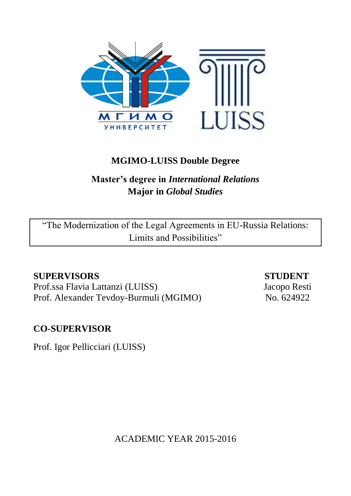

# **MGIMO-LUISS Double Degree**

# **Master's degree in** *International Relations* **Major in** *Global Studies*

"The Modernization of the Legal Agreements in EU-Russia Relations: Limits and Possibilities"

# **SUPERVISORS STUDENT**

Prof.ssa Flavia Lattanzi (LUISS) Jacopo Resti Prof. Alexander Tevdoy-Burmuli (MGIMO) No. 624922

# **CO-SUPERVISOR**

Prof. Igor Pellicciari (LUISS)

ACADEMIC YEAR 2015-2016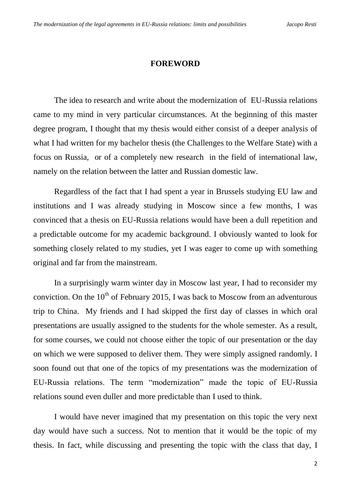## **FOREWORD**

The idea to research and write about the modernization of EU-Russia relations came to my mind in very particular circumstances. At the beginning of this master degree program, I thought that my thesis would either consist of a deeper analysis of what I had written for my bachelor thesis (the Challenges to the Welfare State) with a focus on Russia, or of a completely new research in the field of international law, namely on the relation between the latter and Russian domestic law.

Regardless of the fact that I had spent a year in Brussels studying EU law and institutions and I was already studying in Moscow since a few months, I was convinced that a thesis on EU-Russia relations would have been a dull repetition and a predictable outcome for my academic background. I obviously wanted to look for something closely related to my studies, yet I was eager to come up with something original and far from the mainstream.

In a surprisingly warm winter day in Moscow last year, I had to reconsider my conviction. On the  $10^{th}$  of February 2015, I was back to Moscow from an adventurous trip to China. My friends and I had skipped the first day of classes in which oral presentations are usually assigned to the students for the whole semester. As a result, for some courses, we could not choose either the topic of our presentation or the day on which we were supposed to deliver them. They were simply assigned randomly. I soon found out that one of the topics of my presentations was the modernization of EU-Russia relations. The term "modernization" made the topic of EU-Russia relations sound even duller and more predictable than I used to think.

I would have never imagined that my presentation on this topic the very next day would have such a success. Not to mention that it would be the topic of my thesis. In fact, while discussing and presenting the topic with the class that day, I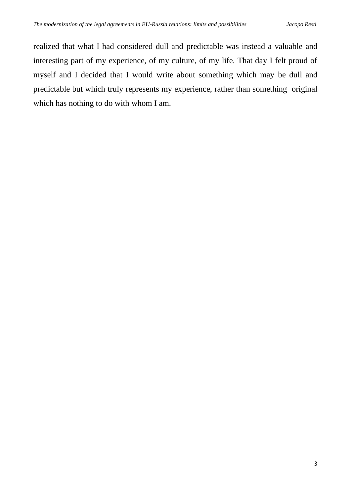realized that what I had considered dull and predictable was instead a valuable and interesting part of my experience, of my culture, of my life. That day I felt proud of myself and I decided that I would write about something which may be dull and predictable but which truly represents my experience, rather than something original which has nothing to do with whom I am.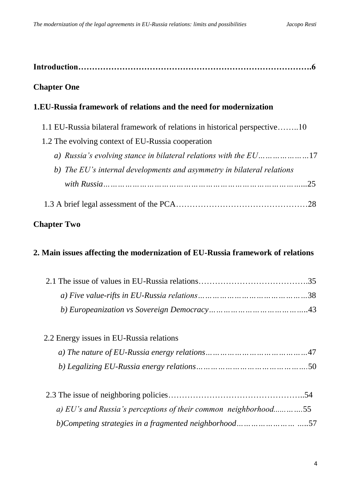| <b>Chapter One</b>                                                             |
|--------------------------------------------------------------------------------|
| 1.EU-Russia framework of relations and the need for modernization              |
| 1.1 EU-Russia bilateral framework of relations in historical perspective10     |
| 1.2 The evolving context of EU-Russia cooperation                              |
|                                                                                |
| b) The EU's internal developments and asymmetry in bilateral relations         |
|                                                                                |
|                                                                                |
| <b>Chapter Two</b>                                                             |
| 2. Main issues affecting the modernization of EU-Russia framework of relations |
|                                                                                |
|                                                                                |
|                                                                                |
| 2.2 Energy issues in EU-Russia relations                                       |
|                                                                                |
|                                                                                |
|                                                                                |
| a) EU's and Russia's perceptions of their common neighborhood55                |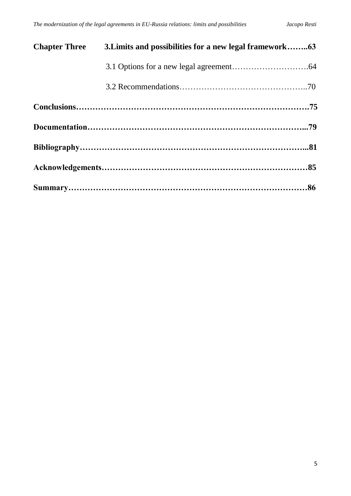| <b>Chapter Three</b> | 3. Limits and possibilities for a new legal framework63 |  |
|----------------------|---------------------------------------------------------|--|
|                      |                                                         |  |
|                      |                                                         |  |
|                      |                                                         |  |
|                      |                                                         |  |
|                      |                                                         |  |
|                      |                                                         |  |
|                      |                                                         |  |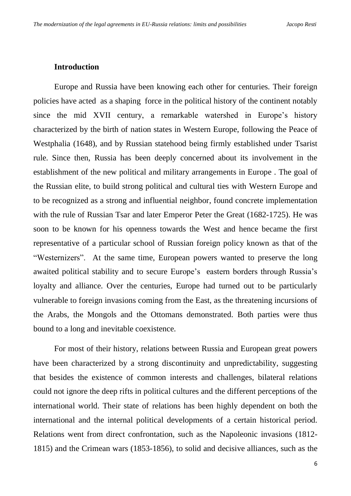#### **Introduction**

Europe and Russia have been knowing each other for centuries. Their foreign policies have acted as a shaping force in the political history of the continent notably since the mid XVII century, a remarkable watershed in Europe's history characterized by the birth of nation states in Western Europe, following the Peace of Westphalia (1648), and by Russian statehood being firmly established under Tsarist rule. Since then, Russia has been deeply concerned about its involvement in the establishment of the new political and military arrangements in Europe . The goal of the Russian elite, to build strong political and cultural ties with Western Europe and to be recognized as a strong and influential neighbor, found concrete implementation with the rule of Russian Tsar and later Emperor Peter the Great (1682-1725). He was soon to be known for his openness towards the West and hence became the first representative of a particular school of Russian foreign policy known as that of the "Westernizers". At the same time, European powers wanted to preserve the long awaited political stability and to secure Europe's eastern borders through Russia's loyalty and alliance. Over the centuries, Europe had turned out to be particularly vulnerable to foreign invasions coming from the East, as the threatening incursions of the Arabs, the Mongols and the Ottomans demonstrated. Both parties were thus bound to a long and inevitable coexistence.

For most of their history, relations between Russia and European great powers have been characterized by a strong discontinuity and unpredictability, suggesting that besides the existence of common interests and challenges, bilateral relations could not ignore the deep rifts in political cultures and the different perceptions of the international world. Their state of relations has been highly dependent on both the international and the internal political developments of a certain historical period. Relations went from direct confrontation, such as the Napoleonic invasions (1812- 1815) and the Crimean wars (1853-1856), to solid and decisive alliances, such as the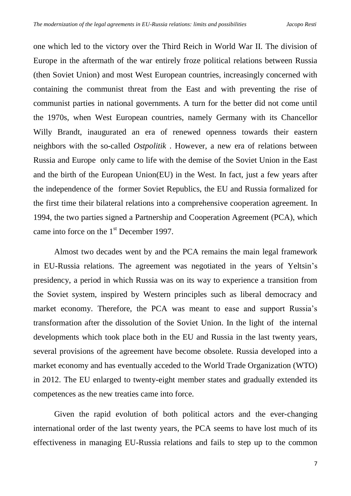one which led to the victory over the Third Reich in World War II. The division of Europe in the aftermath of the war entirely froze political relations between Russia (then Soviet Union) and most West European countries, increasingly concerned with containing the communist threat from the East and with preventing the rise of communist parties in national governments. A turn for the better did not come until the 1970s, when West European countries, namely Germany with its Chancellor Willy Brandt, inaugurated an era of renewed openness towards their eastern neighbors with the so-called *Ostpolitik* . However, a new era of relations between Russia and Europe only came to life with the demise of the Soviet Union in the East and the birth of the European Union(EU) in the West. In fact, just a few years after the independence of the former Soviet Republics, the EU and Russia formalized for the first time their bilateral relations into a comprehensive cooperation agreement. In 1994, the two parties signed a Partnership and Cooperation Agreement (PCA), which came into force on the 1<sup>st</sup> December 1997.

Almost two decades went by and the PCA remains the main legal framework in EU-Russia relations. The agreement was negotiated in the years of Yeltsin's presidency, a period in which Russia was on its way to experience a transition from the Soviet system, inspired by Western principles such as liberal democracy and market economy. Therefore, the PCA was meant to ease and support Russia's transformation after the dissolution of the Soviet Union. In the light of the internal developments which took place both in the EU and Russia in the last twenty years, several provisions of the agreement have become obsolete. Russia developed into a market economy and has eventually acceded to the World Trade Organization (WTO) in 2012. The EU enlarged to twenty-eight member states and gradually extended its competences as the new treaties came into force.

Given the rapid evolution of both political actors and the ever-changing international order of the last twenty years, the PCA seems to have lost much of its effectiveness in managing EU-Russia relations and fails to step up to the common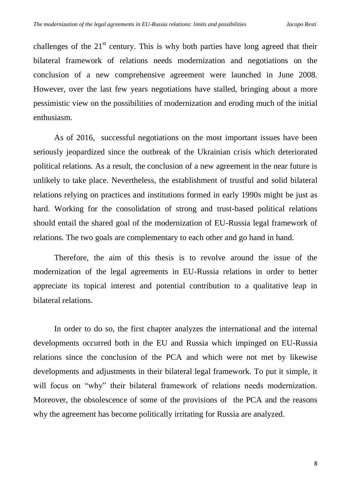challenges of the  $21<sup>st</sup>$  century. This is why both parties have long agreed that their bilateral framework of relations needs modernization and negotiations on the conclusion of a new comprehensive agreement were launched in June 2008. However, over the last few years negotiations have stalled, bringing about a more pessimistic view on the possibilities of modernization and eroding much of the initial enthusiasm.

As of 2016, successful negotiations on the most important issues have been seriously jeopardized since the outbreak of the Ukrainian crisis which deteriorated political relations. As a result, the conclusion of a new agreement in the near future is unlikely to take place. Nevertheless, the establishment of trustful and solid bilateral relations relying on practices and institutions formed in early 1990s might be just as hard. Working for the consolidation of strong and trust-based political relations should entail the shared goal of the modernization of EU-Russia legal framework of relations. The two goals are complementary to each other and go hand in hand.

Therefore, the aim of this thesis is to revolve around the issue of the modernization of the legal agreements in EU-Russia relations in order to better appreciate its topical interest and potential contribution to a qualitative leap in bilateral relations.

In order to do so, the first chapter analyzes the international and the internal developments occurred both in the EU and Russia which impinged on EU-Russia relations since the conclusion of the PCA and which were not met by likewise developments and adjustments in their bilateral legal framework. To put it simple, it will focus on "why" their bilateral framework of relations needs modernization. Moreover, the obsolescence of some of the provisions of the PCA and the reasons why the agreement has become politically irritating for Russia are analyzed.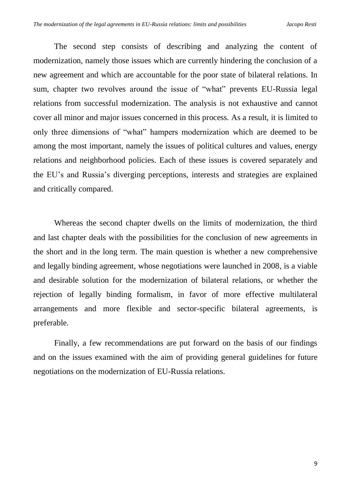The second step consists of describing and analyzing the content of modernization, namely those issues which are currently hindering the conclusion of a new agreement and which are accountable for the poor state of bilateral relations. In sum, chapter two revolves around the issue of "what" prevents EU-Russia legal relations from successful modernization. The analysis is not exhaustive and cannot cover all minor and major issues concerned in this process. As a result, it is limited to only three dimensions of "what" hampers modernization which are deemed to be among the most important, namely the issues of political cultures and values, energy relations and neighborhood policies. Each of these issues is covered separately and the EU's and Russia's diverging perceptions, interests and strategies are explained and critically compared.

Whereas the second chapter dwells on the limits of modernization, the third and last chapter deals with the possibilities for the conclusion of new agreements in the short and in the long term. The main question is whether a new comprehensive and legally binding agreement, whose negotiations were launched in 2008, is a viable and desirable solution for the modernization of bilateral relations, or whether the rejection of legally binding formalism, in favor of more effective multilateral arrangements and more flexible and sector-specific bilateral agreements, is preferable.

Finally, a few recommendations are put forward on the basis of our findings and on the issues examined with the aim of providing general guidelines for future negotiations on the modernization of EU-Russia relations.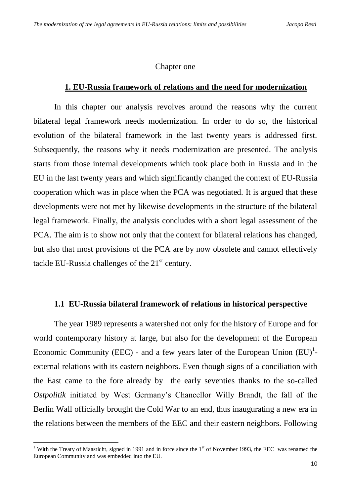### Chapter one

## **1. EU-Russia framework of relations and the need for modernization**

In this chapter our analysis revolves around the reasons why the current bilateral legal framework needs modernization. In order to do so, the historical evolution of the bilateral framework in the last twenty years is addressed first. Subsequently, the reasons why it needs modernization are presented. The analysis starts from those internal developments which took place both in Russia and in the EU in the last twenty years and which significantly changed the context of EU-Russia cooperation which was in place when the PCA was negotiated. It is argued that these developments were not met by likewise developments in the structure of the bilateral legal framework. Finally, the analysis concludes with a short legal assessment of the PCA. The aim is to show not only that the context for bilateral relations has changed, but also that most provisions of the PCA are by now obsolete and cannot effectively tackle EU-Russia challenges of the  $21<sup>st</sup>$  century.

## **1.1 EU-Russia bilateral framework of relations in historical perspective**

The year 1989 represents a watershed not only for the history of Europe and for world contemporary history at large, but also for the development of the European Economic Community (EEC) - and a few years later of the European Union  $(EU)^{1}$ external relations with its eastern neighbors. Even though signs of a conciliation with the East came to the fore already by the early seventies thanks to the so-called *Ostpolitik* initiated by West Germany's Chancellor Willy Brandt, the fall of the Berlin Wall officially brought the Cold War to an end, thus inaugurating a new era in the relations between the members of the EEC and their eastern neighbors. Following

<sup>&</sup>lt;sup>1</sup> With the Treaty of Maasticht, signed in 1991 and in force since the  $1<sup>st</sup>$  of November 1993, the EEC was renamed the European Community and was embedded into the EU.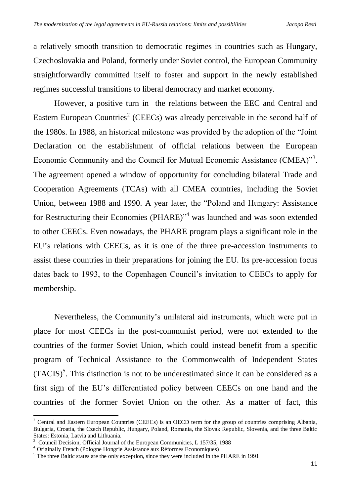a relatively smooth transition to democratic regimes in countries such as Hungary, Czechoslovakia and Poland, formerly under Soviet control, the European Community straightforwardly committed itself to foster and support in the newly established regimes successful transitions to liberal democracy and market economy.

However, a positive turn in the relations between the EEC and Central and Eastern European Countries<sup>2</sup> (CEECs) was already perceivable in the second half of the 1980s. In 1988, an historical milestone was provided by the adoption of the "Joint Declaration on the establishment of official relations between the European Economic Community and the Council for Mutual Economic Assistance (CMEA)"<sup>3</sup>. The agreement opened a window of opportunity for concluding bilateral Trade and Cooperation Agreements (TCAs) with all CMEA countries, including the Soviet Union, between 1988 and 1990. A year later, the "Poland and Hungary: Assistance for Restructuring their Economies (PHARE)"<sup>4</sup> was launched and was soon extended to other CEECs. Even nowadays, the PHARE program plays a significant role in the EU's relations with CEECs, as it is one of the three pre-accession instruments to assist these countries in their preparations for joining the EU. Its pre-accession focus dates back to 1993, to the Copenhagen Council's invitation to CEECs to apply for membership.

Nevertheless, the Community's unilateral aid instruments, which were put in place for most CEECs in the post-communist period, were not extended to the countries of the former Soviet Union, which could instead benefit from a specific program of Technical Assistance to the Commonwealth of Independent States  $(TACIS)<sup>5</sup>$ . This distinction is not to be underestimated since it can be considered as a first sign of the EU's differentiated policy between CEECs on one hand and the countries of the former Soviet Union on the other. As a matter of fact, this

.

 $2$  Central and Eastern European Countries (CEECs) is an OECD term for the group of countries comprising Albania, Bulgaria, Croatia, the Czech Republic, Hungary, Poland, Romania, the Slovak Republic, Slovenia, and the three Baltic States: Estonia, Latvia and Lithuania.

<sup>3</sup> Council Decision, Official Journal of the European Communities, L 157/35, 1988

<sup>4</sup> Originally French (Pologne Hongrie Assistance aux Réformes Economiques)

<sup>&</sup>lt;sup>5</sup> The three Baltic states are the only exception, since they were included in the PHARE in 1991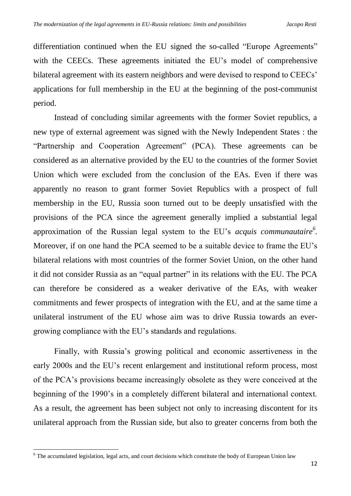differentiation continued when the EU signed the so-called "Europe Agreements" with the CEECs. These agreements initiated the EU's model of comprehensive bilateral agreement with its eastern neighbors and were devised to respond to CEECs' applications for full membership in the EU at the beginning of the post-communist period.

Instead of concluding similar agreements with the former Soviet republics, a new type of external agreement was signed with the Newly Independent States : the "Partnership and Cooperation Agreement" (PCA). These agreements can be considered as an alternative provided by the EU to the countries of the former Soviet Union which were excluded from the conclusion of the EAs. Even if there was apparently no reason to grant former Soviet Republics with a prospect of full membership in the EU, Russia soon turned out to be deeply unsatisfied with the provisions of the PCA since the agreement generally implied a substantial legal approximation of the Russian legal system to the EU's *acquis communautaire<sup>6</sup> .*  Moreover, if on one hand the PCA seemed to be a suitable device to frame the EU's bilateral relations with most countries of the former Soviet Union, on the other hand it did not consider Russia as an "equal partner" in its relations with the EU. The PCA can therefore be considered as a weaker derivative of the EAs, with weaker commitments and fewer prospects of integration with the EU, and at the same time a unilateral instrument of the EU whose aim was to drive Russia towards an evergrowing compliance with the EU's standards and regulations.

Finally, with Russia's growing political and economic assertiveness in the early 2000s and the EU's recent enlargement and institutional reform process, most of the PCA's provisions became increasingly obsolete as they were conceived at the beginning of the 1990's in a completely different bilateral and international context. As a result, the agreement has been subject not only to increasing discontent for its unilateral approach from the Russian side, but also to greater concerns from both the

<sup>&</sup>lt;sup>6</sup> The accumulated legislation, legal acts, and court decisions which constitute the body of European Union law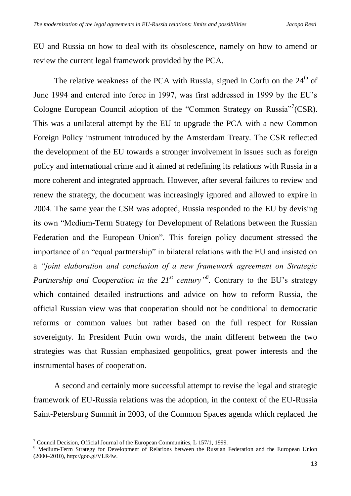EU and Russia on how to deal with its obsolescence, namely on how to amend or review the current legal framework provided by the PCA.

The relative weakness of the PCA with Russia, signed in Corfu on the  $24<sup>th</sup>$  of June 1994 and entered into force in 1997, was first addressed in 1999 by the EU's Cologne European Council adoption of the "Common Strategy on Russia"<sup>7</sup> (CSR). This was a unilateral attempt by the EU to upgrade the PCA with a new Common Foreign Policy instrument introduced by the Amsterdam Treaty. The CSR reflected the development of the EU towards a stronger involvement in issues such as foreign policy and international crime and it aimed at redefining its relations with Russia in a more coherent and integrated approach. However, after several failures to review and renew the strategy, the document was increasingly ignored and allowed to expire in 2004. The same year the CSR was adopted, Russia responded to the EU by devising its own "Medium-Term Strategy for Development of Relations between the Russian Federation and the European Union". This foreign policy document stressed the importance of an "equal partnership" in bilateral relations with the EU and insisted on a *"joint elaboration and conclusion of a new framework agreement on Strategic Partnership and Cooperation in the 21st century"<sup>8</sup> .* Contrary to the EU's strategy which contained detailed instructions and advice on how to reform Russia, the official Russian view was that cooperation should not be conditional to democratic reforms or common values but rather based on the full respect for Russian sovereignty. In President Putin own words, the main different between the two strategies was that Russian emphasized geopolitics, great power interests and the instrumental bases of cooperation.

A second and certainly more successful attempt to revise the legal and strategic framework of EU-Russia relations was the adoption, in the context of the EU-Russia Saint-Petersburg Summit in 2003, of the Common Spaces agenda which replaced the

<sup>7</sup> Council Decision, Official Journal of the European Communities, L 157/1, 1999.

<sup>8</sup> Medium-Term Strategy for Development of Relations between the Russian Federation and the European Union (2000–2010), http://goo.gl/VLR4w.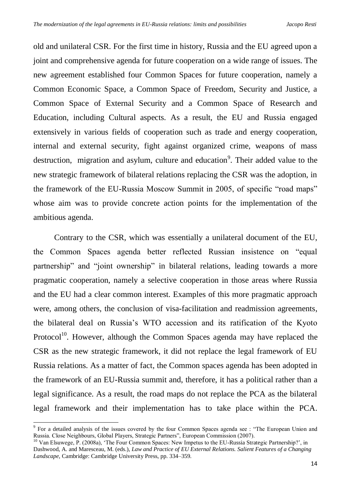old and unilateral CSR. For the first time in history, Russia and the EU agreed upon a joint and comprehensive agenda for future cooperation on a wide range of issues. The new agreement established four Common Spaces for future cooperation, namely a Common Economic Space, a Common Space of Freedom, Security and Justice, a Common Space of External Security and a Common Space of Research and Education, including Cultural aspects. As a result, the EU and Russia engaged extensively in various fields of cooperation such as trade and energy cooperation, internal and external security, fight against organized crime, weapons of mass destruction, migration and asylum, culture and education<sup>9</sup>. Their added value to the new strategic framework of bilateral relations replacing the CSR was the adoption, in the framework of the EU-Russia Moscow Summit in 2005, of specific "road maps" whose aim was to provide concrete action points for the implementation of the ambitious agenda.

Contrary to the CSR, which was essentially a unilateral document of the EU, the Common Spaces agenda better reflected Russian insistence on "equal partnership" and "joint ownership" in bilateral relations, leading towards a more pragmatic cooperation, namely a selective cooperation in those areas where Russia and the EU had a clear common interest. Examples of this more pragmatic approach were, among others, the conclusion of visa-facilitation and readmission agreements, the bilateral deal on Russia's WTO accession and its ratification of the Kyoto Protocol $10$ . However, although the Common Spaces agenda may have replaced the CSR as the new strategic framework, it did not replace the legal framework of EU Russia relations. As a matter of fact, the Common spaces agenda has been adopted in the framework of an EU-Russia summit and, therefore, it has a political rather than a legal significance. As a result, the road maps do not replace the PCA as the bilateral legal framework and their implementation has to take place within the PCA.

.

<sup>&</sup>lt;sup>9</sup> For a detailed analysis of the issues covered by the four Common Spaces agenda see : "The European Union and Russia. Close Neighbours, Global Players, Strategic Partners", European Commission (2007).

<sup>&</sup>lt;sup>10</sup> Van Elsuwege, P. (2008a), 'The Four Common Spaces: New Impetus to the EU-Russia Strategic Partnership?', in Dashwood, A. and Maresceau, M. (eds.), *Law and Practice of EU External Relations. Salient Features of a Changing Landscape*, Cambridge: Cambridge University Press, pp. 334–359.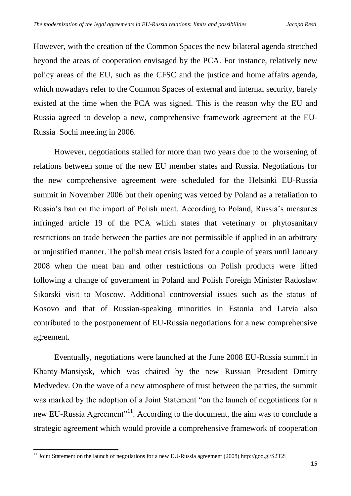However, with the creation of the Common Spaces the new bilateral agenda stretched beyond the areas of cooperation envisaged by the PCA. For instance, relatively new policy areas of the EU, such as the CFSC and the justice and home affairs agenda, which nowadays refer to the Common Spaces of external and internal security, barely existed at the time when the PCA was signed. This is the reason why the EU and Russia agreed to develop a new, comprehensive framework agreement at the EU-Russia Sochi meeting in 2006.

However, negotiations stalled for more than two years due to the worsening of relations between some of the new EU member states and Russia. Negotiations for the new comprehensive agreement were scheduled for the Helsinki EU-Russia summit in November 2006 but their opening was vetoed by Poland as a retaliation to Russia's ban on the import of Polish meat. According to Poland, Russia's measures infringed article 19 of the PCA which states that veterinary or phytosanitary restrictions on trade between the parties are not permissible if applied in an arbitrary or unjustified manner. The polish meat crisis lasted for a couple of years until January 2008 when the meat ban and other restrictions on Polish products were lifted following a change of government in Poland and Polish Foreign Minister Radoslaw Sikorski visit to Moscow. Additional controversial issues such as the status of Kosovo and that of Russian-speaking minorities in Estonia and Latvia also contributed to the postponement of EU-Russia negotiations for a new comprehensive agreement.

Eventually, negotiations were launched at the June 2008 EU-Russia summit in Khanty-Mansiysk, which was chaired by the new Russian President Dmitry Medvedev. On the wave of a new atmosphere of trust between the parties, the summit was marked by the adoption of a Joint Statement "on the launch of negotiations for a new EU-Russia Agreement"<sup>11</sup>. According to the document, the aim was to conclude a strategic agreement which would provide a comprehensive framework of cooperation

<sup>&</sup>lt;sup>11</sup> Joint Statement on the launch of negotiations for a new EU-Russia agreement (2008) http://goo.gl/S2T2i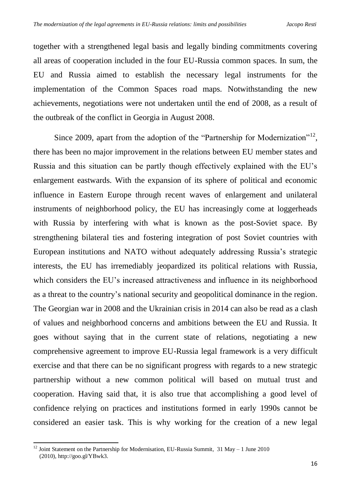together with a strengthened legal basis and legally binding commitments covering all areas of cooperation included in the four EU-Russia common spaces. In sum, the EU and Russia aimed to establish the necessary legal instruments for the implementation of the Common Spaces road maps. Notwithstanding the new achievements, negotiations were not undertaken until the end of 2008, as a result of the outbreak of the conflict in Georgia in August 2008.

Since 2009, apart from the adoption of the "Partnership for Modernization"<sup>12</sup>, there has been no major improvement in the relations between EU member states and Russia and this situation can be partly though effectively explained with the EU's enlargement eastwards. With the expansion of its sphere of political and economic influence in Eastern Europe through recent waves of enlargement and unilateral instruments of neighborhood policy, the EU has increasingly come at loggerheads with Russia by interfering with what is known as the post-Soviet space. By strengthening bilateral ties and fostering integration of post Soviet countries with European institutions and NATO without adequately addressing Russia's strategic interests, the EU has irremediably jeopardized its political relations with Russia, which considers the EU's increased attractiveness and influence in its neighborhood as a threat to the country's national security and geopolitical dominance in the region. The Georgian war in 2008 and the Ukrainian crisis in 2014 can also be read as a clash of values and neighborhood concerns and ambitions between the EU and Russia. It goes without saying that in the current state of relations, negotiating a new comprehensive agreement to improve EU-Russia legal framework is a very difficult exercise and that there can be no significant progress with regards to a new strategic partnership without a new common political will based on mutual trust and cooperation. Having said that, it is also true that accomplishing a good level of confidence relying on practices and institutions formed in early 1990s cannot be considered an easier task. This is why working for the creation of a new legal

<sup>12</sup> Joint Statement on the Partnership for Modernisation, EU-Russia Summit, 31 May – 1 June 2010 (2010), http://goo.gl/YBwk3.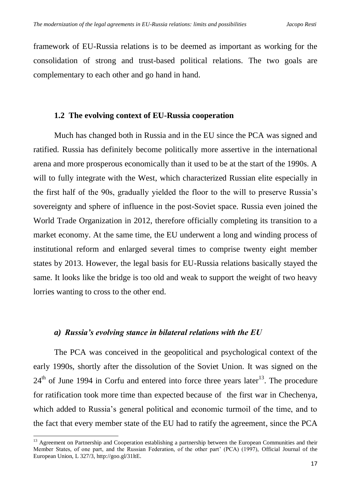framework of EU-Russia relations is to be deemed as important as working for the consolidation of strong and trust-based political relations. The two goals are complementary to each other and go hand in hand.

# **1.2 The evolving context of EU-Russia cooperation**

Much has changed both in Russia and in the EU since the PCA was signed and ratified. Russia has definitely become politically more assertive in the international arena and more prosperous economically than it used to be at the start of the 1990s. A will to fully integrate with the West, which characterized Russian elite especially in the first half of the 90s, gradually yielded the floor to the will to preserve Russia's sovereignty and sphere of influence in the post-Soviet space. Russia even joined the World Trade Organization in 2012, therefore officially completing its transition to a market economy. At the same time, the EU underwent a long and winding process of institutional reform and enlarged several times to comprise twenty eight member states by 2013. However, the legal basis for EU-Russia relations basically stayed the same. It looks like the bridge is too old and weak to support the weight of two heavy lorries wanting to cross to the other end.

## *a) Russia's evolving stance in bilateral relations with the EU*

The PCA was conceived in the geopolitical and psychological context of the early 1990s, shortly after the dissolution of the Soviet Union. It was signed on the  $24<sup>th</sup>$  of June 1994 in Corfu and entered into force three years later<sup>13</sup>. The procedure for ratification took more time than expected because of the first war in Chechenya, which added to Russia's general political and economic turmoil of the time, and to the fact that every member state of the EU had to ratify the agreement, since the PCA

<sup>&</sup>lt;sup>13</sup> Agreement on Partnership and Cooperation establishing a partnership between the European Communities and their Member States, of one part, and the Russian Federation, of the other part' (PCA) (1997), Official Journal of the European Union, L 327/3, http://goo.gl/31ltE.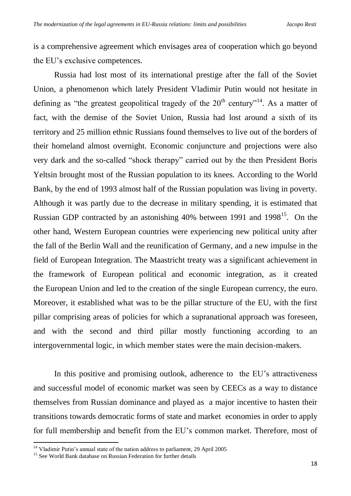is a comprehensive agreement which envisages area of cooperation which go beyond the EU's exclusive competences.

Russia had lost most of its international prestige after the fall of the Soviet Union, a phenomenon which lately President Vladimir Putin would not hesitate in defining as "the greatest geopolitical tragedy of the  $20<sup>th</sup>$  century"<sup>14</sup>. As a matter of fact, with the demise of the Soviet Union, Russia had lost around a sixth of its territory and 25 million ethnic Russians found themselves to live out of the borders of their homeland almost overnight. Economic conjuncture and projections were also very dark and the so-called "shock therapy" carried out by the then President Boris Yeltsin brought most of the Russian population to its knees. According to the World Bank, by the end of 1993 almost half of the Russian population was living in poverty. Although it was partly due to the decrease in military spending, it is estimated that Russian GDP contracted by an astonishing 40% between 1991 and 1998<sup>15</sup>. On the other hand, Western European countries were experiencing new political unity after the fall of the Berlin Wall and the reunification of Germany, and a new impulse in the field of European Integration. The Maastricht treaty was a significant achievement in the framework of European political and economic integration, as it created the European Union and led to the creation of the single European currency, the euro. Moreover, it established what was to be the pillar structure of the EU, with the first pillar comprising areas of policies for which a supranational approach was foreseen, and with the second and third pillar mostly functioning according to an intergovernmental logic, in which member states were the main decision-makers.

In this positive and promising outlook, adherence to the EU's attractiveness and successful model of economic market was seen by CEECs as a way to distance themselves from Russian dominance and played as a major incentive to hasten their transitions towards democratic forms of state and market economies in order to apply for full membership and benefit from the EU's common market. Therefore, most of

<sup>&</sup>lt;sup>14</sup> Vladimir Putin's annual state of the nation address to parliament, 29 April 2005

<sup>&</sup>lt;sup>15</sup> See World Bank database on Russian Federation for further details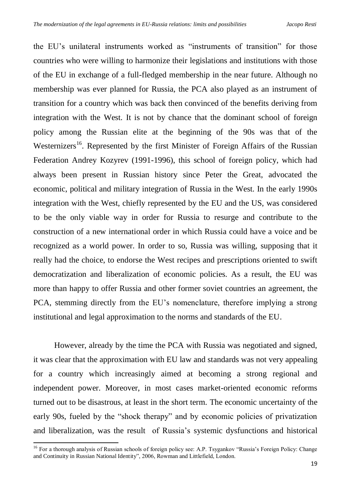the EU's unilateral instruments worked as "instruments of transition" for those countries who were willing to harmonize their legislations and institutions with those of the EU in exchange of a full-fledged membership in the near future. Although no membership was ever planned for Russia, the PCA also played as an instrument of transition for a country which was back then convinced of the benefits deriving from integration with the West. It is not by chance that the dominant school of foreign policy among the Russian elite at the beginning of the 90s was that of the Westernizers<sup>16</sup>. Represented by the first Minister of Foreign Affairs of the Russian Federation Andrey Kozyrev (1991-1996), this school of foreign policy, which had always been present in Russian history since Peter the Great, advocated the economic, political and military integration of Russia in the West. In the early 1990s integration with the West, chiefly represented by the EU and the US, was considered to be the only viable way in order for Russia to resurge and contribute to the construction of a new international order in which Russia could have a voice and be recognized as a world power. In order to so, Russia was willing, supposing that it really had the choice, to endorse the West recipes and prescriptions oriented to swift democratization and liberalization of economic policies. As a result, the EU was more than happy to offer Russia and other former soviet countries an agreement, the PCA, stemming directly from the EU's nomenclature, therefore implying a strong institutional and legal approximation to the norms and standards of the EU.

However, already by the time the PCA with Russia was negotiated and signed, it was clear that the approximation with EU law and standards was not very appealing for a country which increasingly aimed at becoming a strong regional and independent power. Moreover, in most cases market-oriented economic reforms turned out to be disastrous, at least in the short term. The economic uncertainty of the early 90s, fueled by the "shock therapy" and by economic policies of privatization and liberalization, was the result of Russia's systemic dysfunctions and historical

<sup>&</sup>lt;sup>16</sup> For a thorough analysis of Russian schools of foreign policy see: A.P. Tsygankov "Russia's Foreign Policy: Change and Continuity in Russian National Identity", 2006, Rowman and Littlefield, London.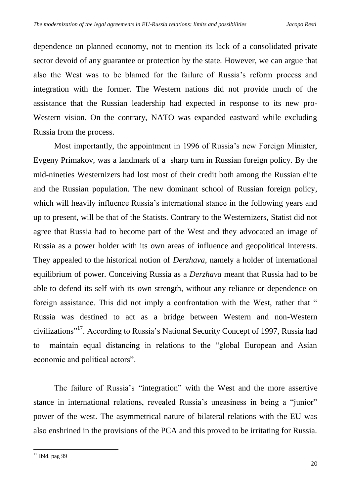dependence on planned economy, not to mention its lack of a consolidated private sector devoid of any guarantee or protection by the state. However, we can argue that also the West was to be blamed for the failure of Russia's reform process and integration with the former. The Western nations did not provide much of the assistance that the Russian leadership had expected in response to its new pro-Western vision. On the contrary, NATO was expanded eastward while excluding Russia from the process.

Most importantly, the appointment in 1996 of Russia's new Foreign Minister, Evgeny Primakov, was a landmark of a sharp turn in Russian foreign policy. By the mid-nineties Westernizers had lost most of their credit both among the Russian elite and the Russian population. The new dominant school of Russian foreign policy, which will heavily influence Russia's international stance in the following years and up to present, will be that of the Statists. Contrary to the Westernizers, Statist did not agree that Russia had to become part of the West and they advocated an image of Russia as a power holder with its own areas of influence and geopolitical interests. They appealed to the historical notion of *Derzhava*, namely a holder of international equilibrium of power. Conceiving Russia as a *Derzhava* meant that Russia had to be able to defend its self with its own strength, without any reliance or dependence on foreign assistance. This did not imply a confrontation with the West, rather that " Russia was destined to act as a bridge between Western and non-Western civilizations"<sup>17</sup>. According to Russia's National Security Concept of 1997, Russia had to maintain equal distancing in relations to the "global European and Asian economic and political actors".

The failure of Russia's "integration" with the West and the more assertive stance in international relations, revealed Russia's uneasiness in being a "junior" power of the west. The asymmetrical nature of bilateral relations with the EU was also enshrined in the provisions of the PCA and this proved to be irritating for Russia.

 $17$  Ibid. pag 99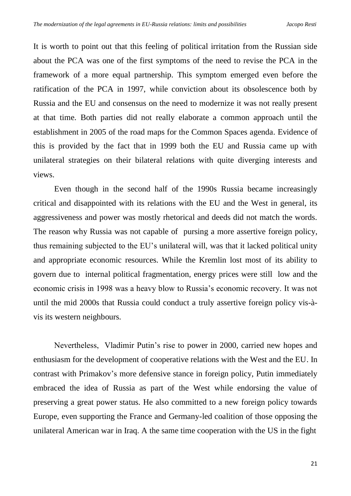It is worth to point out that this feeling of political irritation from the Russian side about the PCA was one of the first symptoms of the need to revise the PCA in the framework of a more equal partnership. This symptom emerged even before the ratification of the PCA in 1997, while conviction about its obsolescence both by Russia and the EU and consensus on the need to modernize it was not really present at that time. Both parties did not really elaborate a common approach until the establishment in 2005 of the road maps for the Common Spaces agenda. Evidence of this is provided by the fact that in 1999 both the EU and Russia came up with unilateral strategies on their bilateral relations with quite diverging interests and views.

Even though in the second half of the 1990s Russia became increasingly critical and disappointed with its relations with the EU and the West in general, its aggressiveness and power was mostly rhetorical and deeds did not match the words. The reason why Russia was not capable of pursing a more assertive foreign policy, thus remaining subjected to the EU's unilateral will, was that it lacked political unity and appropriate economic resources. While the Kremlin lost most of its ability to govern due to internal political fragmentation, energy prices were still low and the economic crisis in 1998 was a heavy blow to Russia's economic recovery. It was not until the mid 2000s that Russia could conduct a truly assertive foreign policy vis-àvis its western neighbours.

Nevertheless, Vladimir Putin's rise to power in 2000, carried new hopes and enthusiasm for the development of cooperative relations with the West and the EU. In contrast with Primakov's more defensive stance in foreign policy, Putin immediately embraced the idea of Russia as part of the West while endorsing the value of preserving a great power status. He also committed to a new foreign policy towards Europe, even supporting the France and Germany-led coalition of those opposing the unilateral American war in Iraq. A the same time cooperation with the US in the fight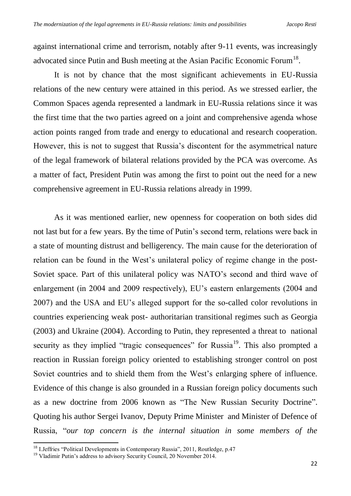against international crime and terrorism, notably after 9-11 events, was increasingly advocated since Putin and Bush meeting at the Asian Pacific Economic Forum<sup>18</sup>.

It is not by chance that the most significant achievements in EU-Russia relations of the new century were attained in this period. As we stressed earlier, the Common Spaces agenda represented a landmark in EU-Russia relations since it was the first time that the two parties agreed on a joint and comprehensive agenda whose action points ranged from trade and energy to educational and research cooperation. However, this is not to suggest that Russia's discontent for the asymmetrical nature of the legal framework of bilateral relations provided by the PCA was overcome. As a matter of fact, President Putin was among the first to point out the need for a new comprehensive agreement in EU-Russia relations already in 1999.

As it was mentioned earlier, new openness for cooperation on both sides did not last but for a few years. By the time of Putin's second term, relations were back in a state of mounting distrust and belligerency. The main cause for the deterioration of relation can be found in the West's unilateral policy of regime change in the post-Soviet space. Part of this unilateral policy was NATO's second and third wave of enlargement (in 2004 and 2009 respectively), EU's eastern enlargements (2004 and 2007) and the USA and EU's alleged support for the so-called color revolutions in countries experiencing weak post- authoritarian transitional regimes such as Georgia (2003) and Ukraine (2004). According to Putin, they represented a threat to national security as they implied "tragic consequences" for Russia<sup>19</sup>. This also prompted a reaction in Russian foreign policy oriented to establishing stronger control on post Soviet countries and to shield them from the West's enlarging sphere of influence. Evidence of this change is also grounded in a Russian foreign policy documents such as a new doctrine from 2006 known as "The New Russian Security Doctrine". Quoting his author Sergei Ivanov, Deputy Prime Minister and Minister of Defence of Russia, "*our top concern is the internal situation in some members of the* 

<sup>&</sup>lt;sup>18</sup> I.Jeffries "Political Developments in Contemporary Russia", 2011, Routledge, p.47

<sup>&</sup>lt;sup>19</sup> Vladimir Putin's address to advisory Security Council, 20 November 2014.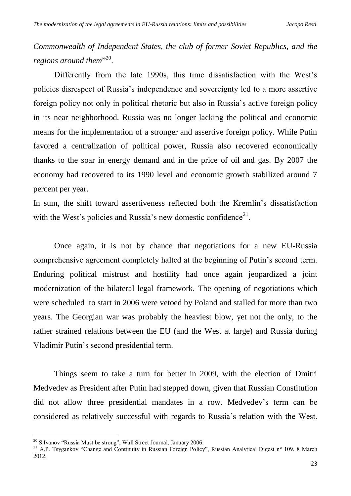*Commonwealth of Independent States, the club of former Soviet Republics, and the*  regions around them<sup>"20</sup>.

Differently from the late 1990s, this time dissatisfaction with the West's policies disrespect of Russia's independence and sovereignty led to a more assertive foreign policy not only in political rhetoric but also in Russia's active foreign policy in its near neighborhood. Russia was no longer lacking the political and economic means for the implementation of a stronger and assertive foreign policy. While Putin favored a centralization of political power, Russia also recovered economically thanks to the soar in energy demand and in the price of oil and gas. By 2007 the economy had recovered to its 1990 level and economic growth stabilized around 7 percent per year.

In sum, the shift toward assertiveness reflected both the Kremlin's dissatisfaction with the West's policies and Russia's new domestic confidence<sup>21</sup>.

Once again, it is not by chance that negotiations for a new EU-Russia comprehensive agreement completely halted at the beginning of Putin's second term. Enduring political mistrust and hostility had once again jeopardized a joint modernization of the bilateral legal framework. The opening of negotiations which were scheduled to start in 2006 were vetoed by Poland and stalled for more than two years. The Georgian war was probably the heaviest blow, yet not the only, to the rather strained relations between the EU (and the West at large) and Russia during Vladimir Putin's second presidential term.

Things seem to take a turn for better in 2009, with the election of Dmitri Medvedev as President after Putin had stepped down, given that Russian Constitution did not allow three presidential mandates in a row. Medvedev's term can be considered as relatively successful with regards to Russia's relation with the West.

<sup>&</sup>lt;sup>20</sup> S.Ivanov "Russia Must be strong", Wall Street Journal, January 2006.

<sup>&</sup>lt;sup>21</sup> A.P. Tsygankov "Change and Continuity in Russian Foreign Policy", Russian Analytical Digest n° 109, 8 March 2012.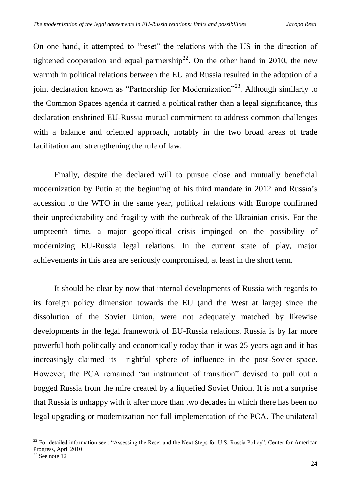On one hand, it attempted to "reset" the relations with the US in the direction of tightened cooperation and equal partnership<sup>22</sup>. On the other hand in 2010, the new warmth in political relations between the EU and Russia resulted in the adoption of a joint declaration known as "Partnership for Modernization"<sup>23</sup>. Although similarly to the Common Spaces agenda it carried a political rather than a legal significance, this declaration enshrined EU-Russia mutual commitment to address common challenges with a balance and oriented approach, notably in the two broad areas of trade facilitation and strengthening the rule of law.

Finally, despite the declared will to pursue close and mutually beneficial modernization by Putin at the beginning of his third mandate in 2012 and Russia's accession to the WTO in the same year, political relations with Europe confirmed their unpredictability and fragility with the outbreak of the Ukrainian crisis. For the umpteenth time, a major geopolitical crisis impinged on the possibility of modernizing EU-Russia legal relations. In the current state of play, major achievements in this area are seriously compromised, at least in the short term.

It should be clear by now that internal developments of Russia with regards to its foreign policy dimension towards the EU (and the West at large) since the dissolution of the Soviet Union, were not adequately matched by likewise developments in the legal framework of EU-Russia relations. Russia is by far more powerful both politically and economically today than it was 25 years ago and it has increasingly claimed its rightful sphere of influence in the post-Soviet space. However, the PCA remained "an instrument of transition" devised to pull out a bogged Russia from the mire created by a liquefied Soviet Union. It is not a surprise that Russia is unhappy with it after more than two decades in which there has been no legal upgrading or modernization nor full implementation of the PCA. The unilateral

 $22$  For detailed information see : "Assessing the Reset and the Next Steps for U.S. Russia Policy", Center for American Progress, April 2010

 $23$  See note  $12$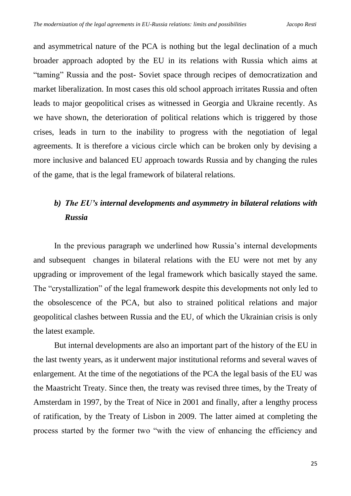and asymmetrical nature of the PCA is nothing but the legal declination of a much broader approach adopted by the EU in its relations with Russia which aims at "taming" Russia and the post- Soviet space through recipes of democratization and market liberalization. In most cases this old school approach irritates Russia and often leads to major geopolitical crises as witnessed in Georgia and Ukraine recently. As we have shown, the deterioration of political relations which is triggered by those crises, leads in turn to the inability to progress with the negotiation of legal agreements. It is therefore a vicious circle which can be broken only by devising a more inclusive and balanced EU approach towards Russia and by changing the rules of the game, that is the legal framework of bilateral relations.

# *b) The EU's internal developments and asymmetry in bilateral relations with Russia*

In the previous paragraph we underlined how Russia's internal developments and subsequent changes in bilateral relations with the EU were not met by any upgrading or improvement of the legal framework which basically stayed the same. The "crystallization" of the legal framework despite this developments not only led to the obsolescence of the PCA, but also to strained political relations and major geopolitical clashes between Russia and the EU, of which the Ukrainian crisis is only the latest example.

But internal developments are also an important part of the history of the EU in the last twenty years, as it underwent major institutional reforms and several waves of enlargement. At the time of the negotiations of the PCA the legal basis of the EU was the Maastricht Treaty. Since then, the treaty was revised three times, by the Treaty of Amsterdam in 1997, by the Treat of Nice in 2001 and finally, after a lengthy process of ratification, by the Treaty of Lisbon in 2009. The latter aimed at completing the process started by the former two "with the view of enhancing the efficiency and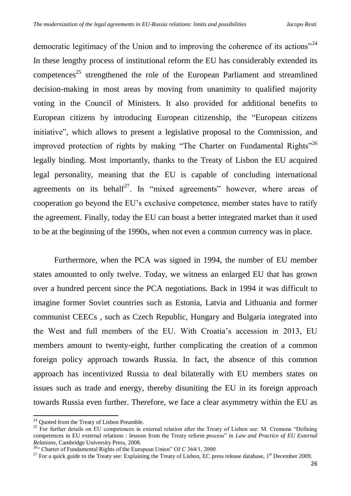democratic legitimacy of the Union and to improving the coherence of its actions"<sup>24</sup> In these lengthy process of institutional reform the EU has considerably extended its competences<sup>25</sup> strengthened the role of the European Parliament and streamlined decision-making in most areas by moving from unanimity to qualified majority voting in the Council of Ministers. It also provided for additional benefits to European citizens by introducing European citizenship, the "European citizens initiative", which allows to present a legislative proposal to the Commission, and improved protection of rights by making "The Charter on Fundamental Rights"<sup>26</sup> legally binding. Most importantly, thanks to the Treaty of Lisbon the EU acquired legal personality, meaning that the EU is capable of concluding international agreements on its behalf<sup>27</sup>. In "mixed agreements" however, where areas of cooperation go beyond the EU's exclusive competence, member states have to ratify the agreement. Finally, today the EU can boast a better integrated market than it used to be at the beginning of the 1990s, when not even a common currency was in place.

Furthermore, when the PCA was signed in 1994, the number of EU member states amounted to only twelve. Today, we witness an enlarged EU that has grown over a hundred percent since the PCA negotiations. Back in 1994 it was difficult to imagine former Soviet countries such as Estonia, Latvia and Lithuania and former communist CEECs , such as Czech Republic, Hungary and Bulgaria integrated into the West and full members of the EU. With Croatia's accession in 2013, EU members amount to twenty-eight, further complicating the creation of a common foreign policy approach towards Russia. In fact, the absence of this common approach has incentivized Russia to deal bilaterally with EU members states on issues such as trade and energy, thereby disuniting the EU in its foreign approach towards Russia even further. Therefore, we face a clear asymmetry within the EU as

.

<sup>&</sup>lt;sup>24</sup> Quoted from the Treaty of Lisbon Preamble.

 $25$  For further details on EU competences in external relation after the Treaty of Lisbon see: M. Cremona "Defining competences in EU external relations : lessons from the Treaty reform process" in *Law and Practice of EU External Relations*, Cambridge University Press, 2008.

<sup>&</sup>lt;sup>26"</sup> Charter of Fundamental Rights of the European Union" OJ C 364/1, 2000

<sup>&</sup>lt;sup>27</sup> For a quick guide to the Treaty see: Explaining the Treaty of Lisbon, EC press release database,  $1<sup>st</sup>$  December 2009.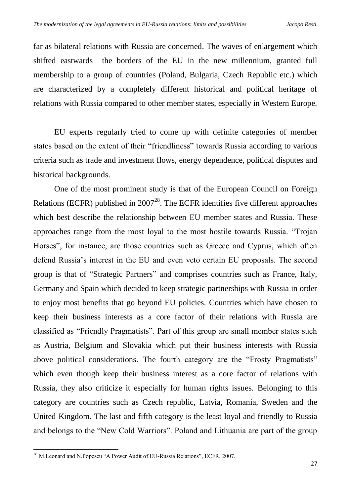far as bilateral relations with Russia are concerned. The waves of enlargement which shifted eastwards the borders of the EU in the new millennium, granted full membership to a group of countries (Poland, Bulgaria, Czech Republic etc.) which are characterized by a completely different historical and political heritage of relations with Russia compared to other member states, especially in Western Europe.

EU experts regularly tried to come up with definite categories of member states based on the extent of their "friendliness" towards Russia according to various criteria such as trade and investment flows, energy dependence, political disputes and historical backgrounds.

One of the most prominent study is that of the European Council on Foreign Relations (ECFR) published in  $2007^{28}$ . The ECFR identifies five different approaches which best describe the relationship between EU member states and Russia. These approaches range from the most loyal to the most hostile towards Russia. "Trojan Horses", for instance, are those countries such as Greece and Cyprus, which often defend Russia's interest in the EU and even veto certain EU proposals. The second group is that of "Strategic Partners" and comprises countries such as France, Italy, Germany and Spain which decided to keep strategic partnerships with Russia in order to enjoy most benefits that go beyond EU policies. Countries which have chosen to keep their business interests as a core factor of their relations with Russia are classified as "Friendly Pragmatists". Part of this group are small member states such as Austria, Belgium and Slovakia which put their business interests with Russia above political considerations. The fourth category are the "Frosty Pragmatists" which even though keep their business interest as a core factor of relations with Russia, they also criticize it especially for human rights issues. Belonging to this category are countries such as Czech republic, Latvia, Romania, Sweden and the United Kingdom. The last and fifth category is the least loyal and friendly to Russia and belongs to the "New Cold Warriors". Poland and Lithuania are part of the group

<sup>1</sup>  $^{28}$  M.Leonard and N.Popescu "A Power Audit of EU-Russia Relations", ECFR, 2007.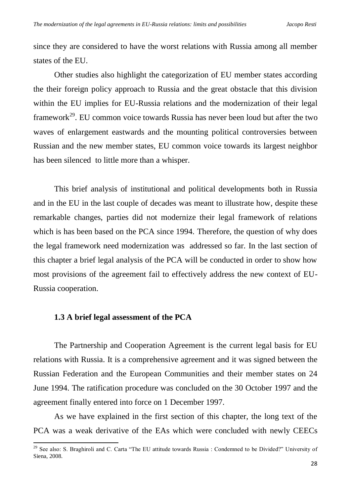since they are considered to have the worst relations with Russia among all member states of the EU.

Other studies also highlight the categorization of EU member states according the their foreign policy approach to Russia and the great obstacle that this division within the EU implies for EU-Russia relations and the modernization of their legal framework<sup>29</sup>. EU common voice towards Russia has never been loud but after the two waves of enlargement eastwards and the mounting political controversies between Russian and the new member states, EU common voice towards its largest neighbor has been silenced to little more than a whisper.

This brief analysis of institutional and political developments both in Russia and in the EU in the last couple of decades was meant to illustrate how, despite these remarkable changes, parties did not modernize their legal framework of relations which is has been based on the PCA since 1994. Therefore, the question of why does the legal framework need modernization was addressed so far. In the last section of this chapter a brief legal analysis of the PCA will be conducted in order to show how most provisions of the agreement fail to effectively address the new context of EU-Russia cooperation.

## **1.3 A brief legal assessment of the PCA**

1

The Partnership and Cooperation Agreement is the current legal basis for EU relations with Russia. It is a comprehensive agreement and it was signed between the Russian Federation and the European Communities and their member states on 24 June 1994. The ratification procedure was concluded on the 30 October 1997 and the agreement finally entered into force on 1 December 1997.

As we have explained in the first section of this chapter, the long text of the PCA was a weak derivative of the EAs which were concluded with newly CEECs

<sup>&</sup>lt;sup>29</sup> See also: S. Braghiroli and C. Carta "The EU attitude towards Russia : Condemned to be Divided?" University of Siena, 2008.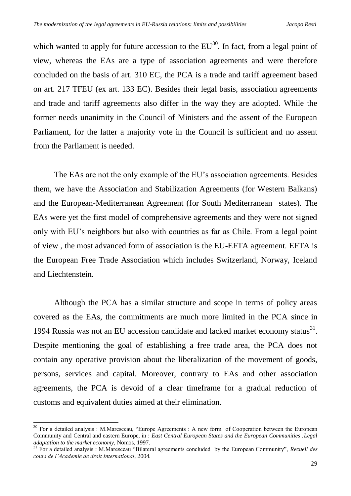which wanted to apply for future accession to the  $EU^{30}$ . In fact, from a legal point of view, whereas the EAs are a type of association agreements and were therefore concluded on the basis of art. 310 EC, the PCA is a trade and tariff agreement based on art. 217 TFEU (ex art. 133 EC). Besides their legal basis, association agreements and trade and tariff agreements also differ in the way they are adopted. While the former needs unanimity in the Council of Ministers and the assent of the European Parliament, for the latter a majority vote in the Council is sufficient and no assent from the Parliament is needed.

The EAs are not the only example of the EU's association agreements. Besides them, we have the Association and Stabilization Agreements (for Western Balkans) and the European-Mediterranean Agreement (for South Mediterranean states). The EAs were yet the first model of comprehensive agreements and they were not signed only with EU's neighbors but also with countries as far as Chile. From a legal point of view , the most advanced form of association is the EU-EFTA agreement. EFTA is the European Free Trade Association which includes Switzerland, Norway, Iceland and Liechtenstein.

Although the PCA has a similar structure and scope in terms of policy areas covered as the EAs, the commitments are much more limited in the PCA since in 1994 Russia was not an EU accession candidate and lacked market economy status $^{31}$ . Despite mentioning the goal of establishing a free trade area, the PCA does not contain any operative provision about the liberalization of the movement of goods, persons, services and capital. Moreover, contrary to EAs and other association agreements, the PCA is devoid of a clear timeframe for a gradual reduction of customs and equivalent duties aimed at their elimination.

.

<sup>&</sup>lt;sup>30</sup> For a detailed analysis : M.Maresceau, "Europe Agreements : A new form of Cooperation between the European Community and Central and eastern Europe, in : *East Central European States and the European Communities :Legal adaptation to the market economy*, Nomos, 1997.

<sup>31</sup> For a detailed analysis : M.Maresceau "Bilateral agreements concluded by the European Community", *Recueil des cours de l'Academie de droit International*, 2004.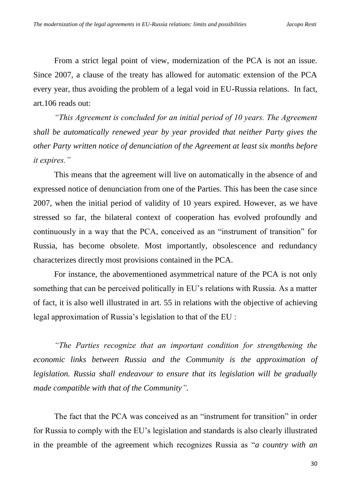From a strict legal point of view, modernization of the PCA is not an issue. Since 2007, a clause of the treaty has allowed for automatic extension of the PCA every year, thus avoiding the problem of a legal void in EU-Russia relations. In fact, art.106 reads out:

*"This Agreement is concluded for an initial period of 10 years. The Agreement shall be automatically renewed year by year provided that neither Party gives the other Party written notice of denunciation of the Agreement at least six months before it expires."*

This means that the agreement will live on automatically in the absence of and expressed notice of denunciation from one of the Parties. This has been the case since 2007, when the initial period of validity of 10 years expired. However, as we have stressed so far, the bilateral context of cooperation has evolved profoundly and continuously in a way that the PCA, conceived as an "instrument of transition" for Russia, has become obsolete. Most importantly, obsolescence and redundancy characterizes directly most provisions contained in the PCA.

For instance, the abovementioned asymmetrical nature of the PCA is not only something that can be perceived politically in EU's relations with Russia. As a matter of fact, it is also well illustrated in art. 55 in relations with the objective of achieving legal approximation of Russia's legislation to that of the EU :

*"The Parties recognize that an important condition for strengthening the economic links between Russia and the Community is the approximation of legislation. Russia shall endeavour to ensure that its legislation will be gradually made compatible with that of the Community".*

The fact that the PCA was conceived as an "instrument for transition" in order for Russia to comply with the EU's legislation and standards is also clearly illustrated in the preamble of the agreement which recognizes Russia as "*a country with an*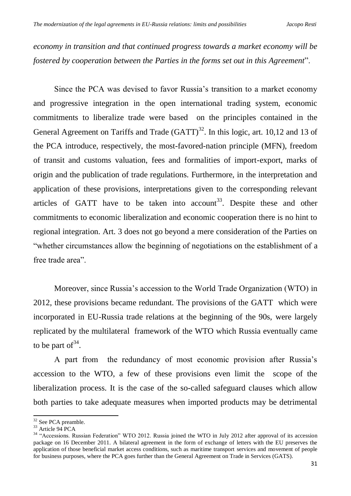*economy in transition and that continued progress towards a market economy will be fostered by cooperation between the Parties in the forms set out in this Agreement*".

Since the PCA was devised to favor Russia's transition to a market economy and progressive integration in the open international trading system, economic commitments to liberalize trade were based on the principles contained in the General Agreement on Tariffs and Trade  $(GATT)^{32}$ . In this logic, art. 10,12 and 13 of the PCA introduce, respectively, the most-favored-nation principle (MFN), freedom of transit and customs valuation, fees and formalities of import-export, marks of origin and the publication of trade regulations. Furthermore, in the interpretation and application of these provisions, interpretations given to the corresponding relevant articles of GATT have to be taken into account<sup>33</sup>. Despite these and other commitments to economic liberalization and economic cooperation there is no hint to regional integration. Art. 3 does not go beyond a mere consideration of the Parties on "whether circumstances allow the beginning of negotiations on the establishment of a free trade area".

Moreover, since Russia's accession to the World Trade Organization (WTO) in 2012, these provisions became redundant. The provisions of the GATT which were incorporated in EU-Russia trade relations at the beginning of the 90s, were largely replicated by the multilateral framework of the WTO which Russia eventually came to be part of  $34$ .

A part from the redundancy of most economic provision after Russia's accession to the WTO, a few of these provisions even limit the scope of the liberalization process. It is the case of the so-called safeguard clauses which allow both parties to take adequate measures when imported products may be detrimental

.

 $32$  See PCA preamble.

<sup>33</sup> Article 94 PCA

<sup>&</sup>lt;sup>34</sup> "Accessions. Russian Federation" WTO 2012. Russia joined the WTO in July 2012 after approval of its accession package on 16 December 2011. A bilateral agreement in the form of exchange of letters with the EU preserves the application of those beneficial market access conditions, such as maritime transport services and movement of people for business purposes, where the PCA goes further than the General Agreement on Trade in Services (GATS).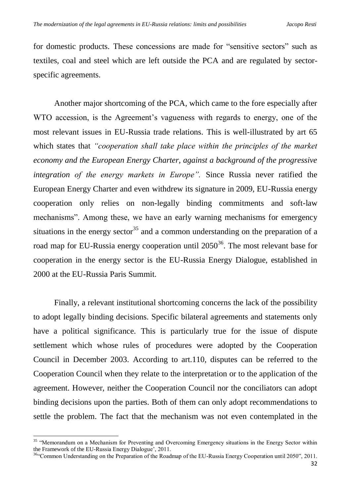for domestic products. These concessions are made for "sensitive sectors" such as textiles, coal and steel which are left outside the PCA and are regulated by sectorspecific agreements.

Another major shortcoming of the PCA, which came to the fore especially after WTO accession, is the Agreement's vagueness with regards to energy, one of the most relevant issues in EU-Russia trade relations. This is well-illustrated by art 65 which states that *"cooperation shall take place within the principles of the market economy and the European Energy Charter, against a background of the progressive integration of the energy markets in Europe".* Since Russia never ratified the European Energy Charter and even withdrew its signature in 2009, EU-Russia energy cooperation only relies on non-legally binding commitments and soft-law mechanisms". Among these, we have an early warning mechanisms for emergency situations in the energy sector<sup>35</sup> and a common understanding on the preparation of a road map for EU-Russia energy cooperation until  $2050^{36}$ . The most relevant base for cooperation in the energy sector is the EU-Russia Energy Dialogue, established in 2000 at the EU-Russia Paris Summit.

Finally, a relevant institutional shortcoming concerns the lack of the possibility to adopt legally binding decisions. Specific bilateral agreements and statements only have a political significance. This is particularly true for the issue of dispute settlement which whose rules of procedures were adopted by the Cooperation Council in December 2003. According to art.110, disputes can be referred to the Cooperation Council when they relate to the interpretation or to the application of the agreement. However, neither the Cooperation Council nor the conciliators can adopt binding decisions upon the parties. Both of them can only adopt recommendations to settle the problem. The fact that the mechanism was not even contemplated in the

<sup>&</sup>lt;sup>35</sup> "Memorandum on a Mechanism for Preventing and Overcoming Emergency situations in the Energy Sector within the Framework of the EU-Russia Energy Dialogue', 2011.

<sup>&</sup>lt;sup>36</sup>"Common Understanding on the Preparation of the Roadmap of the EU-Russia Energy Cooperation until 2050", 2011.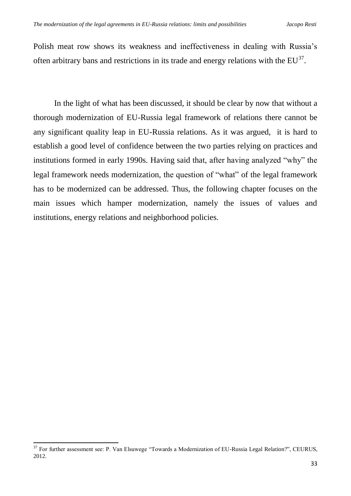Polish meat row shows its weakness and ineffectiveness in dealing with Russia's often arbitrary bans and restrictions in its trade and energy relations with the  $EU^{37}$ .

In the light of what has been discussed, it should be clear by now that without a thorough modernization of EU-Russia legal framework of relations there cannot be any significant quality leap in EU-Russia relations. As it was argued, it is hard to establish a good level of confidence between the two parties relying on practices and institutions formed in early 1990s. Having said that, after having analyzed "why" the legal framework needs modernization, the question of "what" of the legal framework has to be modernized can be addressed. Thus, the following chapter focuses on the main issues which hamper modernization, namely the issues of values and institutions, energy relations and neighborhood policies.

<sup>&</sup>lt;sup>37</sup> For further assessment see: P. Van Elsuwege "Towards a Modernization of EU-Russia Legal Relation?", CEURUS, 2012.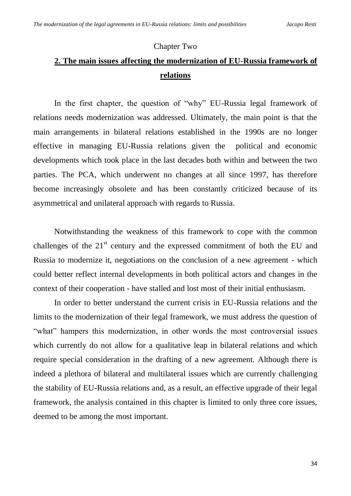## Chapter Two

# **2. The main issues affecting the modernization of EU-Russia framework of relations**

In the first chapter, the question of "why" EU-Russia legal framework of relations needs modernization was addressed. Ultimately, the main point is that the main arrangements in bilateral relations established in the 1990s are no longer effective in managing EU-Russia relations given the political and economic developments which took place in the last decades both within and between the two parties. The PCA, which underwent no changes at all since 1997, has therefore become increasingly obsolete and has been constantly criticized because of its asymmetrical and unilateral approach with regards to Russia.

Notwithstanding the weakness of this framework to cope with the common challenges of the  $21<sup>st</sup>$  century and the expressed commitment of both the EU and Russia to modernize it, negotiations on the conclusion of a new agreement - which could better reflect internal developments in both political actors and changes in the context of their cooperation - have stalled and lost most of their initial enthusiasm.

In order to better understand the current crisis in EU-Russia relations and the limits to the modernization of their legal framework, we must address the question of "what" hampers this modernization, in other words the most controversial issues which currently do not allow for a qualitative leap in bilateral relations and which require special consideration in the drafting of a new agreement. Although there is indeed a plethora of bilateral and multilateral issues which are currently challenging the stability of EU-Russia relations and, as a result, an effective upgrade of their legal framework, the analysis contained in this chapter is limited to only three core issues, deemed to be among the most important.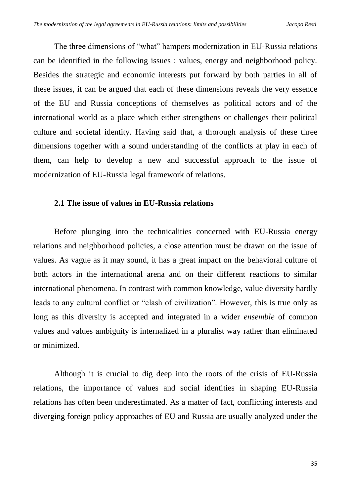The three dimensions of "what" hampers modernization in EU-Russia relations can be identified in the following issues : values, energy and neighborhood policy. Besides the strategic and economic interests put forward by both parties in all of these issues, it can be argued that each of these dimensions reveals the very essence of the EU and Russia conceptions of themselves as political actors and of the international world as a place which either strengthens or challenges their political culture and societal identity. Having said that, a thorough analysis of these three dimensions together with a sound understanding of the conflicts at play in each of them, can help to develop a new and successful approach to the issue of modernization of EU-Russia legal framework of relations.

## **2.1 The issue of values in EU-Russia relations**

Before plunging into the technicalities concerned with EU-Russia energy relations and neighborhood policies, a close attention must be drawn on the issue of values. As vague as it may sound, it has a great impact on the behavioral culture of both actors in the international arena and on their different reactions to similar international phenomena. In contrast with common knowledge, value diversity hardly leads to any cultural conflict or "clash of civilization". However, this is true only as long as this diversity is accepted and integrated in a wider *ensemble* of common values and values ambiguity is internalized in a pluralist way rather than eliminated or minimized.

Although it is crucial to dig deep into the roots of the crisis of EU-Russia relations, the importance of values and social identities in shaping EU-Russia relations has often been underestimated. As a matter of fact, conflicting interests and diverging foreign policy approaches of EU and Russia are usually analyzed under the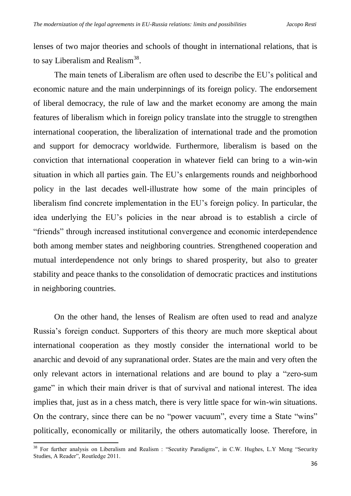lenses of two major theories and schools of thought in international relations, that is to say Liberalism and Realism<sup>38</sup>.

The main tenets of Liberalism are often used to describe the EU's political and economic nature and the main underpinnings of its foreign policy. The endorsement of liberal democracy, the rule of law and the market economy are among the main features of liberalism which in foreign policy translate into the struggle to strengthen international cooperation, the liberalization of international trade and the promotion and support for democracy worldwide. Furthermore, liberalism is based on the conviction that international cooperation in whatever field can bring to a win-win situation in which all parties gain. The EU's enlargements rounds and neighborhood policy in the last decades well-illustrate how some of the main principles of liberalism find concrete implementation in the EU's foreign policy. In particular, the idea underlying the EU's policies in the near abroad is to establish a circle of "friends" through increased institutional convergence and economic interdependence both among member states and neighboring countries. Strengthened cooperation and mutual interdependence not only brings to shared prosperity, but also to greater stability and peace thanks to the consolidation of democratic practices and institutions in neighboring countries.

On the other hand, the lenses of Realism are often used to read and analyze Russia's foreign conduct. Supporters of this theory are much more skeptical about international cooperation as they mostly consider the international world to be anarchic and devoid of any supranational order. States are the main and very often the only relevant actors in international relations and are bound to play a "zero-sum game" in which their main driver is that of survival and national interest. The idea implies that, just as in a chess match, there is very little space for win-win situations. On the contrary, since there can be no "power vacuum", every time a State "wins" politically, economically or militarily, the others automatically loose. Therefore, in

<sup>&</sup>lt;sup>38</sup> For further analysis on Liberalism and Realism : "Secutity Paradigms", in C.W. Hughes, L.Y Meng "Security Studies, A Reader", Routledge 2011.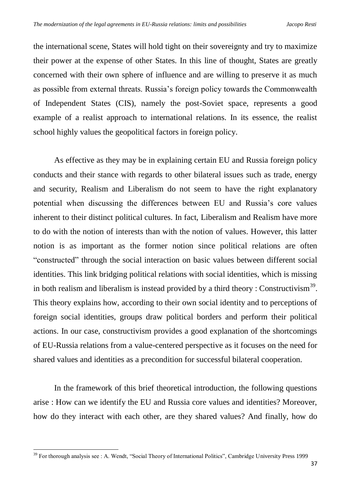the international scene, States will hold tight on their sovereignty and try to maximize their power at the expense of other States. In this line of thought, States are greatly concerned with their own sphere of influence and are willing to preserve it as much as possible from external threats. Russia's foreign policy towards the Commonwealth of Independent States (CIS), namely the post-Soviet space, represents a good example of a realist approach to international relations. In its essence, the realist school highly values the geopolitical factors in foreign policy.

As effective as they may be in explaining certain EU and Russia foreign policy conducts and their stance with regards to other bilateral issues such as trade, energy and security, Realism and Liberalism do not seem to have the right explanatory potential when discussing the differences between EU and Russia's core values inherent to their distinct political cultures. In fact, Liberalism and Realism have more to do with the notion of interests than with the notion of values. However, this latter notion is as important as the former notion since political relations are often "constructed" through the social interaction on basic values between different social identities. This link bridging political relations with social identities, which is missing in both realism and liberalism is instead provided by a third theory : Constructivism<sup>39</sup>. This theory explains how, according to their own social identity and to perceptions of foreign social identities, groups draw political borders and perform their political actions. In our case, constructivism provides a good explanation of the shortcomings of EU-Russia relations from a value-centered perspective as it focuses on the need for shared values and identities as a precondition for successful bilateral cooperation.

In the framework of this brief theoretical introduction, the following questions arise : How can we identify the EU and Russia core values and identities? Moreover, how do they interact with each other, are they shared values? And finally, how do

<sup>&</sup>lt;sup>39</sup> For thorough analysis see : A. Wendt, "Social Theory of International Politics", Cambridge University Press 1999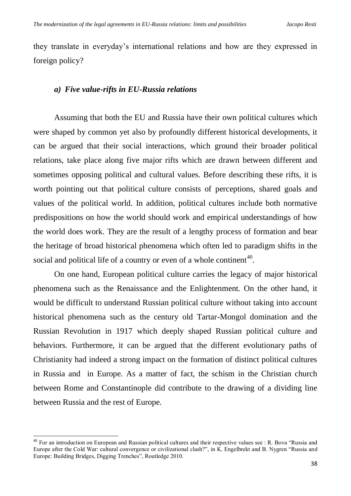they translate in everyday's international relations and how are they expressed in foreign policy?

## *a) Five value-rifts in EU-Russia relations*

Assuming that both the EU and Russia have their own political cultures which were shaped by common yet also by profoundly different historical developments, it can be argued that their social interactions, which ground their broader political relations, take place along five major rifts which are drawn between different and sometimes opposing political and cultural values. Before describing these rifts, it is worth pointing out that political culture consists of perceptions, shared goals and values of the political world. In addition, political cultures include both normative predispositions on how the world should work and empirical understandings of how the world does work. They are the result of a lengthy process of formation and bear the heritage of broad historical phenomena which often led to paradigm shifts in the social and political life of a country or even of a whole continent<sup>40</sup>.

On one hand, European political culture carries the legacy of major historical phenomena such as the Renaissance and the Enlightenment. On the other hand, it would be difficult to understand Russian political culture without taking into account historical phenomena such as the century old Tartar-Mongol domination and the Russian Revolution in 1917 which deeply shaped Russian political culture and behaviors. Furthermore, it can be argued that the different evolutionary paths of Christianity had indeed a strong impact on the formation of distinct political cultures in Russia and in Europe. As a matter of fact, the schism in the Christian church between Rome and Constantinople did contribute to the drawing of a dividing line between Russia and the rest of Europe.

 $40$  For an introduction on European and Russian political cultures and their respective values see : R. Bova "Russia and Europe after the Cold War: cultural convergence or civilizational clash?", in K. Engelbrekt and B. Nygren "Russia and Europe: Building Bridges, Digging Trenches", Routledge 2010.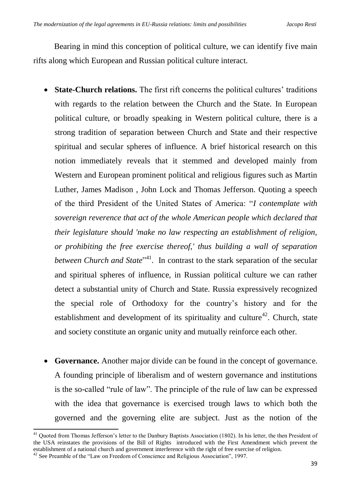Bearing in mind this conception of political culture, we can identify five main rifts along which European and Russian political culture interact.

- **State-Church relations.** The first rift concerns the political cultures' traditions with regards to the relation between the Church and the State. In European political culture, or broadly speaking in Western political culture, there is a strong tradition of separation between Church and State and their respective spiritual and secular spheres of influence. A brief historical research on this notion immediately reveals that it stemmed and developed mainly from Western and European prominent political and religious figures such as Martin Luther, James Madison , John Lock and Thomas Jefferson. Quoting a speech of the third President of the United States of America: "*I contemplate with sovereign reverence that act of the whole American people which declared that their legislature should 'make no law respecting an establishment of religion, or prohibiting the free exercise thereof,' thus building a wall of separation between Church and State*<sup>, 41</sup>. In contrast to the stark separation of the secular and spiritual spheres of influence, in Russian political culture we can rather detect a substantial unity of Church and State. Russia expressively recognized the special role of Orthodoxy for the country's history and for the establishment and development of its spirituality and culture<sup>42</sup>. Church, state and society constitute an organic unity and mutually reinforce each other.
- **Governance.** Another major divide can be found in the concept of governance. A founding principle of liberalism and of western governance and institutions is the so-called "rule of law". The principle of the rule of law can be expressed with the idea that governance is exercised trough laws to which both the governed and the governing elite are subject. Just as the notion of the

<sup>1</sup> <sup>41</sup> Quoted from Thomas Jefferson's letter to the Danbury Baptists Association (1802). In his letter, the then President of the USA reinstates the provisions of the Bill of Rights introduced with the First Amendment which prevent the establishment of a national church and government interference with the right of free exercise of religion.

<sup>&</sup>lt;sup>42</sup> See Preamble of the "Law on Freedom of Conscience and Religious Association", 1997.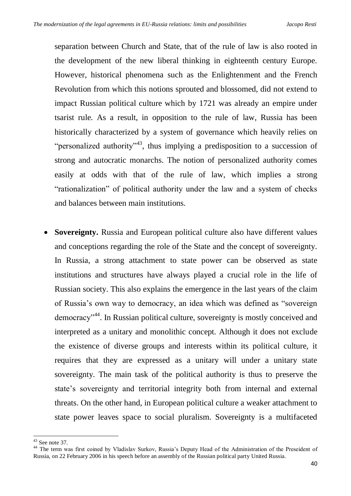separation between Church and State, that of the rule of law is also rooted in the development of the new liberal thinking in eighteenth century Europe. However, historical phenomena such as the Enlightenment and the French Revolution from which this notions sprouted and blossomed, did not extend to impact Russian political culture which by 1721 was already an empire under tsarist rule. As a result, in opposition to the rule of law, Russia has been historically characterized by a system of governance which heavily relies on "personalized authority"<sup>43</sup>, thus implying a predisposition to a succession of strong and autocratic monarchs. The notion of personalized authority comes easily at odds with that of the rule of law, which implies a strong "rationalization" of political authority under the law and a system of checks and balances between main institutions.

 **Sovereignty.** Russia and European political culture also have different values and conceptions regarding the role of the State and the concept of sovereignty. In Russia, a strong attachment to state power can be observed as state institutions and structures have always played a crucial role in the life of Russian society. This also explains the emergence in the last years of the claim of Russia's own way to democracy, an idea which was defined as "sovereign democracy"<sup>44</sup>. In Russian political culture, sovereignty is mostly conceived and interpreted as a unitary and monolithic concept. Although it does not exclude the existence of diverse groups and interests within its political culture, it requires that they are expressed as a unitary will under a unitary state sovereignty. The main task of the political authority is thus to preserve the state's sovereignty and territorial integrity both from internal and external threats. On the other hand, in European political culture a weaker attachment to state power leaves space to social pluralism. Sovereignty is a multifaceted

<sup>1</sup>  $43$  See note 37.

<sup>&</sup>lt;sup>44</sup> The term was first coined by Vladislav Surkov, Russia's Deputy Head of the Administration of the Preseident of Russia, on 22 February 2006 in his speech before an assembly of the Russian political party United Russia.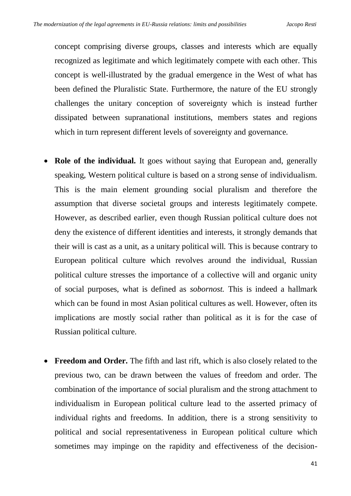concept comprising diverse groups, classes and interests which are equally recognized as legitimate and which legitimately compete with each other. This concept is well-illustrated by the gradual emergence in the West of what has been defined the Pluralistic State. Furthermore, the nature of the EU strongly challenges the unitary conception of sovereignty which is instead further dissipated between supranational institutions, members states and regions which in turn represent different levels of sovereignty and governance.

- **Role of the individual.** It goes without saying that European and, generally speaking, Western political culture is based on a strong sense of individualism. This is the main element grounding social pluralism and therefore the assumption that diverse societal groups and interests legitimately compete. However, as described earlier, even though Russian political culture does not deny the existence of different identities and interests, it strongly demands that their will is cast as a unit, as a unitary political will. This is because contrary to European political culture which revolves around the individual, Russian political culture stresses the importance of a collective will and organic unity of social purposes, what is defined as *sobornost.* This is indeed a hallmark which can be found in most Asian political cultures as well. However, often its implications are mostly social rather than political as it is for the case of Russian political culture.
- **Freedom and Order.** The fifth and last rift, which is also closely related to the previous two, can be drawn between the values of freedom and order. The combination of the importance of social pluralism and the strong attachment to individualism in European political culture lead to the asserted primacy of individual rights and freedoms. In addition, there is a strong sensitivity to political and social representativeness in European political culture which sometimes may impinge on the rapidity and effectiveness of the decision-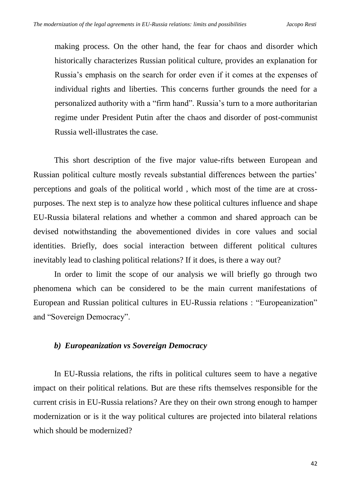making process. On the other hand, the fear for chaos and disorder which historically characterizes Russian political culture, provides an explanation for Russia's emphasis on the search for order even if it comes at the expenses of individual rights and liberties. This concerns further grounds the need for a personalized authority with a "firm hand". Russia's turn to a more authoritarian regime under President Putin after the chaos and disorder of post-communist Russia well-illustrates the case.

This short description of the five major value-rifts between European and Russian political culture mostly reveals substantial differences between the parties' perceptions and goals of the political world , which most of the time are at crosspurposes. The next step is to analyze how these political cultures influence and shape EU-Russia bilateral relations and whether a common and shared approach can be devised notwithstanding the abovementioned divides in core values and social identities. Briefly, does social interaction between different political cultures inevitably lead to clashing political relations? If it does, is there a way out?

In order to limit the scope of our analysis we will briefly go through two phenomena which can be considered to be the main current manifestations of European and Russian political cultures in EU-Russia relations : "Europeanization" and "Sovereign Democracy".

#### *b) Europeanization vs Sovereign Democracy*

In EU-Russia relations, the rifts in political cultures seem to have a negative impact on their political relations. But are these rifts themselves responsible for the current crisis in EU-Russia relations? Are they on their own strong enough to hamper modernization or is it the way political cultures are projected into bilateral relations which should be modernized?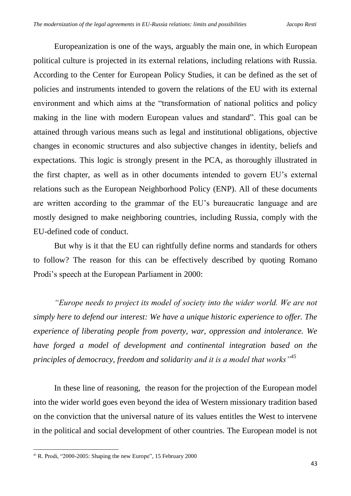Europeanization is one of the ways, arguably the main one, in which European political culture is projected in its external relations, including relations with Russia. According to the Center for European Policy Studies, it can be defined as the set of policies and instruments intended to govern the relations of the EU with its external environment and which aims at the "transformation of national politics and policy making in the line with modern European values and standard". This goal can be attained through various means such as legal and institutional obligations, objective changes in economic structures and also subjective changes in identity, beliefs and expectations. This logic is strongly present in the PCA, as thoroughly illustrated in the first chapter, as well as in other documents intended to govern EU's external relations such as the European Neighborhood Policy (ENP). All of these documents are written according to the grammar of the EU's bureaucratic language and are mostly designed to make neighboring countries, including Russia, comply with the EU-defined code of conduct.

But why is it that the EU can rightfully define norms and standards for others to follow? The reason for this can be effectively described by quoting Romano Prodi's speech at the European Parliament in 2000:

*"Europe needs to project its model of society into the wider world. We are not simply here to defend our interest: We have a unique historic experience to offer. The experience of liberating people from poverty, war, oppression and intolerance. We have forged a model of development and continental integration based on the principles of democracy, freedom and solidarity and it is a model that works"<sup>45</sup>*

In these line of reasoning, the reason for the projection of the European model into the wider world goes even beyond the idea of Western missionary tradition based on the conviction that the universal nature of its values entitles the West to intervene in the political and social development of other countries. The European model is not

<sup>1</sup> <sup>45</sup> R. Prodi, "2000-2005: Shaping the new Europe", 15 February 2000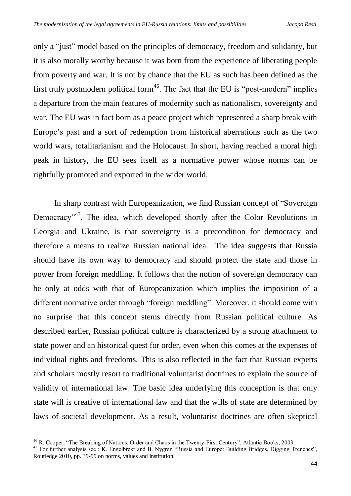only a "just" model based on the principles of democracy, freedom and solidarity, but it is also morally worthy because it was born from the experience of liberating people from poverty and war. It is not by chance that the EU as such has been defined as the first truly postmodern political form<sup>46</sup>. The fact that the EU is "post-modern" implies a departure from the main features of modernity such as nationalism, sovereignty and war. The EU was in fact born as a peace project which represented a sharp break with Europe's past and a sort of redemption from historical aberrations such as the two world wars, totalitarianism and the Holocaust. In short, having reached a moral high peak in history, the EU sees itself as a normative power whose norms can be rightfully promoted and exported in the wider world.

In sharp contrast with Europeanization, we find Russian concept of "Sovereign Democracy<sup>"47</sup>. The idea, which developed shortly after the Color Revolutions in Georgia and Ukraine, is that sovereignty is a precondition for democracy and therefore a means to realize Russian national idea. The idea suggests that Russia should have its own way to democracy and should protect the state and those in power from foreign meddling. It follows that the notion of sovereign democracy can be only at odds with that of Europeanization which implies the imposition of a different normative order through "foreign meddling". Moreover, it should come with no surprise that this concept stems directly from Russian political culture. As described earlier, Russian political culture is characterized by a strong attachment to state power and an historical quest for order, even when this comes at the expenses of individual rights and freedoms. This is also reflected in the fact that Russian experts and scholars mostly resort to traditional voluntarist doctrines to explain the source of validity of international law. The basic idea underlying this conception is that only state will is creative of international law and that the wills of state are determined by laws of societal development. As a result, voluntarist doctrines are often skeptical

<sup>&</sup>lt;sup>46</sup> R. Cooper, "The Breaking of Nations. Order and Chaos in the Twenty-First Century", Atlantic Books, 2003.

<sup>47</sup> For further analysis see : K. Engelbrekt and B. Nygren "Russia and Europe: Building Bridges, Digging Trenches", Routledge 2010, pp. 39-99 on norms, values and institution.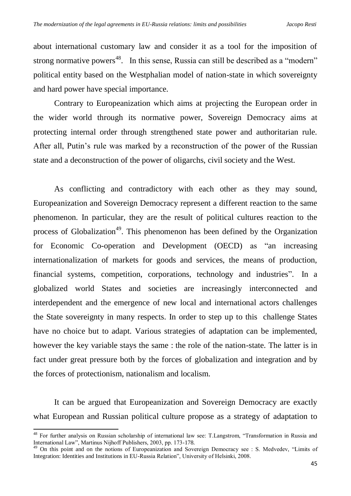about international customary law and consider it as a tool for the imposition of strong normative powers<sup>48</sup>. In this sense, Russia can still be described as a "modern" political entity based on the Westphalian model of nation-state in which sovereignty and hard power have special importance.

Contrary to Europeanization which aims at projecting the European order in the wider world through its normative power, Sovereign Democracy aims at protecting internal order through strengthened state power and authoritarian rule. After all, Putin's rule was marked by a reconstruction of the power of the Russian state and a deconstruction of the power of oligarchs, civil society and the West.

As conflicting and contradictory with each other as they may sound, Europeanization and Sovereign Democracy represent a different reaction to the same phenomenon. In particular, they are the result of political cultures reaction to the process of Globalization<sup>49</sup>. This phenomenon has been defined by the Organization for Economic Co-operation and Development (OECD) as "an increasing internationalization of markets for goods and services, the means of production, financial systems, competition, corporations, technology and industries". In a globalized world States and societies are increasingly interconnected and interdependent and the emergence of new local and international actors challenges the State sovereignty in many respects. In order to step up to this challenge States have no choice but to adapt. Various strategies of adaptation can be implemented, however the key variable stays the same : the role of the nation-state. The latter is in fact under great pressure both by the forces of globalization and integration and by the forces of protectionism, nationalism and localism.

It can be argued that Europeanization and Sovereign Democracy are exactly what European and Russian political culture propose as a strategy of adaptation to

<sup>&</sup>lt;sup>48</sup> For further analysis on Russian scholarship of international law see: T.Langstrom, "Transformation in Russia and International Law", Martinus Nijhoff Publishers, 2003, pp. 173-178.

<sup>&</sup>lt;sup>49</sup> On this point and on the notions of Europeanization and Sovereign Democracy see : S. Medvedev, "Limits of Integration: Identities and Institutions in EU-Russia Relation", University of Helsinki, 2008.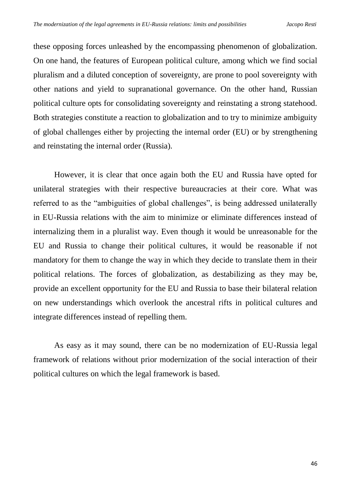these opposing forces unleashed by the encompassing phenomenon of globalization. On one hand, the features of European political culture, among which we find social pluralism and a diluted conception of sovereignty, are prone to pool sovereignty with other nations and yield to supranational governance. On the other hand, Russian political culture opts for consolidating sovereignty and reinstating a strong statehood. Both strategies constitute a reaction to globalization and to try to minimize ambiguity of global challenges either by projecting the internal order (EU) or by strengthening and reinstating the internal order (Russia).

However, it is clear that once again both the EU and Russia have opted for unilateral strategies with their respective bureaucracies at their core. What was referred to as the "ambiguities of global challenges", is being addressed unilaterally in EU-Russia relations with the aim to minimize or eliminate differences instead of internalizing them in a pluralist way. Even though it would be unreasonable for the EU and Russia to change their political cultures, it would be reasonable if not mandatory for them to change the way in which they decide to translate them in their political relations. The forces of globalization, as destabilizing as they may be, provide an excellent opportunity for the EU and Russia to base their bilateral relation on new understandings which overlook the ancestral rifts in political cultures and integrate differences instead of repelling them.

As easy as it may sound, there can be no modernization of EU-Russia legal framework of relations without prior modernization of the social interaction of their political cultures on which the legal framework is based.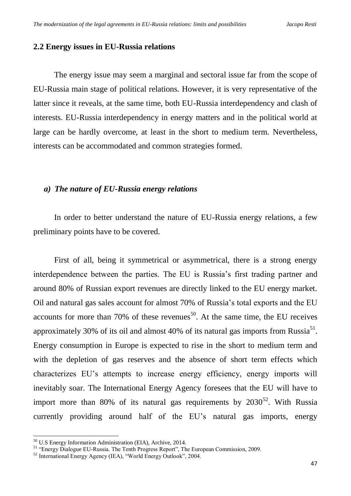#### **2.2 Energy issues in EU-Russia relations**

The energy issue may seem a marginal and sectoral issue far from the scope of EU-Russia main stage of political relations. However, it is very representative of the latter since it reveals, at the same time, both EU-Russia interdependency and clash of interests. EU-Russia interdependency in energy matters and in the political world at large can be hardly overcome, at least in the short to medium term. Nevertheless, interests can be accommodated and common strategies formed.

#### *a) The nature of EU-Russia energy relations*

In order to better understand the nature of EU-Russia energy relations, a few preliminary points have to be covered.

First of all, being it symmetrical or asymmetrical, there is a strong energy interdependence between the parties. The EU is Russia's first trading partner and around 80% of Russian export revenues are directly linked to the EU energy market. Oil and natural gas sales account for almost 70% of Russia's total exports and the EU accounts for more than 70% of these revenues<sup>50</sup>. At the same time, the EU receives approximately 30% of its oil and almost 40% of its natural gas imports from Russia<sup>51</sup>. Energy consumption in Europe is expected to rise in the short to medium term and with the depletion of gas reserves and the absence of short term effects which characterizes EU's attempts to increase energy efficiency, energy imports will inevitably soar. The International Energy Agency foresees that the EU will have to import more than 80% of its natural gas requirements by  $2030^{52}$ . With Russia currently providing around half of the EU's natural gas imports, energy

<sup>&</sup>lt;sup>50</sup> U.S Energy Information Administration (EIA), Archive, 2014.

<sup>&</sup>lt;sup>51</sup> "Energy Dialogue EU-Russia. The Tenth Progress Report", The European Commission, 2009.

<sup>52</sup> International Energy Agency (IEA), "World Energy Outlook", 2004.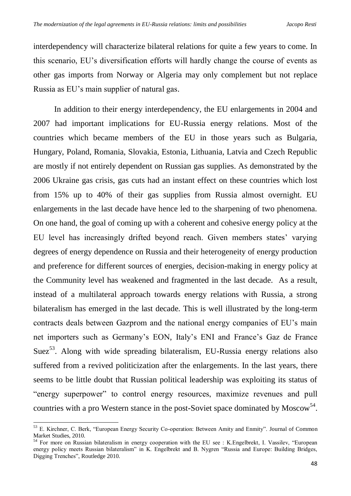interdependency will characterize bilateral relations for quite a few years to come. In this scenario, EU's diversification efforts will hardly change the course of events as other gas imports from Norway or Algeria may only complement but not replace Russia as EU's main supplier of natural gas.

In addition to their energy interdependency, the EU enlargements in 2004 and 2007 had important implications for EU-Russia energy relations. Most of the countries which became members of the EU in those years such as Bulgaria, Hungary, Poland, Romania, Slovakia, Estonia, Lithuania, Latvia and Czech Republic are mostly if not entirely dependent on Russian gas supplies. As demonstrated by the 2006 Ukraine gas crisis, gas cuts had an instant effect on these countries which lost from 15% up to 40% of their gas supplies from Russia almost overnight. EU enlargements in the last decade have hence led to the sharpening of two phenomena. On one hand, the goal of coming up with a coherent and cohesive energy policy at the EU level has increasingly drifted beyond reach. Given members states' varying degrees of energy dependence on Russia and their heterogeneity of energy production and preference for different sources of energies, decision-making in energy policy at the Community level has weakened and fragmented in the last decade. As a result, instead of a multilateral approach towards energy relations with Russia, a strong bilateralism has emerged in the last decade. This is well illustrated by the long-term contracts deals between Gazprom and the national energy companies of EU's main net importers such as Germany's EON, Italy's ENI and France's Gaz de France Suez<sup>53</sup>. Along with wide spreading bilateralism, EU-Russia energy relations also suffered from a revived politicization after the enlargements. In the last years, there seems to be little doubt that Russian political leadership was exploiting its status of "energy superpower" to control energy resources, maximize revenues and pull countries with a pro Western stance in the post-Soviet space dominated by Moscow<sup>54</sup>.

.

<sup>53</sup> E. Kirchner, C. Berk, "European Energy Security Co-operation: Between Amity and Enmity". Journal of Common Market Studies, 2010*.*

<sup>54</sup> For more on Russian bilateralism in energy cooperation with the EU see : K.Engelbrekt, I. Vassilev, "European energy policy meets Russian bilateralism" in K. Engelbrekt and B. Nygren "Russia and Europe: Building Bridges, Digging Trenches", Routledge 2010.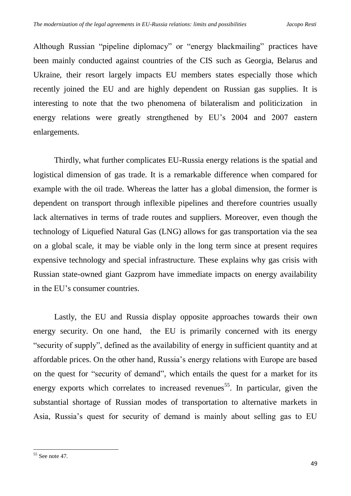Although Russian "pipeline diplomacy" or "energy blackmailing" practices have been mainly conducted against countries of the CIS such as Georgia, Belarus and Ukraine, their resort largely impacts EU members states especially those which recently joined the EU and are highly dependent on Russian gas supplies. It is interesting to note that the two phenomena of bilateralism and politicization in energy relations were greatly strengthened by EU's 2004 and 2007 eastern enlargements.

Thirdly, what further complicates EU-Russia energy relations is the spatial and logistical dimension of gas trade. It is a remarkable difference when compared for example with the oil trade. Whereas the latter has a global dimension, the former is dependent on transport through inflexible pipelines and therefore countries usually lack alternatives in terms of trade routes and suppliers. Moreover, even though the technology of Liquefied Natural Gas (LNG) allows for gas transportation via the sea on a global scale, it may be viable only in the long term since at present requires expensive technology and special infrastructure. These explains why gas crisis with Russian state-owned giant Gazprom have immediate impacts on energy availability in the EU's consumer countries.

Lastly, the EU and Russia display opposite approaches towards their own energy security. On one hand, the EU is primarily concerned with its energy "security of supply", defined as the availability of energy in sufficient quantity and at affordable prices. On the other hand, Russia's energy relations with Europe are based on the quest for "security of demand", which entails the quest for a market for its energy exports which correlates to increased revenues<sup>55</sup>. In particular, given the substantial shortage of Russian modes of transportation to alternative markets in Asia, Russia's quest for security of demand is mainly about selling gas to EU

<sup>1</sup>  $55$  See note 47.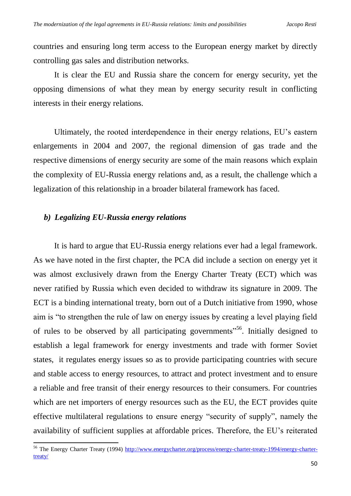countries and ensuring long term access to the European energy market by directly controlling gas sales and distribution networks.

It is clear the EU and Russia share the concern for energy security, yet the opposing dimensions of what they mean by energy security result in conflicting interests in their energy relations.

Ultimately, the rooted interdependence in their energy relations, EU's eastern enlargements in 2004 and 2007, the regional dimension of gas trade and the respective dimensions of energy security are some of the main reasons which explain the complexity of EU-Russia energy relations and, as a result, the challenge which a legalization of this relationship in a broader bilateral framework has faced.

### *b) Legalizing EU-Russia energy relations*

1

It is hard to argue that EU-Russia energy relations ever had a legal framework. As we have noted in the first chapter, the PCA did include a section on energy yet it was almost exclusively drawn from the Energy Charter Treaty (ECT) which was never ratified by Russia which even decided to withdraw its signature in 2009. The ECT is a binding international treaty, born out of a Dutch initiative from 1990, whose aim is "to strengthen the rule of law on energy issues by creating a level playing field of rules to be observed by all participating governments"<sup>56</sup>. Initially designed to establish a legal framework for energy investments and trade with former Soviet states, it regulates energy issues so as to provide participating countries with secure and stable access to energy resources, to attract and protect investment and to ensure a reliable and free transit of their energy resources to their consumers. For countries which are net importers of energy resources such as the EU, the ECT provides quite effective multilateral regulations to ensure energy "security of supply", namely the availability of sufficient supplies at affordable prices. Therefore, the EU's reiterated

<sup>&</sup>lt;sup>56</sup> The Energy Charter Treaty (1994) [http://www.energycharter.org/process/energy-charter-treaty-1994/energy-charter](http://www.energycharter.org/process/energy-charter-treaty-1994/energy-charter-treaty/)[treaty/](http://www.energycharter.org/process/energy-charter-treaty-1994/energy-charter-treaty/)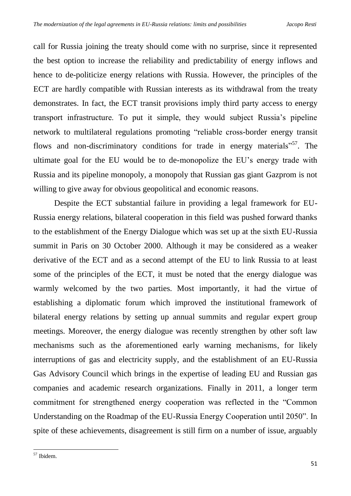call for Russia joining the treaty should come with no surprise, since it represented the best option to increase the reliability and predictability of energy inflows and hence to de-politicize energy relations with Russia. However, the principles of the ECT are hardly compatible with Russian interests as its withdrawal from the treaty demonstrates. In fact, the ECT transit provisions imply third party access to energy transport infrastructure. To put it simple, they would subject Russia's pipeline network to multilateral regulations promoting "reliable cross-border energy transit flows and non-discriminatory conditions for trade in energy materials"<sup>57</sup>. The ultimate goal for the EU would be to de-monopolize the EU's energy trade with Russia and its pipeline monopoly, a monopoly that Russian gas giant Gazprom is not willing to give away for obvious geopolitical and economic reasons.

Despite the ECT substantial failure in providing a legal framework for EU-Russia energy relations, bilateral cooperation in this field was pushed forward thanks to the establishment of the Energy Dialogue which was set up at the sixth EU-Russia summit in Paris on 30 October 2000. Although it may be considered as a weaker derivative of the ECT and as a second attempt of the EU to link Russia to at least some of the principles of the ECT, it must be noted that the energy dialogue was warmly welcomed by the two parties. Most importantly, it had the virtue of establishing a diplomatic forum which improved the institutional framework of bilateral energy relations by setting up annual summits and regular expert group meetings. Moreover, the energy dialogue was recently strengthen by other soft law mechanisms such as the aforementioned early warning mechanisms, for likely interruptions of gas and electricity supply, and the establishment of an EU-Russia Gas Advisory Council which brings in the expertise of leading EU and Russian gas companies and academic research organizations. Finally in 2011, a longer term commitment for strengthened energy cooperation was reflected in the "Common Understanding on the Roadmap of the EU-Russia Energy Cooperation until 2050". In spite of these achievements, disagreement is still firm on a number of issue, arguably

<sup>1</sup> <sup>57</sup> Ibidem.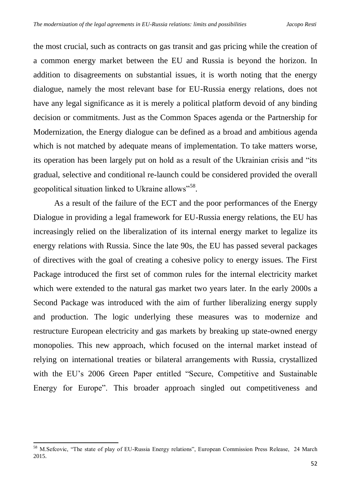the most crucial, such as contracts on gas transit and gas pricing while the creation of a common energy market between the EU and Russia is beyond the horizon. In addition to disagreements on substantial issues, it is worth noting that the energy dialogue, namely the most relevant base for EU-Russia energy relations, does not have any legal significance as it is merely a political platform devoid of any binding decision or commitments. Just as the Common Spaces agenda or the Partnership for Modernization, the Energy dialogue can be defined as a broad and ambitious agenda which is not matched by adequate means of implementation. To take matters worse, its operation has been largely put on hold as a result of the Ukrainian crisis and "its gradual, selective and conditional re-launch could be considered provided the overall geopolitical situation linked to Ukraine allows"<sup>58</sup>.

As a result of the failure of the ECT and the poor performances of the Energy Dialogue in providing a legal framework for EU-Russia energy relations, the EU has increasingly relied on the liberalization of its internal energy market to legalize its energy relations with Russia. Since the late 90s, the EU has passed several packages of directives with the goal of creating a cohesive policy to energy issues. The First Package introduced the first set of common rules for the internal electricity market which were extended to the natural gas market two years later. In the early 2000s a Second Package was introduced with the aim of further liberalizing energy supply and production. The logic underlying these measures was to modernize and restructure European electricity and gas markets by breaking up state-owned energy monopolies. This new approach, which focused on the internal market instead of relying on international treaties or bilateral arrangements with Russia, crystallized with the EU's 2006 Green Paper entitled "Secure, Competitive and Sustainable Energy for Europe". This broader approach singled out competitiveness and

<sup>&</sup>lt;sup>58</sup> M.Sefcovic, "The state of play of EU-Russia Energy relations", European Commission Press Release, 24 March 2015.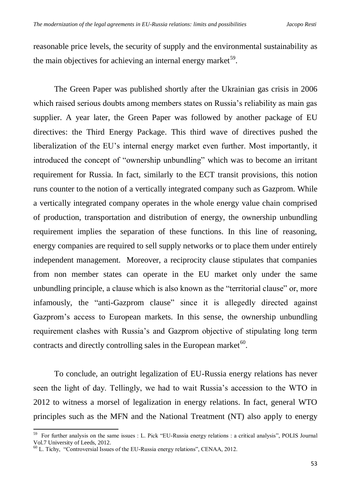reasonable price levels, the security of supply and the environmental sustainability as the main objectives for achieving an internal energy market<sup>59</sup>.

The Green Paper was published shortly after the Ukrainian gas crisis in 2006 which raised serious doubts among members states on Russia's reliability as main gas supplier. A year later, the Green Paper was followed by another package of EU directives: the Third Energy Package. This third wave of directives pushed the liberalization of the EU's internal energy market even further. Most importantly, it introduced the concept of "ownership unbundling" which was to become an irritant requirement for Russia. In fact, similarly to the ECT transit provisions, this notion runs counter to the notion of a vertically integrated company such as Gazprom. While a vertically integrated company operates in the whole energy value chain comprised of production, transportation and distribution of energy, the ownership unbundling requirement implies the separation of these functions. In this line of reasoning, energy companies are required to sell supply networks or to place them under entirely independent management. Moreover, a reciprocity clause stipulates that companies from non member states can operate in the EU market only under the same unbundling principle, a clause which is also known as the "territorial clause" or, more infamously, the "anti-Gazprom clause" since it is allegedly directed against Gazprom's access to European markets. In this sense, the ownership unbundling requirement clashes with Russia's and Gazprom objective of stipulating long term contracts and directly controlling sales in the European market $60$ .

To conclude, an outright legalization of EU-Russia energy relations has never seen the light of day. Tellingly, we had to wait Russia's accession to the WTO in 2012 to witness a morsel of legalization in energy relations. In fact, general WTO principles such as the MFN and the National Treatment (NT) also apply to energy

<sup>&</sup>lt;sup>59</sup> For further analysis on the same issues : L. Pick "EU-Russia energy relations : a critical analysis", POLIS Journal Vol.7 University of Leeds, 2012.

<sup>60</sup> L. Tichy, "Controversial Issues of the EU-Russia energy relations", CENAA, 2012.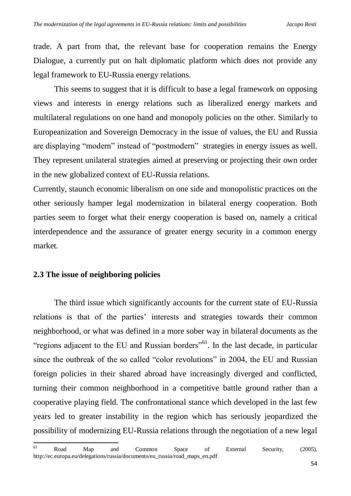trade. A part from that, the relevant base for cooperation remains the Energy Dialogue, a currently put on halt diplomatic platform which does not provide any legal framework to EU-Russia energy relations.

This seems to suggest that it is difficult to base a legal framework on opposing views and interests in energy relations such as liberalized energy markets and multilateral regulations on one hand and monopoly policies on the other. Similarly to Europeanization and Sovereign Democracy in the issue of values, the EU and Russia are displaying "modern" instead of "postmodern" strategies in energy issues as well. They represent unilateral strategies aimed at preserving or projecting their own order in the new globalized context of EU-Russia relations.

Currently, staunch economic liberalism on one side and monopolistic practices on the other seriously hamper legal modernization in bilateral energy cooperation. Both parties seem to forget what their energy cooperation is based on, namely a critical interdependence and the assurance of greater energy security in a common energy market.

## **2.3 The issue of neighboring policies**

The third issue which significantly accounts for the current state of EU-Russia relations is that of the parties' interests and strategies towards their common neighborhood, or what was defined in a more sober way in bilateral documents as the "regions adjacent to the EU and Russian borders"<sup>61</sup>. In the last decade, in particular since the outbreak of the so called "color revolutions" in 2004, the EU and Russian foreign policies in their shared abroad have increasingly diverged and conflicted, turning their common neighborhood in a competitive battle ground rather than a cooperative playing field. The confrontational stance which developed in the last few years led to greater instability in the region which has seriously jeopardized the possibility of modernizing EU-Russia relations through the negotiation of a new legal

<sup>61</sup> <sup>61</sup> Road Map and Common Space of External Security, (2005). http://ec.europa.eu/delegations/russia/documents/eu\_russia/road\_maps\_en.pdf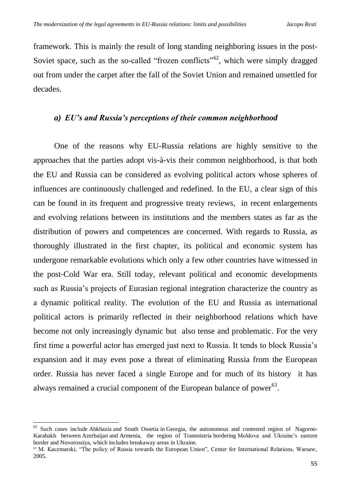framework. This is mainly the result of long standing neighboring issues in the post-Soviet space, such as the so-called "frozen conflicts"<sup>62</sup>, which were simply dragged out from under the carpet after the fall of the Soviet Union and remained unsettled for decades.

## *a) EU's and Russia's perceptions of their common neighborhood*

One of the reasons why EU-Russia relations are highly sensitive to the approaches that the parties adopt vis-à-vis their common neighborhood, is that both the EU and Russia can be considered as evolving political actors whose spheres of influences are continuously challenged and redefined. In the EU, a clear sign of this can be found in its frequent and progressive treaty reviews, in recent enlargements and evolving relations between its institutions and the members states as far as the distribution of powers and competences are concerned. With regards to Russia, as thoroughly illustrated in the first chapter, its political and economic system has undergone remarkable evolutions which only a few other countries have witnessed in the post-Cold War era. Still today, relevant political and economic developments such as Russia's projects of Eurasian regional integration characterize the country as a dynamic political reality. The evolution of the EU and Russia as international political actors is primarily reflected in their neighborhood relations which have become not only increasingly dynamic but also tense and problematic. For the very first time a powerful actor has emerged just next to Russia. It tends to block Russia's expansion and it may even pose a threat of eliminating Russia from the European order. Russia has never faced a single Europe and for much of its history it has always remained a crucial component of the European balance of power<sup>63</sup>.

.

<sup>&</sup>lt;sup>62</sup> Such cases include Abkhazia and South Ossetia in Georgia, the autonomous and contested region of Nagorno-Karabakh between Azerbaijan and Armenia, the region of Transnistria bordering Moldova and Ukraine's eastern border and Novorossiya, which includes breakaway areas in Ukraine.

<sup>&</sup>lt;sup>63</sup> M. Kaczmarski, "The policy of Russia towards the European Union", Center for International Relations, Warsaw, 2005.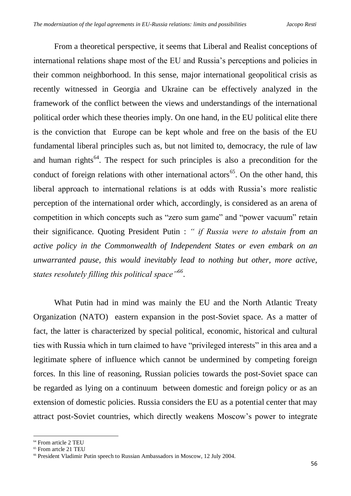From a theoretical perspective, it seems that Liberal and Realist conceptions of international relations shape most of the EU and Russia's perceptions and policies in their common neighborhood. In this sense, major international geopolitical crisis as recently witnessed in Georgia and Ukraine can be effectively analyzed in the framework of the conflict between the views and understandings of the international political order which these theories imply. On one hand, in the EU political elite there is the conviction that Europe can be kept whole and free on the basis of the EU fundamental liberal principles such as, but not limited to, democracy, the rule of law and human rights<sup>64</sup>. The respect for such principles is also a precondition for the conduct of foreign relations with other international actors<sup>65</sup>. On the other hand, this liberal approach to international relations is at odds with Russia's more realistic perception of the international order which, accordingly, is considered as an arena of competition in which concepts such as "zero sum game" and "power vacuum" retain their significance. Quoting President Putin : *" if Russia were to abstain from an active policy in the Commonwealth of Independent States or even embark on an unwarranted pause, this would inevitably lead to nothing but other, more active, states resolutely filling this political space"<sup>66</sup>* .

What Putin had in mind was mainly the EU and the North Atlantic Treaty Organization (NATO) eastern expansion in the post-Soviet space. As a matter of fact, the latter is characterized by special political, economic, historical and cultural ties with Russia which in turn claimed to have "privileged interests" in this area and a legitimate sphere of influence which cannot be undermined by competing foreign forces. In this line of reasoning, Russian policies towards the post-Soviet space can be regarded as lying on a continuum between domestic and foreign policy or as an extension of domestic policies. Russia considers the EU as a potential center that may attract post-Soviet countries, which directly weakens Moscow's power to integrate

<sup>&</sup>lt;sup>64</sup> From article 2 TEU

<sup>65</sup> From artcle 21 TEU

<sup>66</sup> President Vladimir Putin speech to Russian Ambassadors in Moscow, 12 July 2004.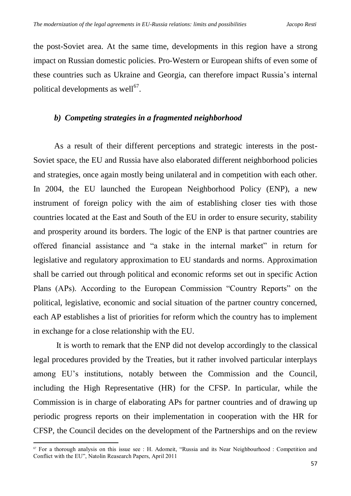the post-Soviet area. At the same time, developments in this region have a strong impact on Russian domestic policies. Pro-Western or European shifts of even some of these countries such as Ukraine and Georgia, can therefore impact Russia's internal political developments as well $^{67}$ .

#### *b) Competing strategies in a fragmented neighborhood*

As a result of their different perceptions and strategic interests in the post-Soviet space, the EU and Russia have also elaborated different neighborhood policies and strategies, once again mostly being unilateral and in competition with each other. In 2004, the EU launched the European Neighborhood Policy (ENP), a new instrument of foreign policy with the aim of establishing closer ties with those countries located at the East and South of the EU in order to ensure security, stability and prosperity around its borders. The logic of the ENP is that partner countries are offered financial assistance and "a stake in the internal market" in return for legislative and regulatory approximation to EU standards and norms. Approximation shall be carried out through political and economic reforms set out in specific Action Plans (APs). According to the European Commission "Country Reports" on the political, legislative, economic and social situation of the partner country concerned, each AP establishes a list of priorities for reform which the country has to implement in exchange for a close relationship with the EU.

It is worth to remark that the ENP did not develop accordingly to the classical legal procedures provided by the Treaties, but it rather involved particular interplays among EU's institutions, notably between the Commission and the Council, including the High Representative (HR) for the CFSP. In particular, while the Commission is in charge of elaborating APs for partner countries and of drawing up periodic progress reports on their implementation in cooperation with the HR for CFSP, the Council decides on the development of the Partnerships and on the review

<sup>67</sup> For a thorough analysis on this issue see : H. Adomeit, "Russia and its Near Neighbourhood : Competition and Conflict with the EU", Natolin Reasearch Papers, April 2011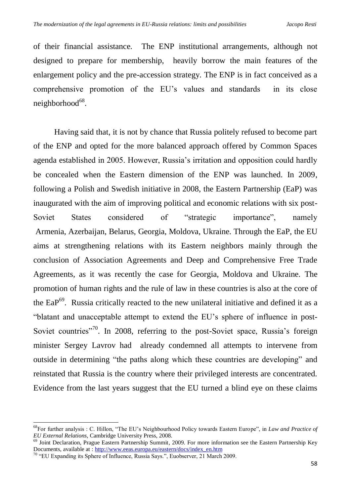of their financial assistance. The ENP institutional arrangements, although not designed to prepare for membership, heavily borrow the main features of the enlargement policy and the pre-accession strategy. The ENP is in fact conceived as a comprehensive promotion of the EU's values and standards in its close neighborhood<sup>68</sup>.

Having said that, it is not by chance that Russia politely refused to become part of the ENP and opted for the more balanced approach offered by Common Spaces agenda established in 2005. However, Russia's irritation and opposition could hardly be concealed when the Eastern dimension of the ENP was launched. In 2009, following a Polish and Swedish initiative in 2008, the Eastern Partnership (EaP) was inaugurated with the aim of improving political and economic relations with six post-Soviet States considered of "strategic importance", namely Armenia, Azerbaijan, Belarus, Georgia, Moldova, Ukraine. Through the EaP, the EU aims at strengthening relations with its Eastern neighbors mainly through the conclusion of Association Agreements and Deep and Comprehensive Free Trade Agreements, as it was recently the case for Georgia, Moldova and Ukraine. The promotion of human rights and the rule of law in these countries is also at the core of the EaP<sup>69</sup>. Russia critically reacted to the new unilateral initiative and defined it as a "blatant and unacceptable attempt to extend the EU's sphere of influence in post-Soviet countries"<sup>70</sup>. In 2008, referring to the post-Soviet space, Russia's foreign minister Sergey Lavrov had already condemned all attempts to intervene from outside in determining "the paths along which these countries are developing" and reinstated that Russia is the country where their privileged interests are concentrated. Evidence from the last years suggest that the EU turned a blind eye on these claims

.

<sup>68</sup>For further analysis : C. Hillon, "The EU's Neighbourhood Policy towards Eastern Europe", in *Law and Practice of EU External Relations*, Cambridge University Press, 2008.

<sup>&</sup>lt;sup>69</sup> Joint Declaration, Prague Eastern Partnership Summit, 2009. For more information see the Eastern Partnership Key Documents, available at : [http://www.eeas.europa.eu/eastern/docs/index\\_en.htm](http://www.eeas.europa.eu/eastern/docs/index_en.htm)

<sup>70</sup> "EU Expanding its Sphere of Influence, Russia Says.", Euobserver, 21 March 2009.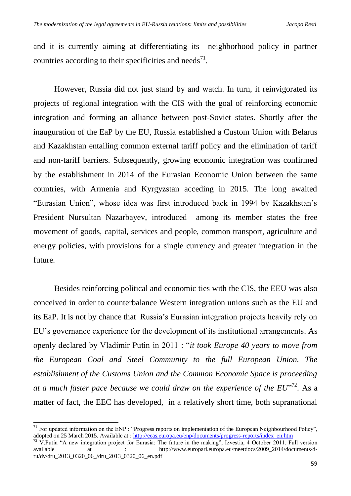and it is currently aiming at differentiating its neighborhood policy in partner countries according to their specificities and needs<sup>71</sup>.

However, Russia did not just stand by and watch. In turn, it reinvigorated its projects of regional integration with the CIS with the goal of reinforcing economic integration and forming an alliance between post-Soviet states. Shortly after the inauguration of the EaP by the EU, Russia established a Custom Union with Belarus and Kazakhstan entailing common external tariff policy and the elimination of tariff and non-tariff barriers. Subsequently, growing economic integration was confirmed by the establishment in 2014 of the Eurasian Economic Union between the same countries, with Armenia and Kyrgyzstan acceding in 2015. The long awaited "Eurasian Union", whose idea was first introduced back in 1994 by Kazakhstan's President Nursultan Nazarbayev, introduced among its member states the free movement of goods, capital, services and people, common transport, agriculture and energy policies, with provisions for a single currency and greater integration in the future.

Besides reinforcing political and economic ties with the CIS, the EEU was also conceived in order to counterbalance Western integration unions such as the EU and its EaP. It is not by chance that Russia's Eurasian integration projects heavily rely on EU's governance experience for the development of its institutional arrangements. As openly declared by Vladimir Putin in 2011 : "*it took Europe 40 years to move from the European Coal and Steel Community to the full European Union. The establishment of the Customs Union and the Common Economic Space is proceeding*  at a much faster pace because we could draw on the experience of the EU"<sup>72</sup>. As a matter of fact, the EEC has developed, in a relatively short time, both supranational

.

 $71$  For updated information on the ENP : "Progress reports on implementation of the European Neighbourhood Policy", adopted on 25 March 2015. Available at : [http://eeas.europa.eu/enp/documents/progress-reports/index\\_en.htm](http://eeas.europa.eu/enp/documents/progress-reports/index_en.htm)

 $72$  V.Putin "A new integration project for Eurasia: The future in the making", Izvestia, 4 October 2011. Full version available at : http://www.europarl.europa.eu/meetdocs/2009\_2014/documents/dru/dv/dru\_2013\_0320\_06\_/dru\_2013\_0320\_06\_en.pdf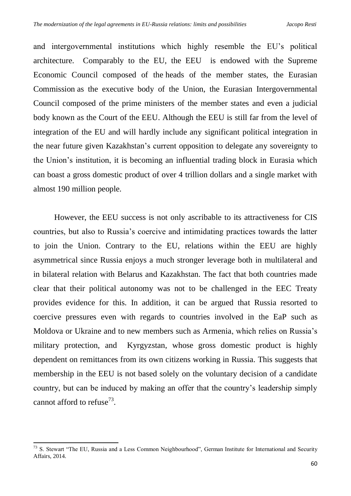and intergovernmental institutions which highly resemble the EU's political architecture. Comparably to the EU, the EEU is endowed with the Supreme Economic Council composed of the heads of the member states, the Eurasian Commission as the executive body of the Union, the Eurasian Intergovernmental Council composed of the prime ministers of the member states and even a judicial body known as the Court of the EEU. Although the EEU is still far from the level of integration of the EU and will hardly include any significant political integration in the near future given Kazakhstan's current opposition to delegate any sovereignty to the Union's institution, it is becoming an influential trading block in Eurasia which can boast a gross domestic product of over 4 trillion dollars and a single market with almost 190 million people.

However, the EEU success is not only ascribable to its attractiveness for CIS countries, but also to Russia's coercive and intimidating practices towards the latter to join the Union. Contrary to the EU, relations within the EEU are highly asymmetrical since Russia enjoys a much stronger leverage both in multilateral and in bilateral relation with Belarus and Kazakhstan. The fact that both countries made clear that their political autonomy was not to be challenged in the EEC Treaty provides evidence for this. In addition, it can be argued that Russia resorted to coercive pressures even with regards to countries involved in the EaP such as Moldova or Ukraine and to new members such as Armenia, which relies on Russia's military protection, and Kyrgyzstan, whose gross domestic product is highly dependent on remittances from its own citizens working in Russia. This suggests that membership in the EEU is not based solely on the voluntary decision of a candidate country, but can be induced by making an offer that the country's leadership simply cannot afford to refuse<sup>73</sup>.

 $73$  S. Stewart "The EU, Russia and a Less Common Neighbourhood", German Institute for International and Security Affairs, 2014.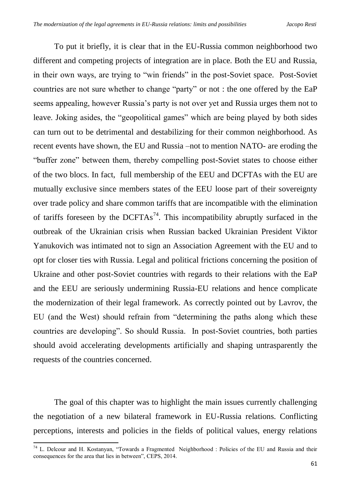To put it briefly, it is clear that in the EU-Russia common neighborhood two different and competing projects of integration are in place. Both the EU and Russia, in their own ways, are trying to "win friends" in the post-Soviet space. Post-Soviet countries are not sure whether to change "party" or not : the one offered by the EaP seems appealing, however Russia's party is not over yet and Russia urges them not to leave. Joking asides, the "geopolitical games" which are being played by both sides can turn out to be detrimental and destabilizing for their common neighborhood. As recent events have shown, the EU and Russia –not to mention NATO- are eroding the "buffer zone" between them, thereby compelling post-Soviet states to choose either of the two blocs. In fact, full membership of the EEU and DCFTAs with the EU are mutually exclusive since members states of the EEU loose part of their sovereignty over trade policy and share common tariffs that are incompatible with the elimination of tariffs foreseen by the  $DCFTAs^{74}$ . This incompatibility abruptly surfaced in the outbreak of the Ukrainian crisis when Russian backed Ukrainian President Viktor Yanukovich was intimated not to sign an Association Agreement with the EU and to opt for closer ties with Russia. Legal and political frictions concerning the position of Ukraine and other post-Soviet countries with regards to their relations with the EaP and the EEU are seriously undermining Russia-EU relations and hence complicate the modernization of their legal framework. As correctly pointed out by Lavrov, the EU (and the West) should refrain from "determining the paths along which these countries are developing". So should Russia. In post-Soviet countries, both parties should avoid accelerating developments artificially and shaping untrasparently the requests of the countries concerned.

The goal of this chapter was to highlight the main issues currently challenging the negotiation of a new bilateral framework in EU-Russia relations. Conflicting perceptions, interests and policies in the fields of political values, energy relations

<sup>&</sup>lt;sup>74</sup> L. Delcour and H. Kostanyan, "Towards a Fragmented Neighborhood : Policies of the EU and Russia and their consequences for the area that lies in between", CEPS, 2014.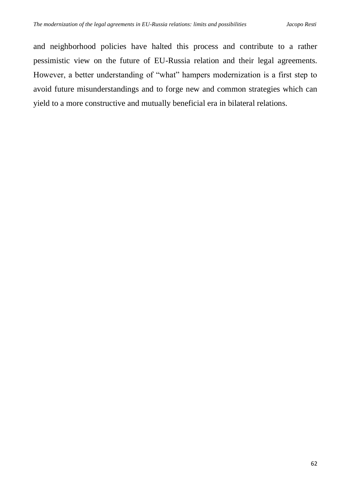and neighborhood policies have halted this process and contribute to a rather pessimistic view on the future of EU-Russia relation and their legal agreements. However, a better understanding of "what" hampers modernization is a first step to avoid future misunderstandings and to forge new and common strategies which can yield to a more constructive and mutually beneficial era in bilateral relations.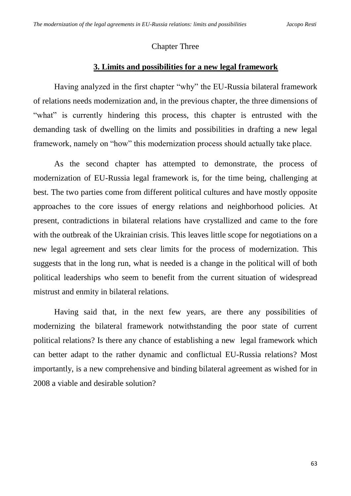## Chapter Three

# **3. Limits and possibilities for a new legal framework**

Having analyzed in the first chapter "why" the EU-Russia bilateral framework of relations needs modernization and, in the previous chapter, the three dimensions of "what" is currently hindering this process, this chapter is entrusted with the demanding task of dwelling on the limits and possibilities in drafting a new legal framework, namely on "how" this modernization process should actually take place.

As the second chapter has attempted to demonstrate, the process of modernization of EU-Russia legal framework is, for the time being, challenging at best. The two parties come from different political cultures and have mostly opposite approaches to the core issues of energy relations and neighborhood policies. At present, contradictions in bilateral relations have crystallized and came to the fore with the outbreak of the Ukrainian crisis. This leaves little scope for negotiations on a new legal agreement and sets clear limits for the process of modernization. This suggests that in the long run, what is needed is a change in the political will of both political leaderships who seem to benefit from the current situation of widespread mistrust and enmity in bilateral relations.

Having said that, in the next few years, are there any possibilities of modernizing the bilateral framework notwithstanding the poor state of current political relations? Is there any chance of establishing a new legal framework which can better adapt to the rather dynamic and conflictual EU-Russia relations? Most importantly, is a new comprehensive and binding bilateral agreement as wished for in 2008 a viable and desirable solution?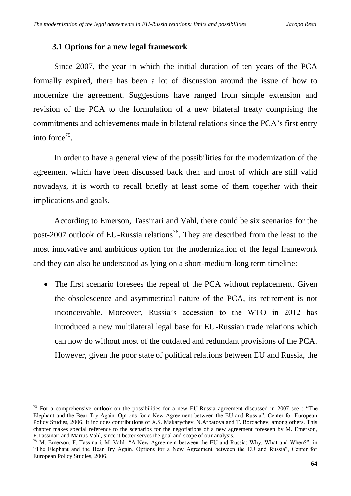### **3.1 Options for a new legal framework**

Since 2007, the year in which the initial duration of ten years of the PCA formally expired, there has been a lot of discussion around the issue of how to modernize the agreement. Suggestions have ranged from simple extension and revision of the PCA to the formulation of a new bilateral treaty comprising the commitments and achievements made in bilateral relations since the PCA's first entry into force<sup>75</sup>.

In order to have a general view of the possibilities for the modernization of the agreement which have been discussed back then and most of which are still valid nowadays, it is worth to recall briefly at least some of them together with their implications and goals.

According to Emerson, Tassinari and Vahl, there could be six scenarios for the post-2007 outlook of EU-Russia relations<sup>76</sup>. They are described from the least to the most innovative and ambitious option for the modernization of the legal framework and they can also be understood as lying on a short-medium-long term timeline:

• The first scenario foresees the repeal of the PCA without replacement. Given the obsolescence and asymmetrical nature of the PCA, its retirement is not inconceivable. Moreover, Russia's accession to the WTO in 2012 has introduced a new multilateral legal base for EU-Russian trade relations which can now do without most of the outdated and redundant provisions of the PCA. However, given the poor state of political relations between EU and Russia, the

<sup>1</sup> <sup>75</sup> For a comprehensive outlook on the possibilities for a new EU-Russia agreement discussed in 2007 see : "The Elephant and the Bear Try Again. Options for a New Agreement between the EU and Russia", Center for European Policy Studies, 2006. It includes contributions of A.S. Makarychev, N.Arbatova and T. Bordachev, among others. This chapter makes special reference to the scenarios for the negotiations of a new agreement foreseen by M. Emerson, F.Tassinari and Marius Vahl, since it better serves the goal and scope of our analysis.

<sup>76</sup> M. Emerson, F. Tassinari, M. Vahl "A New Agreement between the EU and Russia: Why, What and When?", in "The Elephant and the Bear Try Again. Options for a New Agreement between the EU and Russia", Center for European Policy Studies, 2006.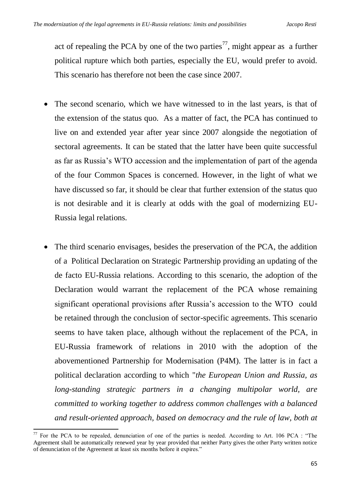act of repealing the PCA by one of the two parties<sup>77</sup>, might appear as a further political rupture which both parties, especially the EU, would prefer to avoid. This scenario has therefore not been the case since 2007.

- The second scenario, which we have witnessed to in the last years, is that of the extension of the status quo. As a matter of fact, the PCA has continued to live on and extended year after year since 2007 alongside the negotiation of sectoral agreements. It can be stated that the latter have been quite successful as far as Russia's WTO accession and the implementation of part of the agenda of the four Common Spaces is concerned. However, in the light of what we have discussed so far, it should be clear that further extension of the status quo is not desirable and it is clearly at odds with the goal of modernizing EU-Russia legal relations.
- The third scenario envisages, besides the preservation of the PCA, the addition of a Political Declaration on Strategic Partnership providing an updating of the de facto EU-Russia relations. According to this scenario, the adoption of the Declaration would warrant the replacement of the PCA whose remaining significant operational provisions after Russia's accession to the WTO could be retained through the conclusion of sector-specific agreements. This scenario seems to have taken place, although without the replacement of the PCA, in EU-Russia framework of relations in 2010 with the adoption of the abovementioned Partnership for Modernisation (P4M). The latter is in fact a political declaration according to which "*the European Union and Russia, as long-standing strategic partners in a changing multipolar world, are committed to working together to address common challenges with a balanced and result-oriented approach, based on democracy and the rule of law, both at*

 $77$  For the PCA to be repealed, denunciation of one of the parties is needed. According to Art. 106 PCA : "The Agreement shall be automatically renewed year by year provided that neither Party gives the other Party written notice of denunciation of the Agreement at least six months before it expires."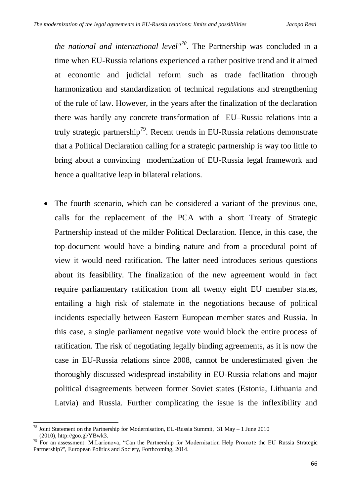*the national and international level"<sup>78</sup>*. The Partnership was concluded in a time when EU-Russia relations experienced a rather positive trend and it aimed at economic and judicial reform such as trade facilitation through harmonization and standardization of technical regulations and strengthening of the rule of law. However, in the years after the finalization of the declaration there was hardly any concrete transformation of EU–Russia relations into a truly strategic partnership<sup>79</sup>. Recent trends in EU-Russia relations demonstrate that a Political Declaration calling for a strategic partnership is way too little to bring about a convincing modernization of EU-Russia legal framework and hence a qualitative leap in bilateral relations.

 The fourth scenario, which can be considered a variant of the previous one, calls for the replacement of the PCA with a short Treaty of Strategic Partnership instead of the milder Political Declaration. Hence, in this case, the top-document would have a binding nature and from a procedural point of view it would need ratification. The latter need introduces serious questions about its feasibility. The finalization of the new agreement would in fact require parliamentary ratification from all twenty eight EU member states, entailing a high risk of stalemate in the negotiations because of political incidents especially between Eastern European member states and Russia. In this case, a single parliament negative vote would block the entire process of ratification. The risk of negotiating legally binding agreements, as it is now the case in EU-Russia relations since 2008, cannot be underestimated given the thoroughly discussed widespread instability in EU-Russia relations and major political disagreements between former Soviet states (Estonia, Lithuania and Latvia) and Russia. Further complicating the issue is the inflexibility and

<sup>.</sup> <sup>78</sup> Joint Statement on the Partnership for Modernisation, EU-Russia Summit,  $31$  May – 1 June 2010 (2010), http://goo.gl/YBwk3.

<sup>79</sup> For an assessment: M.Larionova, "Can the Partnership for Modernisation Help Promote the EU–Russia Strategic Partnership?", European Politics and Society, Forthcoming, 2014.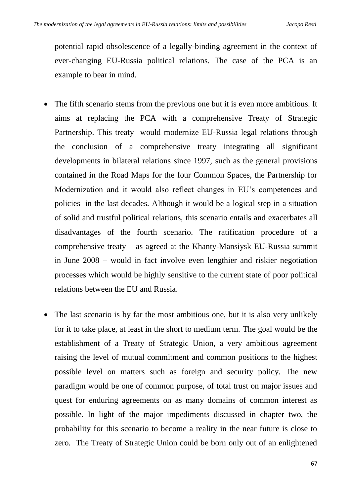potential rapid obsolescence of a legally-binding agreement in the context of ever-changing EU-Russia political relations. The case of the PCA is an example to bear in mind.

- The fifth scenario stems from the previous one but it is even more ambitious. It aims at replacing the PCA with a comprehensive Treaty of Strategic Partnership. This treaty would modernize EU-Russia legal relations through the conclusion of a comprehensive treaty integrating all significant developments in bilateral relations since 1997, such as the general provisions contained in the Road Maps for the four Common Spaces, the Partnership for Modernization and it would also reflect changes in EU's competences and policies in the last decades. Although it would be a logical step in a situation of solid and trustful political relations, this scenario entails and exacerbates all disadvantages of the fourth scenario. The ratification procedure of a comprehensive treaty – as agreed at the Khanty-Mansiysk EU-Russia summit in June 2008 – would in fact involve even lengthier and riskier negotiation processes which would be highly sensitive to the current state of poor political relations between the EU and Russia.
- The last scenario is by far the most ambitious one, but it is also very unlikely for it to take place, at least in the short to medium term. The goal would be the establishment of a Treaty of Strategic Union, a very ambitious agreement raising the level of mutual commitment and common positions to the highest possible level on matters such as foreign and security policy. The new paradigm would be one of common purpose, of total trust on major issues and quest for enduring agreements on as many domains of common interest as possible. In light of the major impediments discussed in chapter two, the probability for this scenario to become a reality in the near future is close to zero. The Treaty of Strategic Union could be born only out of an enlightened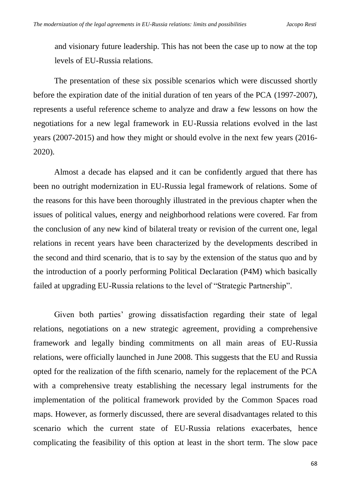and visionary future leadership. This has not been the case up to now at the top levels of EU-Russia relations.

The presentation of these six possible scenarios which were discussed shortly before the expiration date of the initial duration of ten years of the PCA (1997-2007), represents a useful reference scheme to analyze and draw a few lessons on how the negotiations for a new legal framework in EU-Russia relations evolved in the last years (2007-2015) and how they might or should evolve in the next few years (2016- 2020).

Almost a decade has elapsed and it can be confidently argued that there has been no outright modernization in EU-Russia legal framework of relations. Some of the reasons for this have been thoroughly illustrated in the previous chapter when the issues of political values, energy and neighborhood relations were covered. Far from the conclusion of any new kind of bilateral treaty or revision of the current one, legal relations in recent years have been characterized by the developments described in the second and third scenario, that is to say by the extension of the status quo and by the introduction of a poorly performing Political Declaration (P4M) which basically failed at upgrading EU-Russia relations to the level of "Strategic Partnership".

Given both parties' growing dissatisfaction regarding their state of legal relations, negotiations on a new strategic agreement, providing a comprehensive framework and legally binding commitments on all main areas of EU-Russia relations, were officially launched in June 2008. This suggests that the EU and Russia opted for the realization of the fifth scenario, namely for the replacement of the PCA with a comprehensive treaty establishing the necessary legal instruments for the implementation of the political framework provided by the Common Spaces road maps. However, as formerly discussed, there are several disadvantages related to this scenario which the current state of EU-Russia relations exacerbates, hence complicating the feasibility of this option at least in the short term. The slow pace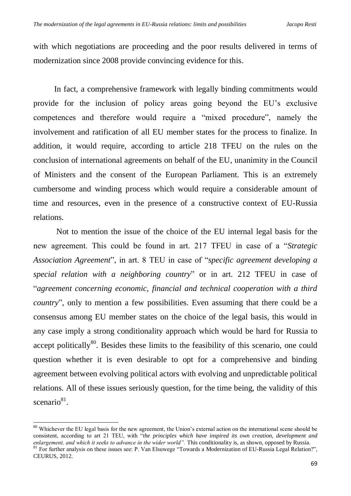with which negotiations are proceeding and the poor results delivered in terms of modernization since 2008 provide convincing evidence for this.

In fact, a comprehensive framework with legally binding commitments would provide for the inclusion of policy areas going beyond the EU's exclusive competences and therefore would require a "mixed procedure", namely the involvement and ratification of all EU member states for the process to finalize. In addition, it would require, according to article 218 TFEU on the rules on the conclusion of international agreements on behalf of the EU, unanimity in the Council of Ministers and the consent of the European Parliament. This is an extremely cumbersome and winding process which would require a considerable amount of time and resources, even in the presence of a constructive context of EU-Russia relations.

Not to mention the issue of the choice of the EU internal legal basis for the new agreement. This could be found in art. 217 TFEU in case of a "*Strategic Association Agreement*", in art. 8 TEU in case of "*specific agreement developing a special relation with a neighboring country*" or in art. 212 TFEU in case of "*agreement concerning economic, financial and technical cooperation with a third country*", only to mention a few possibilities. Even assuming that there could be a consensus among EU member states on the choice of the legal basis, this would in any case imply a strong conditionality approach which would be hard for Russia to accept politically $80$ . Besides these limits to the feasibility of this scenario, one could question whether it is even desirable to opt for a comprehensive and binding agreement between evolving political actors with evolving and unpredictable political relations. All of these issues seriously question, for the time being, the validity of this scenario<sup>81</sup>.

.

<sup>&</sup>lt;sup>80</sup> Whichever the EU legal basis for the new agreement, the Union's external action on the international scene should be consistent, according to art 21 TEU, with "*the principles which have inspired its own creation, development and enlargement, and which it seeks to advance in the wider world".* This conditionality is, as shown, opposed by Russia.

<sup>&</sup>lt;sup>81</sup> For further analysis on these issues see: P. Van Elsuwege "Towards a Modernization of EU-Russia Legal Relation?", CEURUS, 2012.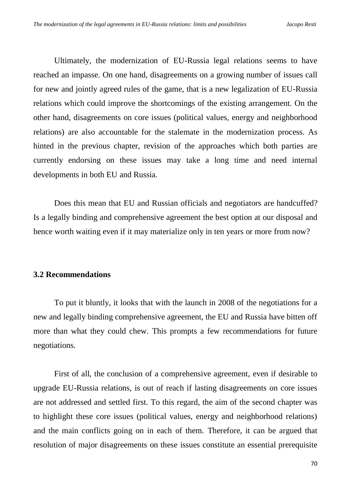Ultimately, the modernization of EU-Russia legal relations seems to have reached an impasse. On one hand, disagreements on a growing number of issues call for new and jointly agreed rules of the game, that is a new legalization of EU-Russia relations which could improve the shortcomings of the existing arrangement. On the other hand, disagreements on core issues (political values, energy and neighborhood relations) are also accountable for the stalemate in the modernization process. As hinted in the previous chapter, revision of the approaches which both parties are currently endorsing on these issues may take a long time and need internal developments in both EU and Russia.

Does this mean that EU and Russian officials and negotiators are handcuffed? Is a legally binding and comprehensive agreement the best option at our disposal and hence worth waiting even if it may materialize only in ten years or more from now?

# **3.2 Recommendations**

To put it bluntly, it looks that with the launch in 2008 of the negotiations for a new and legally binding comprehensive agreement, the EU and Russia have bitten off more than what they could chew. This prompts a few recommendations for future negotiations.

First of all, the conclusion of a comprehensive agreement, even if desirable to upgrade EU-Russia relations, is out of reach if lasting disagreements on core issues are not addressed and settled first. To this regard, the aim of the second chapter was to highlight these core issues (political values, energy and neighborhood relations) and the main conflicts going on in each of them. Therefore, it can be argued that resolution of major disagreements on these issues constitute an essential prerequisite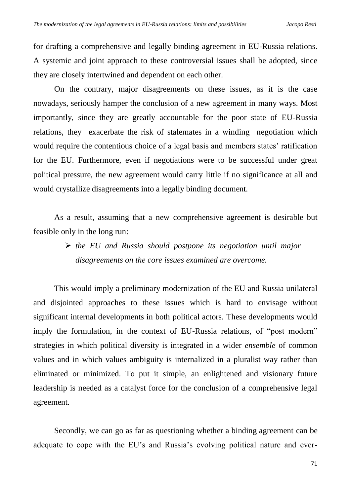for drafting a comprehensive and legally binding agreement in EU-Russia relations. A systemic and joint approach to these controversial issues shall be adopted, since they are closely intertwined and dependent on each other.

On the contrary, major disagreements on these issues, as it is the case nowadays, seriously hamper the conclusion of a new agreement in many ways. Most importantly, since they are greatly accountable for the poor state of EU-Russia relations, they exacerbate the risk of stalemates in a winding negotiation which would require the contentious choice of a legal basis and members states' ratification for the EU. Furthermore, even if negotiations were to be successful under great political pressure, the new agreement would carry little if no significance at all and would crystallize disagreements into a legally binding document.

As a result, assuming that a new comprehensive agreement is desirable but feasible only in the long run:

> *the EU and Russia should postpone its negotiation until major disagreements on the core issues examined are overcome.*

This would imply a preliminary modernization of the EU and Russia unilateral and disjointed approaches to these issues which is hard to envisage without significant internal developments in both political actors. These developments would imply the formulation, in the context of EU-Russia relations, of "post modern" strategies in which political diversity is integrated in a wider *ensemble* of common values and in which values ambiguity is internalized in a pluralist way rather than eliminated or minimized. To put it simple, an enlightened and visionary future leadership is needed as a catalyst force for the conclusion of a comprehensive legal agreement.

Secondly, we can go as far as questioning whether a binding agreement can be adequate to cope with the EU's and Russia's evolving political nature and ever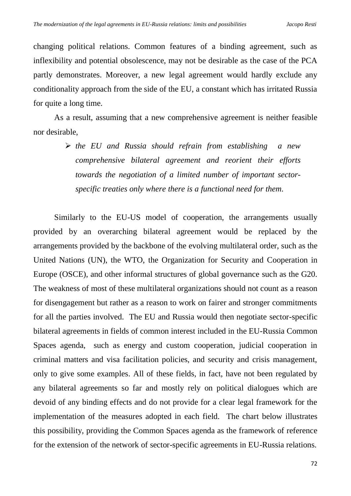changing political relations. Common features of a binding agreement, such as inflexibility and potential obsolescence, may not be desirable as the case of the PCA partly demonstrates. Moreover, a new legal agreement would hardly exclude any conditionality approach from the side of the EU, a constant which has irritated Russia for quite a long time.

As a result, assuming that a new comprehensive agreement is neither feasible nor desirable,

> *the EU and Russia should refrain from establishing a new comprehensive bilateral agreement and reorient their efforts towards the negotiation of a limited number of important sectorspecific treaties only where there is a functional need for them.*

Similarly to the EU-US model of cooperation, the arrangements usually provided by an overarching bilateral agreement would be replaced by the arrangements provided by the backbone of the evolving multilateral order, such as the United Nations (UN), the WTO, the Organization for Security and Cooperation in Europe (OSCE), and other informal structures of global governance such as the G20. The weakness of most of these multilateral organizations should not count as a reason for disengagement but rather as a reason to work on fairer and stronger commitments for all the parties involved. The EU and Russia would then negotiate sector-specific bilateral agreements in fields of common interest included in the EU-Russia Common Spaces agenda, such as energy and custom cooperation, judicial cooperation in criminal matters and visa facilitation policies, and security and crisis management, only to give some examples. All of these fields, in fact, have not been regulated by any bilateral agreements so far and mostly rely on political dialogues which are devoid of any binding effects and do not provide for a clear legal framework for the implementation of the measures adopted in each field. The chart below illustrates this possibility, providing the Common Spaces agenda as the framework of reference for the extension of the network of sector-specific agreements in EU-Russia relations.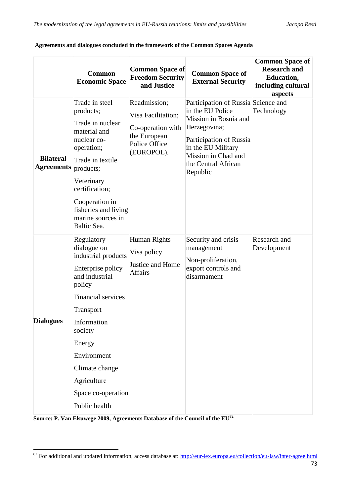|                                       | <b>Common</b><br><b>Economic Space</b>                                                                                                                                                                                                                                 | <b>Common Space of</b><br><b>Freedom Security</b><br>and Justice                                       | <b>Common Space of</b><br><b>External Security</b>                                                                                                                                                          | <b>Common Space of</b><br><b>Research and</b><br><b>Education,</b><br>including cultural<br>aspects |
|---------------------------------------|------------------------------------------------------------------------------------------------------------------------------------------------------------------------------------------------------------------------------------------------------------------------|--------------------------------------------------------------------------------------------------------|-------------------------------------------------------------------------------------------------------------------------------------------------------------------------------------------------------------|-----------------------------------------------------------------------------------------------------|
| <b>Bilateral</b><br><b>Agreements</b> | Trade in steel<br>products;<br>Trade in nuclear<br>material and<br>nuclear co-<br>operation;<br>Trade in textile<br>products;<br>Veterinary<br>certification;<br>Cooperation in<br>fisheries and living<br>marine sources in<br>Baltic Sea.                            | Readmission;<br>Visa Facilitation;<br>Co-operation with<br>the European<br>Police Office<br>(EUROPOL). | Participation of Russia Science and<br>in the EU Police<br>Mission in Bosnia and<br>Herzegovina;<br>Participation of Russia<br>in the EU Military<br>Mission in Chad and<br>the Central African<br>Republic | Technology                                                                                          |
| Dialogues                             | Regulatory<br>dialogue on<br>industrial products<br>Enterprise policy<br>and industrial<br>policy<br><b>Financial services</b><br>Transport<br>Information<br>society<br>Energy<br>Environment<br>Climate change<br>Agriculture<br>Space co-operation<br>Public health | Human Rights<br>Visa policy<br>Justice and Home<br><b>Affairs</b>                                      | Security and crisis<br>management<br>Non-proliferation,<br>export controls and<br>disarmament                                                                                                               | Research and<br>Development                                                                         |

#### **Agreements and dialogues concluded in the framework of the Common Spaces Agenda**

**Source: P. Van Elsuwege 2009, Agreements Database of the Council of the EU<sup>82</sup>**

1

<sup>&</sup>lt;sup>82</sup> For additional and updated information, access database at:<http://eur-lex.europa.eu/collection/eu-law/inter-agree.html>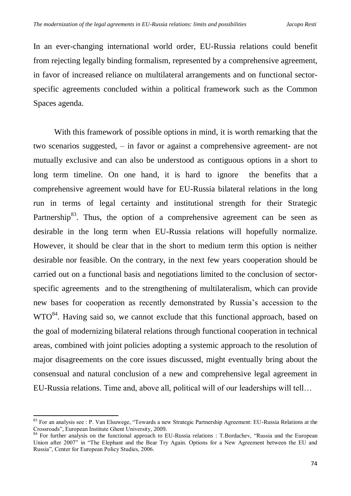In an ever-changing international world order, EU-Russia relations could benefit from rejecting legally binding formalism, represented by a comprehensive agreement, in favor of increased reliance on multilateral arrangements and on functional sectorspecific agreements concluded within a political framework such as the Common Spaces agenda.

With this framework of possible options in mind, it is worth remarking that the two scenarios suggested, – in favor or against a comprehensive agreement- are not mutually exclusive and can also be understood as contiguous options in a short to long term timeline. On one hand, it is hard to ignore the benefits that a comprehensive agreement would have for EU-Russia bilateral relations in the long run in terms of legal certainty and institutional strength for their Strategic Partnership<sup>83</sup>. Thus, the option of a comprehensive agreement can be seen as desirable in the long term when EU-Russia relations will hopefully normalize. However, it should be clear that in the short to medium term this option is neither desirable nor feasible. On the contrary, in the next few years cooperation should be carried out on a functional basis and negotiations limited to the conclusion of sectorspecific agreements and to the strengthening of multilateralism, which can provide new bases for cooperation as recently demonstrated by Russia's accession to the  $WTO<sup>84</sup>$ . Having said so, we cannot exclude that this functional approach, based on the goal of modernizing bilateral relations through functional cooperation in technical areas, combined with joint policies adopting a systemic approach to the resolution of major disagreements on the core issues discussed, might eventually bring about the consensual and natural conclusion of a new and comprehensive legal agreement in EU-Russia relations. Time and, above all, political will of our leaderships will tell…

.

<sup>&</sup>lt;sup>83</sup> For an analysis see : P. Van Elsuwege, "Towards a new Strategic Partnership Agreement: EU-Russia Relations at the Crossroads", European Institute Ghent University, 2009.

<sup>&</sup>lt;sup>84</sup> For further analysis on the functional approach to EU-Russia relations : T.Bordachev, "Russia and the European Union after 2007" in "The Elephant and the Bear Try Again. Options for a New Agreement between the EU and Russia", Center for European Policy Studies, 2006.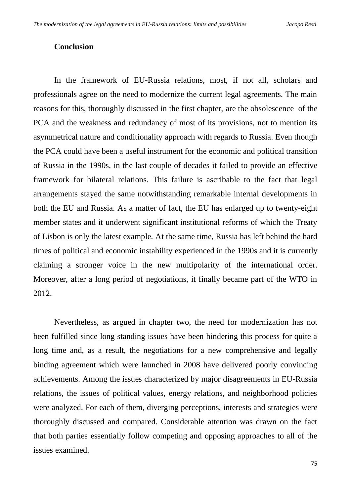## **Conclusion**

In the framework of EU-Russia relations, most, if not all, scholars and professionals agree on the need to modernize the current legal agreements. The main reasons for this, thoroughly discussed in the first chapter, are the obsolescence of the PCA and the weakness and redundancy of most of its provisions, not to mention its asymmetrical nature and conditionality approach with regards to Russia. Even though the PCA could have been a useful instrument for the economic and political transition of Russia in the 1990s, in the last couple of decades it failed to provide an effective framework for bilateral relations. This failure is ascribable to the fact that legal arrangements stayed the same notwithstanding remarkable internal developments in both the EU and Russia. As a matter of fact, the EU has enlarged up to twenty-eight member states and it underwent significant institutional reforms of which the Treaty of Lisbon is only the latest example. At the same time, Russia has left behind the hard times of political and economic instability experienced in the 1990s and it is currently claiming a stronger voice in the new multipolarity of the international order. Moreover, after a long period of negotiations, it finally became part of the WTO in 2012.

Nevertheless, as argued in chapter two, the need for modernization has not been fulfilled since long standing issues have been hindering this process for quite a long time and, as a result, the negotiations for a new comprehensive and legally binding agreement which were launched in 2008 have delivered poorly convincing achievements. Among the issues characterized by major disagreements in EU-Russia relations, the issues of political values, energy relations, and neighborhood policies were analyzed. For each of them, diverging perceptions, interests and strategies were thoroughly discussed and compared. Considerable attention was drawn on the fact that both parties essentially follow competing and opposing approaches to all of the issues examined.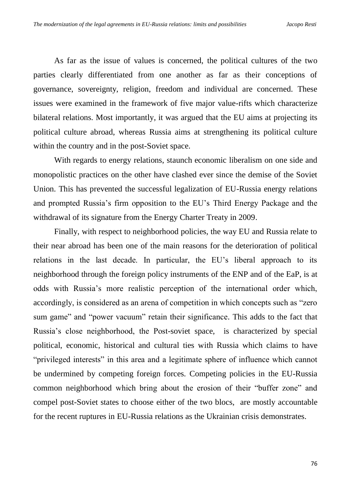As far as the issue of values is concerned, the political cultures of the two parties clearly differentiated from one another as far as their conceptions of governance, sovereignty, religion, freedom and individual are concerned. These issues were examined in the framework of five major value-rifts which characterize bilateral relations. Most importantly, it was argued that the EU aims at projecting its political culture abroad, whereas Russia aims at strengthening its political culture within the country and in the post-Soviet space.

With regards to energy relations, staunch economic liberalism on one side and monopolistic practices on the other have clashed ever since the demise of the Soviet Union. This has prevented the successful legalization of EU-Russia energy relations and prompted Russia's firm opposition to the EU's Third Energy Package and the withdrawal of its signature from the Energy Charter Treaty in 2009.

Finally, with respect to neighborhood policies, the way EU and Russia relate to their near abroad has been one of the main reasons for the deterioration of political relations in the last decade. In particular, the EU's liberal approach to its neighborhood through the foreign policy instruments of the ENP and of the EaP, is at odds with Russia's more realistic perception of the international order which, accordingly, is considered as an arena of competition in which concepts such as "zero sum game" and "power vacuum" retain their significance. This adds to the fact that Russia's close neighborhood, the Post-soviet space, is characterized by special political, economic, historical and cultural ties with Russia which claims to have "privileged interests" in this area and a legitimate sphere of influence which cannot be undermined by competing foreign forces. Competing policies in the EU-Russia common neighborhood which bring about the erosion of their "buffer zone" and compel post-Soviet states to choose either of the two blocs, are mostly accountable for the recent ruptures in EU-Russia relations as the Ukrainian crisis demonstrates.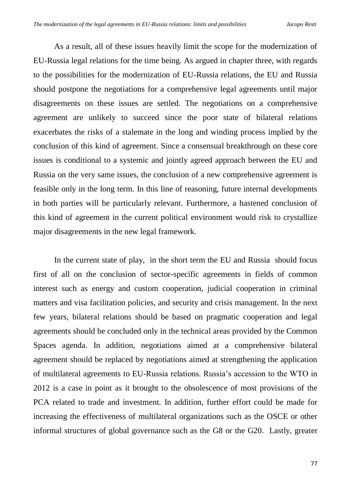As a result, all of these issues heavily limit the scope for the modernization of EU-Russia legal relations for the time being. As argued in chapter three, with regards to the possibilities for the modernization of EU-Russia relations, the EU and Russia should postpone the negotiations for a comprehensive legal agreements until major disagreements on these issues are settled. The negotiations on a comprehensive agreement are unlikely to succeed since the poor state of bilateral relations exacerbates the risks of a stalemate in the long and winding process implied by the conclusion of this kind of agreement. Since a consensual breakthrough on these core issues is conditional to a systemic and jointly agreed approach between the EU and Russia on the very same issues, the conclusion of a new comprehensive agreement is feasible only in the long term. In this line of reasoning, future internal developments in both parties will be particularly relevant. Furthermore, a hastened conclusion of this kind of agreement in the current political environment would risk to crystallize major disagreements in the new legal framework.

In the current state of play, in the short term the EU and Russia should focus first of all on the conclusion of sector-specific agreements in fields of common interest such as energy and custom cooperation, judicial cooperation in criminal matters and visa facilitation policies, and security and crisis management. In the next few years, bilateral relations should be based on pragmatic cooperation and legal agreements should be concluded only in the technical areas provided by the Common Spaces agenda. In addition, negotiations aimed at a comprehensive bilateral agreement should be replaced by negotiations aimed at strengthening the application of multilateral agreements to EU-Russia relations. Russia's accession to the WTO in 2012 is a case in point as it brought to the obsolescence of most provisions of the PCA related to trade and investment. In addition, further effort could be made for increasing the effectiveness of multilateral organizations such as the OSCE or other informal structures of global governance such as the G8 or the G20. Lastly, greater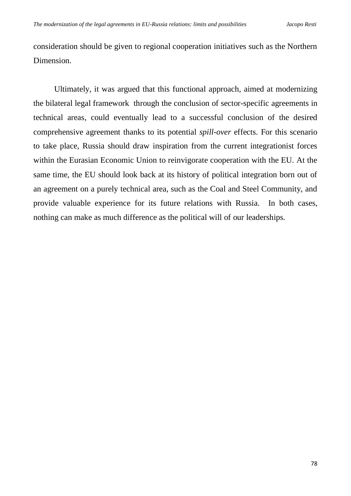consideration should be given to regional cooperation initiatives such as the Northern Dimension.

Ultimately, it was argued that this functional approach, aimed at modernizing the bilateral legal framework through the conclusion of sector-specific agreements in technical areas, could eventually lead to a successful conclusion of the desired comprehensive agreement thanks to its potential *spill-over* effects. For this scenario to take place, Russia should draw inspiration from the current integrationist forces within the Eurasian Economic Union to reinvigorate cooperation with the EU. At the same time, the EU should look back at its history of political integration born out of an agreement on a purely technical area, such as the Coal and Steel Community, and provide valuable experience for its future relations with Russia. In both cases, nothing can make as much difference as the political will of our leaderships.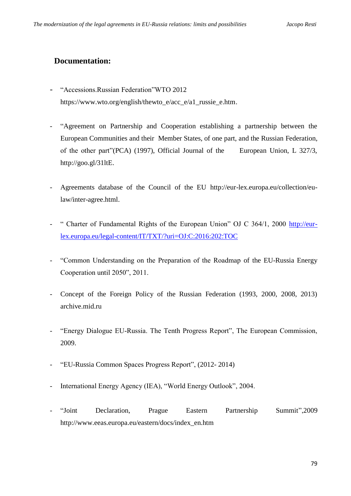# **Documentation:**

- "Accessions.Russian Federation"WTO 2012 [https://www.wto.org/english/thewto\\_e/acc\\_e/a1\\_russie\\_e.htm.](https://www.wto.org/english/thewto_e/acc_e/a1_russie_e.htm)
- "Agreement on Partnership and Cooperation establishing a partnership between the European Communities and their Member States, of one part, and the Russian Federation, of the other part"(PCA) (1997), Official Journal of the European Union, L 327/3, [http://goo.gl/31ltE.](http://goo.gl/31ltE)
- Agreements database of the Council of the EU [http://eur-lex.europa.eu/collection/eu](http://eur-lex.europa.eu/collection/eu-law/inter-agree.html)[law/inter-agree.html.](http://eur-lex.europa.eu/collection/eu-law/inter-agree.html)
- " Charter of Fundamental Rights of the European Union" OJ C 364/1, 2000 [http://eur](http://eur-lex.europa.eu/legal-content/IT/TXT/?uri=OJ:C:2016:202:TOC)[lex.europa.eu/legal-content/IT/TXT/?uri=OJ:C:2016:202:TOC](http://eur-lex.europa.eu/legal-content/IT/TXT/?uri=OJ:C:2016:202:TOC)
- "Common Understanding on the Preparation of the Roadmap of the EU-Russia Energy Cooperation until 2050", 2011.
- Concept of the Foreign Policy of the Russian Federation (1993, 2000, 2008, 2013) archive.mid.ru
- "Energy Dialogue EU-Russia. The Tenth Progress Report", The European Commission, 2009.
- "EU-Russia Common Spaces Progress Report", (2012- 2014)
- International Energy Agency (IEA), "World Energy Outlook", 2004.
- "Joint Declaration, Prague Eastern Partnership Summit",2009 [http://www.eeas.europa.eu/eastern/docs/index\\_en.htm](http://www.eeas.europa.eu/eastern/docs/index_en.htm)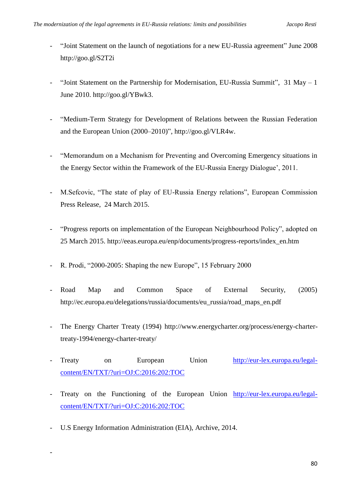- "Joint Statement on the launch of negotiations for a new EU-Russia agreement" June 2008 <http://goo.gl/S2T2i>
- "Joint Statement on the Partnership for Modernisation, EU-Russia Summit",  $31$  May  $-1$ June 2010. http://goo.gl/YBwk3.
- "Medium-Term Strategy for Development of Relations between the Russian Federation and the European Union (2000–2010)", [http://goo.gl/VLR4w.](http://goo.gl/VLR4w)
- "Memorandum on a Mechanism for Preventing and Overcoming Emergency situations in the Energy Sector within the Framework of the EU-Russia Energy Dialogue', 2011.
- M.Sefcovic, "The state of play of EU-Russia Energy relations", European Commission Press Release, 24 March 2015.
- "Progress reports on implementation of the European Neighbourhood Policy", adopted on 25 March 2015. [http://eeas.europa.eu/enp/documents/progress-reports/index\\_en.htm](http://eeas.europa.eu/enp/documents/progress-reports/index_en.htm)
- R. Prodi, "2000-2005: Shaping the new Europe", 15 February 2000
- Road Map and Common Space of External Security, (2005) http://ec.europa.eu/delegations/russia/documents/eu\_russia/road\_maps\_en.pdf
- The Energy Charter Treaty (1994) [http://www.energycharter.org/process/energy-charter](http://www.energycharter.org/process/energy-charter-treaty-1994/energy-charter-treaty/)[treaty-1994/energy-charter-treaty/](http://www.energycharter.org/process/energy-charter-treaty-1994/energy-charter-treaty/)
- Treaty on European Union [http://eur-lex.europa.eu/legal](http://eur-lex.europa.eu/legal-content/EN/TXT/?uri=OJ:C:2016:202:TOC)[content/EN/TXT/?uri=OJ:C:2016:202:TOC](http://eur-lex.europa.eu/legal-content/EN/TXT/?uri=OJ:C:2016:202:TOC)
- Treaty on the Functioning of the European Union [http://eur-lex.europa.eu/legal](http://eur-lex.europa.eu/legal-content/EN/TXT/?uri=OJ:C:2016:202:TOC)[content/EN/TXT/?uri=OJ:C:2016:202:TOC](http://eur-lex.europa.eu/legal-content/EN/TXT/?uri=OJ:C:2016:202:TOC)
- U.S Energy Information Administration (EIA), Archive, 2014.

-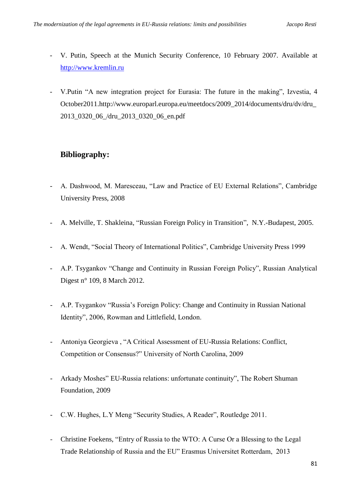- V. Putin, Speech at the Munich Security Conference*,* 10 February 2007. Available at [http://www.kremlin.ru](http://www.kremlin.ru/)
- V.Putin "A new integration project for Eurasia: The future in the making", Izvestia, 4 October2011.http://www.europarl.europa.eu/meetdocs/2009\_2014/documents/dru/dv/dru\_ 2013\_0320\_06\_/dru\_2013\_0320\_06\_en.pdf

# **Bibliography:**

- A. Dashwood, M. Maresceau, "Law and Practice of EU External Relations", Cambridge University Press, 2008
- A. Melville, T. Shakleina, "Russian Foreign Policy in Transition", N.Y.-Budapest, 2005.
- A. Wendt, "Social Theory of International Politics", Cambridge University Press 1999
- A.P. Tsygankov "Change and Continuity in Russian Foreign Policy", Russian Analytical Digest n° 109, 8 March 2012.
- A.P. Tsygankov "Russia's Foreign Policy: Change and Continuity in Russian National Identity", 2006, Rowman and Littlefield, London.
- Antoniya Georgieva, "A Critical Assessment of EU-Russia Relations: Conflict, Competition or Consensus?" University of North Carolina, 2009
- Arkady Moshes" EU-Russia relations: unfortunate continuity", The Robert Shuman Foundation, 2009
- C.W. Hughes, L.Y Meng "Security Studies, A Reader", Routledge 2011.
- Christine Foekens, "Entry of Russia to the WTO: A Curse Or a Blessing to the Legal Trade Relationship of Russia and the EU" Erasmus Universitet Rotterdam, 2013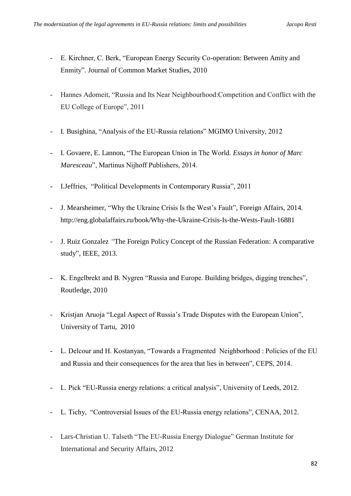- E. Kirchner, C. Berk, "European Energy Security Co-operation: Between Amity and Enmity". Journal of Common Market Studies, 2010
- Hannes Adomeit, "Russia and Its Near Neighbourhood:Competition and Conflict with the EU College of Europe", 2011
- I. Busighina, "Analysis of the EU-Russia relations" MGIMO University, 2012
- I. Govaere, E. Lannon, "The European Union in The World. *Essays in honor of Marc Maresceau*", Martinus Nijhoff Publishers, 2014.
- I.Jeffries, "Political Developments in Contemporary Russia", 2011
- J. Mearsheimer, "Why the Ukraine Crisis Is the West's Fault", Foreign Affairs, 2014. <http://eng.globalaffairs.ru/book/Why-the-Ukraine-Crisis-Is-the-Wests-Fault-16881>
- J. Ruiz Gonzalez *"*The Foreign Policy Concept of the Russian Federation: A comparative study", IEEE*,* 2013.
- K. Engelbrekt and B. Nygren "Russia and Europe. Building bridges, digging trenches", Routledge, 2010
- Kristjan Aruoja "Legal Aspect of Russia's Trade Disputes with the European Union", University of Tartu, 2010
- L. Delcour and H. Kostanyan, "Towards a Fragmented Neighborhood : Policies of the EU and Russia and their consequences for the area that lies in between", CEPS, 2014.
- L. Pick "EU-Russia energy relations: a critical analysis", University of Leeds, 2012.
- L. Tichy, "Controversial Issues of the EU-Russia energy relations", CENAA, 2012.
- Lars-Christian U. Talseth "The EU-Russia Energy Dialogue" German Institute for International and Security Affairs, 2012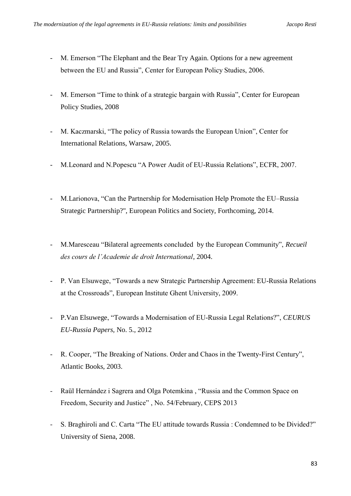- M. Emerson "The Elephant and the Bear Try Again. Options for a new agreement between the EU and Russia", Center for European Policy Studies, 2006.
- M. Emerson "Time to think of a strategic bargain with Russia", Center for European Policy Studies, 2008
- M. Kaczmarski, "The policy of Russia towards the European Union", Center for International Relations, Warsaw, 2005.
- M.Leonard and N.Popescu "A Power Audit of EU-Russia Relations", ECFR, 2007.
- M.Larionova, "Can the Partnership for Modernisation Help Promote the EU–Russia Strategic Partnership?", European Politics and Society, Forthcoming, 2014.
- M.Maresceau "Bilateral agreements concluded by the European Community", *Recueil des cours de l'Academie de droit International*, 2004.
- P. Van Elsuwege, "Towards a new Strategic Partnership Agreement: EU-Russia Relations at the Crossroads", European Institute Ghent University, 2009.
- P.Van Elsuwege, "Towards a Modernisation of EU-Russia Legal Relations?", *CEURUS EU-Russia Papers,* No. 5., 2012
- R. Cooper, "The Breaking of Nations. Order and Chaos in the Twenty-First Century", Atlantic Books, 2003.
- Raül Hernández i Sagrera and Olga Potemkina , "Russia and the Common Space on Freedom, Security and Justice" , No. 54/February, CEPS 2013
- S. Braghiroli and C. Carta "The EU attitude towards Russia : Condemned to be Divided?" University of Siena, 2008.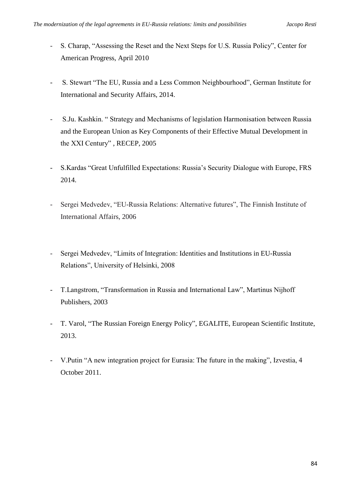- S. Charap, "Assessing the Reset and the Next Steps for U.S. Russia Policy", Center for American Progress, April 2010
- S. Stewart "The EU, Russia and a Less Common Neighbourhood", German Institute for International and Security Affairs, 2014.
- S.Ju. Kashkin. " Strategy and Mechanisms of legislation Harmonisation between Russia and the European Union as Key Components of their Effective Mutual Development in the XXI Century" , RECEP, 2005
- S.Kardas "Great Unfulfilled Expectations: Russia's Security Dialogue with Europe, FRS 2014.
- Sergei Medvedev, "EU-Russia Relations: Alternative futures", The Finnish Institute of International Affairs, 2006
- Sergei Medvedev, "Limits of Integration: Identities and Institutions in EU-Russia Relations", University of Helsinki, 2008
- T. Langstrom, "Transformation in Russia and International Law", Martinus Nijhoff Publishers, 2003
- T. Varol, "The Russian Foreign Energy Policy", EGALITE, European Scientific Institute, 2013.
- V.Putin "A new integration project for Eurasia: The future in the making", Izvestia, 4 October 2011.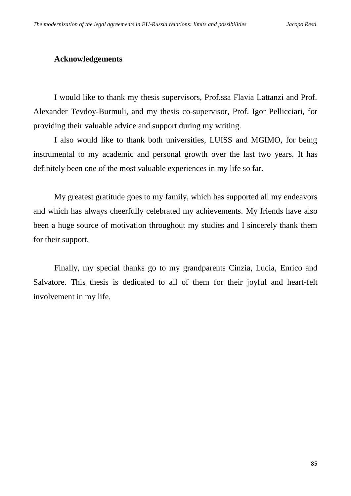# **Acknowledgements**

I would like to thank my thesis supervisors, Prof.ssa Flavia Lattanzi and Prof. Alexander Tevdoy-Burmuli, and my thesis co-supervisor, Prof. Igor Pellicciari, for providing their valuable advice and support during my writing.

I also would like to thank both universities, LUISS and MGIMO, for being instrumental to my academic and personal growth over the last two years. It has definitely been one of the most valuable experiences in my life so far.

My greatest gratitude goes to my family, which has supported all my endeavors and which has always cheerfully celebrated my achievements. My friends have also been a huge source of motivation throughout my studies and I sincerely thank them for their support.

Finally, my special thanks go to my grandparents Cinzia, Lucia, Enrico and Salvatore. This thesis is dedicated to all of them for their joyful and heart-felt involvement in my life.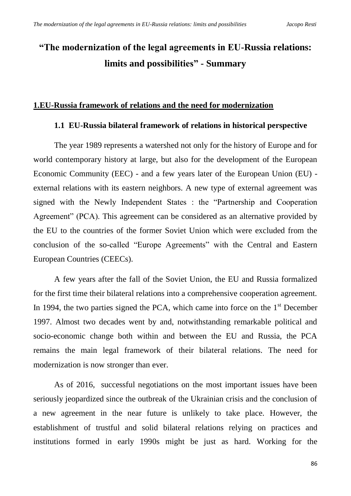# **"The modernization of the legal agreements in EU-Russia relations: limits and possibilities" - Summary**

# **1.EU-Russia framework of relations and the need for modernization**

#### **1.1 EU-Russia bilateral framework of relations in historical perspective**

The year 1989 represents a watershed not only for the history of Europe and for world contemporary history at large, but also for the development of the European Economic Community (EEC) - and a few years later of the European Union (EU) external relations with its eastern neighbors. A new type of external agreement was signed with the Newly Independent States : the "Partnership and Cooperation Agreement" (PCA). This agreement can be considered as an alternative provided by the EU to the countries of the former Soviet Union which were excluded from the conclusion of the so-called "Europe Agreements" with the Central and Eastern European Countries (CEECs).

A few years after the fall of the Soviet Union, the EU and Russia formalized for the first time their bilateral relations into a comprehensive cooperation agreement. In 1994, the two parties signed the PCA, which came into force on the  $1<sup>st</sup>$  December 1997. Almost two decades went by and, notwithstanding remarkable political and socio-economic change both within and between the EU and Russia, the PCA remains the main legal framework of their bilateral relations. The need for modernization is now stronger than ever.

As of 2016, successful negotiations on the most important issues have been seriously jeopardized since the outbreak of the Ukrainian crisis and the conclusion of a new agreement in the near future is unlikely to take place. However, the establishment of trustful and solid bilateral relations relying on practices and institutions formed in early 1990s might be just as hard. Working for the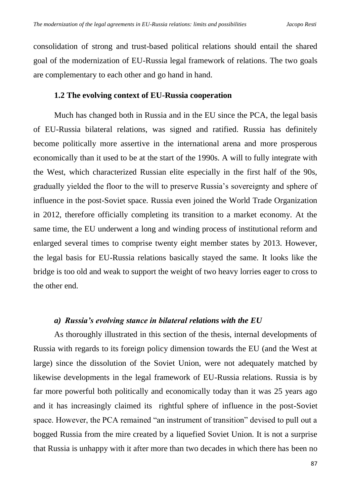consolidation of strong and trust-based political relations should entail the shared goal of the modernization of EU-Russia legal framework of relations. The two goals are complementary to each other and go hand in hand.

## **1.2 The evolving context of EU-Russia cooperation**

Much has changed both in Russia and in the EU since the PCA, the legal basis of EU-Russia bilateral relations, was signed and ratified. Russia has definitely become politically more assertive in the international arena and more prosperous economically than it used to be at the start of the 1990s. A will to fully integrate with the West, which characterized Russian elite especially in the first half of the 90s, gradually yielded the floor to the will to preserve Russia's sovereignty and sphere of influence in the post-Soviet space. Russia even joined the World Trade Organization in 2012, therefore officially completing its transition to a market economy. At the same time, the EU underwent a long and winding process of institutional reform and enlarged several times to comprise twenty eight member states by 2013. However, the legal basis for EU-Russia relations basically stayed the same. It looks like the bridge is too old and weak to support the weight of two heavy lorries eager to cross to the other end.

#### *a) Russia's evolving stance in bilateral relations with the EU*

As thoroughly illustrated in this section of the thesis, internal developments of Russia with regards to its foreign policy dimension towards the EU (and the West at large) since the dissolution of the Soviet Union, were not adequately matched by likewise developments in the legal framework of EU-Russia relations. Russia is by far more powerful both politically and economically today than it was 25 years ago and it has increasingly claimed its rightful sphere of influence in the post-Soviet space. However, the PCA remained "an instrument of transition" devised to pull out a bogged Russia from the mire created by a liquefied Soviet Union. It is not a surprise that Russia is unhappy with it after more than two decades in which there has been no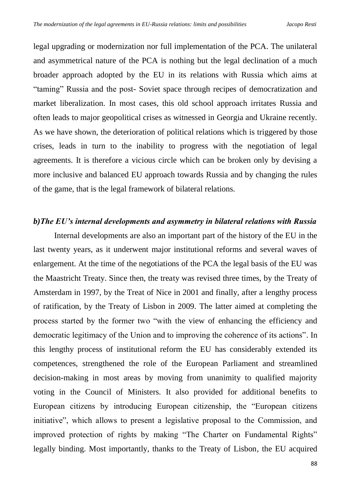legal upgrading or modernization nor full implementation of the PCA. The unilateral and asymmetrical nature of the PCA is nothing but the legal declination of a much broader approach adopted by the EU in its relations with Russia which aims at "taming" Russia and the post- Soviet space through recipes of democratization and market liberalization. In most cases, this old school approach irritates Russia and often leads to major geopolitical crises as witnessed in Georgia and Ukraine recently. As we have shown, the deterioration of political relations which is triggered by those crises, leads in turn to the inability to progress with the negotiation of legal agreements. It is therefore a vicious circle which can be broken only by devising a more inclusive and balanced EU approach towards Russia and by changing the rules of the game, that is the legal framework of bilateral relations.

#### *b)The EU's internal developments and asymmetry in bilateral relations with Russia*

Internal developments are also an important part of the history of the EU in the last twenty years, as it underwent major institutional reforms and several waves of enlargement. At the time of the negotiations of the PCA the legal basis of the EU was the Maastricht Treaty. Since then, the treaty was revised three times, by the Treaty of Amsterdam in 1997, by the Treat of Nice in 2001 and finally, after a lengthy process of ratification, by the Treaty of Lisbon in 2009. The latter aimed at completing the process started by the former two "with the view of enhancing the efficiency and democratic legitimacy of the Union and to improving the coherence of its actions". In this lengthy process of institutional reform the EU has considerably extended its competences, strengthened the role of the European Parliament and streamlined decision-making in most areas by moving from unanimity to qualified majority voting in the Council of Ministers. It also provided for additional benefits to European citizens by introducing European citizenship, the "European citizens initiative", which allows to present a legislative proposal to the Commission, and improved protection of rights by making "The Charter on Fundamental Rights" legally binding. Most importantly, thanks to the Treaty of Lisbon, the EU acquired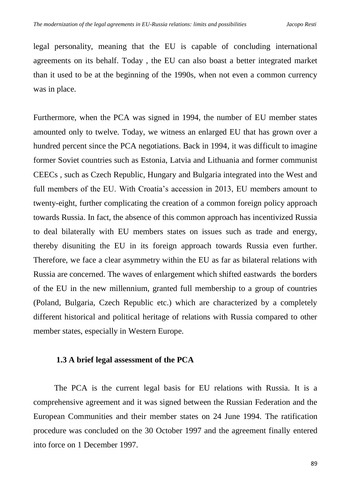legal personality, meaning that the EU is capable of concluding international agreements on its behalf. Today , the EU can also boast a better integrated market than it used to be at the beginning of the 1990s, when not even a common currency was in place.

Furthermore, when the PCA was signed in 1994, the number of EU member states amounted only to twelve. Today, we witness an enlarged EU that has grown over a hundred percent since the PCA negotiations. Back in 1994, it was difficult to imagine former Soviet countries such as Estonia, Latvia and Lithuania and former communist CEECs , such as Czech Republic, Hungary and Bulgaria integrated into the West and full members of the EU. With Croatia's accession in 2013, EU members amount to twenty-eight, further complicating the creation of a common foreign policy approach towards Russia. In fact, the absence of this common approach has incentivized Russia to deal bilaterally with EU members states on issues such as trade and energy, thereby disuniting the EU in its foreign approach towards Russia even further. Therefore, we face a clear asymmetry within the EU as far as bilateral relations with Russia are concerned. The waves of enlargement which shifted eastwards the borders of the EU in the new millennium, granted full membership to a group of countries (Poland, Bulgaria, Czech Republic etc.) which are characterized by a completely different historical and political heritage of relations with Russia compared to other member states, especially in Western Europe.

### **1.3 A brief legal assessment of the PCA**

The PCA is the current legal basis for EU relations with Russia. It is a comprehensive agreement and it was signed between the Russian Federation and the European Communities and their member states on 24 June 1994. The ratification procedure was concluded on the 30 October 1997 and the agreement finally entered into force on 1 December 1997.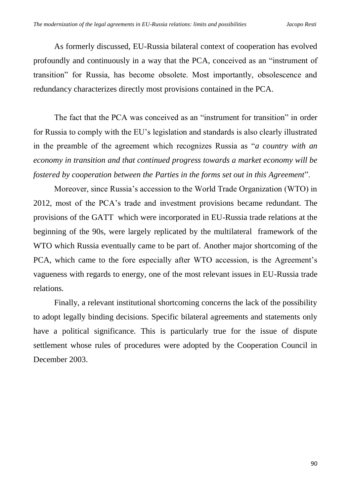As formerly discussed, EU-Russia bilateral context of cooperation has evolved profoundly and continuously in a way that the PCA, conceived as an "instrument of transition" for Russia, has become obsolete. Most importantly, obsolescence and redundancy characterizes directly most provisions contained in the PCA.

The fact that the PCA was conceived as an "instrument for transition" in order for Russia to comply with the EU's legislation and standards is also clearly illustrated in the preamble of the agreement which recognizes Russia as "*a country with an economy in transition and that continued progress towards a market economy will be fostered by cooperation between the Parties in the forms set out in this Agreement*".

Moreover, since Russia's accession to the World Trade Organization (WTO) in 2012, most of the PCA's trade and investment provisions became redundant. The provisions of the GATT which were incorporated in EU-Russia trade relations at the beginning of the 90s, were largely replicated by the multilateral framework of the WTO which Russia eventually came to be part of. Another major shortcoming of the PCA, which came to the fore especially after WTO accession, is the Agreement's vagueness with regards to energy, one of the most relevant issues in EU-Russia trade relations.

Finally, a relevant institutional shortcoming concerns the lack of the possibility to adopt legally binding decisions. Specific bilateral agreements and statements only have a political significance. This is particularly true for the issue of dispute settlement whose rules of procedures were adopted by the Cooperation Council in December 2003.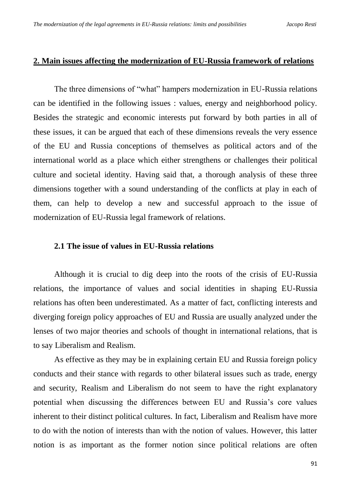#### **2. Main issues affecting the modernization of EU-Russia framework of relations**

The three dimensions of "what" hampers modernization in EU-Russia relations can be identified in the following issues : values, energy and neighborhood policy. Besides the strategic and economic interests put forward by both parties in all of these issues, it can be argued that each of these dimensions reveals the very essence of the EU and Russia conceptions of themselves as political actors and of the international world as a place which either strengthens or challenges their political culture and societal identity. Having said that, a thorough analysis of these three dimensions together with a sound understanding of the conflicts at play in each of them, can help to develop a new and successful approach to the issue of modernization of EU-Russia legal framework of relations.

#### **2.1 The issue of values in EU-Russia relations**

Although it is crucial to dig deep into the roots of the crisis of EU-Russia relations, the importance of values and social identities in shaping EU-Russia relations has often been underestimated. As a matter of fact, conflicting interests and diverging foreign policy approaches of EU and Russia are usually analyzed under the lenses of two major theories and schools of thought in international relations, that is to say Liberalism and Realism.

As effective as they may be in explaining certain EU and Russia foreign policy conducts and their stance with regards to other bilateral issues such as trade, energy and security, Realism and Liberalism do not seem to have the right explanatory potential when discussing the differences between EU and Russia's core values inherent to their distinct political cultures. In fact, Liberalism and Realism have more to do with the notion of interests than with the notion of values. However, this latter notion is as important as the former notion since political relations are often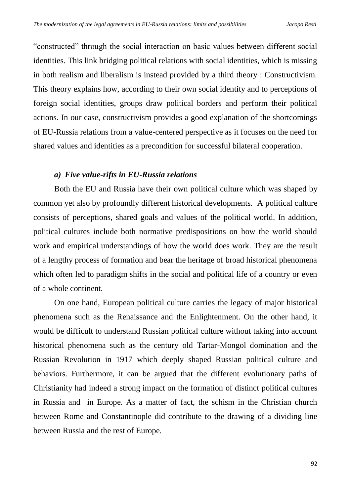"constructed" through the social interaction on basic values between different social identities. This link bridging political relations with social identities, which is missing in both realism and liberalism is instead provided by a third theory : Constructivism. This theory explains how, according to their own social identity and to perceptions of foreign social identities, groups draw political borders and perform their political actions. In our case, constructivism provides a good explanation of the shortcomings of EU-Russia relations from a value-centered perspective as it focuses on the need for shared values and identities as a precondition for successful bilateral cooperation.

#### *a) Five value-rifts in EU-Russia relations*

Both the EU and Russia have their own political culture which was shaped by common yet also by profoundly different historical developments. A political culture consists of perceptions, shared goals and values of the political world. In addition, political cultures include both normative predispositions on how the world should work and empirical understandings of how the world does work. They are the result of a lengthy process of formation and bear the heritage of broad historical phenomena which often led to paradigm shifts in the social and political life of a country or even of a whole continent.

On one hand, European political culture carries the legacy of major historical phenomena such as the Renaissance and the Enlightenment. On the other hand, it would be difficult to understand Russian political culture without taking into account historical phenomena such as the century old Tartar-Mongol domination and the Russian Revolution in 1917 which deeply shaped Russian political culture and behaviors. Furthermore, it can be argued that the different evolutionary paths of Christianity had indeed a strong impact on the formation of distinct political cultures in Russia and in Europe. As a matter of fact, the schism in the Christian church between Rome and Constantinople did contribute to the drawing of a dividing line between Russia and the rest of Europe.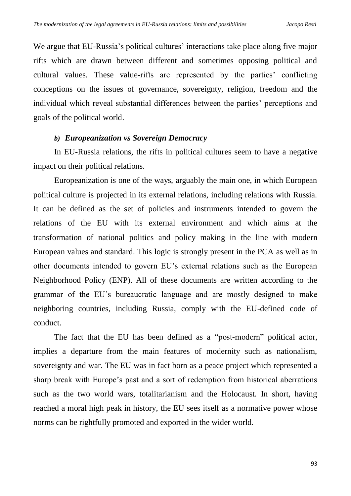We argue that EU-Russia's political cultures' interactions take place along five major rifts which are drawn between different and sometimes opposing political and cultural values. These value-rifts are represented by the parties' conflicting conceptions on the issues of governance, sovereignty, religion, freedom and the individual which reveal substantial differences between the parties' perceptions and goals of the political world.

#### *b) Europeanization vs Sovereign Democracy*

In EU-Russia relations, the rifts in political cultures seem to have a negative impact on their political relations.

Europeanization is one of the ways, arguably the main one, in which European political culture is projected in its external relations, including relations with Russia. It can be defined as the set of policies and instruments intended to govern the relations of the EU with its external environment and which aims at the transformation of national politics and policy making in the line with modern European values and standard. This logic is strongly present in the PCA as well as in other documents intended to govern EU's external relations such as the European Neighborhood Policy (ENP). All of these documents are written according to the grammar of the EU's bureaucratic language and are mostly designed to make neighboring countries, including Russia, comply with the EU-defined code of conduct.

The fact that the EU has been defined as a "post-modern" political actor, implies a departure from the main features of modernity such as nationalism, sovereignty and war. The EU was in fact born as a peace project which represented a sharp break with Europe's past and a sort of redemption from historical aberrations such as the two world wars, totalitarianism and the Holocaust. In short, having reached a moral high peak in history, the EU sees itself as a normative power whose norms can be rightfully promoted and exported in the wider world.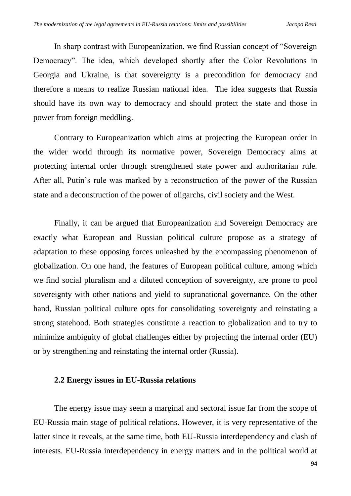In sharp contrast with Europeanization, we find Russian concept of "Sovereign Democracy". The idea, which developed shortly after the Color Revolutions in Georgia and Ukraine, is that sovereignty is a precondition for democracy and therefore a means to realize Russian national idea. The idea suggests that Russia should have its own way to democracy and should protect the state and those in power from foreign meddling.

Contrary to Europeanization which aims at projecting the European order in the wider world through its normative power, Sovereign Democracy aims at protecting internal order through strengthened state power and authoritarian rule. After all, Putin's rule was marked by a reconstruction of the power of the Russian state and a deconstruction of the power of oligarchs, civil society and the West.

Finally, it can be argued that Europeanization and Sovereign Democracy are exactly what European and Russian political culture propose as a strategy of adaptation to these opposing forces unleashed by the encompassing phenomenon of globalization. On one hand, the features of European political culture, among which we find social pluralism and a diluted conception of sovereignty, are prone to pool sovereignty with other nations and yield to supranational governance. On the other hand, Russian political culture opts for consolidating sovereignty and reinstating a strong statehood. Both strategies constitute a reaction to globalization and to try to minimize ambiguity of global challenges either by projecting the internal order (EU) or by strengthening and reinstating the internal order (Russia).

#### **2.2 Energy issues in EU-Russia relations**

The energy issue may seem a marginal and sectoral issue far from the scope of EU-Russia main stage of political relations. However, it is very representative of the latter since it reveals, at the same time, both EU-Russia interdependency and clash of interests. EU-Russia interdependency in energy matters and in the political world at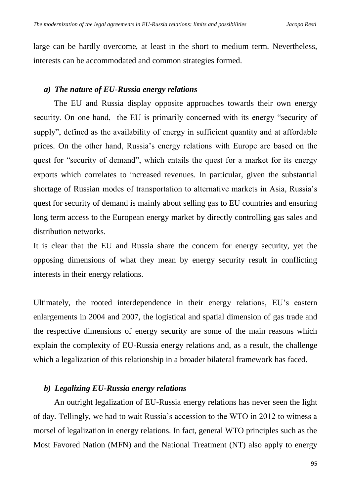large can be hardly overcome, at least in the short to medium term. Nevertheless, interests can be accommodated and common strategies formed.

# *a) The nature of EU-Russia energy relations*

The EU and Russia display opposite approaches towards their own energy security. On one hand, the EU is primarily concerned with its energy "security of supply", defined as the availability of energy in sufficient quantity and at affordable prices. On the other hand, Russia's energy relations with Europe are based on the quest for "security of demand", which entails the quest for a market for its energy exports which correlates to increased revenues. In particular, given the substantial shortage of Russian modes of transportation to alternative markets in Asia, Russia's quest for security of demand is mainly about selling gas to EU countries and ensuring long term access to the European energy market by directly controlling gas sales and distribution networks.

It is clear that the EU and Russia share the concern for energy security, yet the opposing dimensions of what they mean by energy security result in conflicting interests in their energy relations.

Ultimately, the rooted interdependence in their energy relations, EU's eastern enlargements in 2004 and 2007, the logistical and spatial dimension of gas trade and the respective dimensions of energy security are some of the main reasons which explain the complexity of EU-Russia energy relations and, as a result, the challenge which a legalization of this relationship in a broader bilateral framework has faced.

# *b) Legalizing EU-Russia energy relations*

An outright legalization of EU-Russia energy relations has never seen the light of day. Tellingly, we had to wait Russia's accession to the WTO in 2012 to witness a morsel of legalization in energy relations. In fact, general WTO principles such as the Most Favored Nation (MFN) and the National Treatment (NT) also apply to energy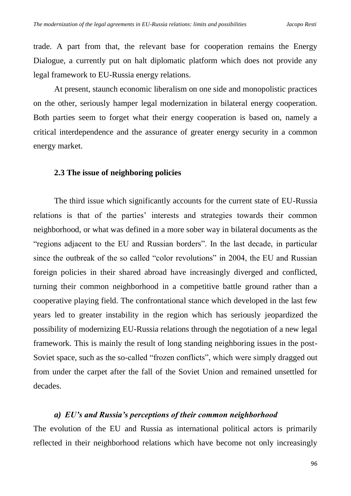trade. A part from that, the relevant base for cooperation remains the Energy Dialogue, a currently put on halt diplomatic platform which does not provide any legal framework to EU-Russia energy relations.

At present, staunch economic liberalism on one side and monopolistic practices on the other, seriously hamper legal modernization in bilateral energy cooperation. Both parties seem to forget what their energy cooperation is based on, namely a critical interdependence and the assurance of greater energy security in a common energy market.

#### **2.3 The issue of neighboring policies**

The third issue which significantly accounts for the current state of EU-Russia relations is that of the parties' interests and strategies towards their common neighborhood, or what was defined in a more sober way in bilateral documents as the "regions adjacent to the EU and Russian borders". In the last decade, in particular since the outbreak of the so called "color revolutions" in 2004, the EU and Russian foreign policies in their shared abroad have increasingly diverged and conflicted, turning their common neighborhood in a competitive battle ground rather than a cooperative playing field. The confrontational stance which developed in the last few years led to greater instability in the region which has seriously jeopardized the possibility of modernizing EU-Russia relations through the negotiation of a new legal framework. This is mainly the result of long standing neighboring issues in the post-Soviet space, such as the so-called "frozen conflicts", which were simply dragged out from under the carpet after the fall of the Soviet Union and remained unsettled for decades.

#### *a) EU's and Russia's perceptions of their common neighborhood*

The evolution of the EU and Russia as international political actors is primarily reflected in their neighborhood relations which have become not only increasingly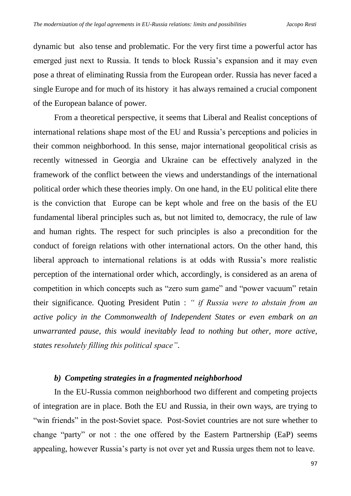dynamic but also tense and problematic. For the very first time a powerful actor has emerged just next to Russia. It tends to block Russia's expansion and it may even pose a threat of eliminating Russia from the European order. Russia has never faced a single Europe and for much of its history it has always remained a crucial component of the European balance of power.

From a theoretical perspective, it seems that Liberal and Realist conceptions of international relations shape most of the EU and Russia's perceptions and policies in their common neighborhood. In this sense, major international geopolitical crisis as recently witnessed in Georgia and Ukraine can be effectively analyzed in the framework of the conflict between the views and understandings of the international political order which these theories imply. On one hand, in the EU political elite there is the conviction that Europe can be kept whole and free on the basis of the EU fundamental liberal principles such as, but not limited to, democracy, the rule of law and human rights. The respect for such principles is also a precondition for the conduct of foreign relations with other international actors. On the other hand, this liberal approach to international relations is at odds with Russia's more realistic perception of the international order which, accordingly, is considered as an arena of competition in which concepts such as "zero sum game" and "power vacuum" retain their significance. Quoting President Putin : *" if Russia were to abstain from an active policy in the Commonwealth of Independent States or even embark on an unwarranted pause, this would inevitably lead to nothing but other, more active, states resolutely filling this political space"*.

# *b) Competing strategies in a fragmented neighborhood*

In the EU-Russia common neighborhood two different and competing projects of integration are in place. Both the EU and Russia, in their own ways, are trying to "win friends" in the post-Soviet space. Post-Soviet countries are not sure whether to change "party" or not : the one offered by the Eastern Partnership (EaP) seems appealing, however Russia's party is not over yet and Russia urges them not to leave.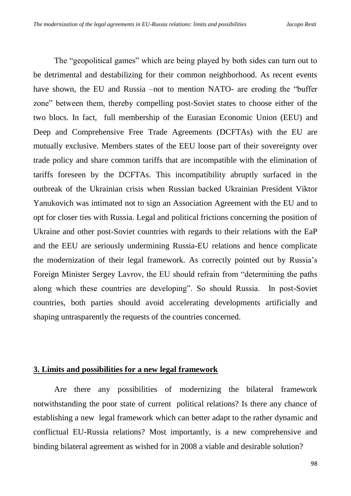The "geopolitical games" which are being played by both sides can turn out to be detrimental and destabilizing for their common neighborhood. As recent events have shown, the EU and Russia –not to mention NATO- are eroding the "buffer" zone" between them, thereby compelling post-Soviet states to choose either of the two blocs. In fact, full membership of the Eurasian Economic Union (EEU) and Deep and Comprehensive Free Trade Agreements (DCFTAs) with the EU are mutually exclusive. Members states of the EEU loose part of their sovereignty over trade policy and share common tariffs that are incompatible with the elimination of tariffs foreseen by the DCFTAs. This incompatibility abruptly surfaced in the outbreak of the Ukrainian crisis when Russian backed Ukrainian President Viktor Yanukovich was intimated not to sign an Association Agreement with the EU and to opt for closer ties with Russia. Legal and political frictions concerning the position of Ukraine and other post-Soviet countries with regards to their relations with the EaP and the EEU are seriously undermining Russia-EU relations and hence complicate the modernization of their legal framework. As correctly pointed out by Russia's Foreign Minister Sergey Lavrov, the EU should refrain from "determining the paths along which these countries are developing". So should Russia. In post-Soviet countries, both parties should avoid accelerating developments artificially and shaping untrasparently the requests of the countries concerned.

## **3. Limits and possibilities for a new legal framework**

Are there any possibilities of modernizing the bilateral framework notwithstanding the poor state of current political relations? Is there any chance of establishing a new legal framework which can better adapt to the rather dynamic and conflictual EU-Russia relations? Most importantly, is a new comprehensive and binding bilateral agreement as wished for in 2008 a viable and desirable solution?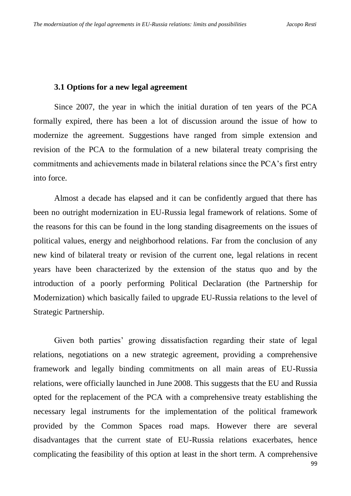## **3.1 Options for a new legal agreement**

Since 2007, the year in which the initial duration of ten years of the PCA formally expired, there has been a lot of discussion around the issue of how to modernize the agreement. Suggestions have ranged from simple extension and revision of the PCA to the formulation of a new bilateral treaty comprising the commitments and achievements made in bilateral relations since the PCA's first entry into force.

Almost a decade has elapsed and it can be confidently argued that there has been no outright modernization in EU-Russia legal framework of relations. Some of the reasons for this can be found in the long standing disagreements on the issues of political values, energy and neighborhood relations. Far from the conclusion of any new kind of bilateral treaty or revision of the current one, legal relations in recent years have been characterized by the extension of the status quo and by the introduction of a poorly performing Political Declaration (the Partnership for Modernization) which basically failed to upgrade EU-Russia relations to the level of Strategic Partnership.

Given both parties' growing dissatisfaction regarding their state of legal relations, negotiations on a new strategic agreement, providing a comprehensive framework and legally binding commitments on all main areas of EU-Russia relations, were officially launched in June 2008. This suggests that the EU and Russia opted for the replacement of the PCA with a comprehensive treaty establishing the necessary legal instruments for the implementation of the political framework provided by the Common Spaces road maps. However there are several disadvantages that the current state of EU-Russia relations exacerbates, hence complicating the feasibility of this option at least in the short term. A comprehensive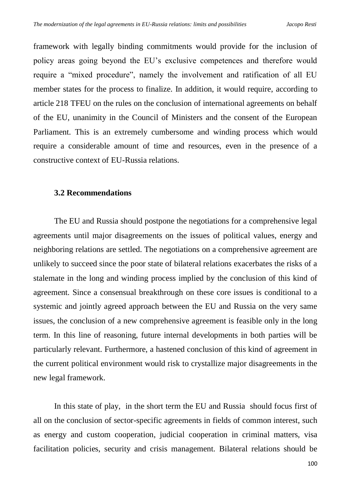framework with legally binding commitments would provide for the inclusion of policy areas going beyond the EU's exclusive competences and therefore would require a "mixed procedure", namely the involvement and ratification of all EU member states for the process to finalize. In addition, it would require, according to article 218 TFEU on the rules on the conclusion of international agreements on behalf of the EU, unanimity in the Council of Ministers and the consent of the European Parliament. This is an extremely cumbersome and winding process which would require a considerable amount of time and resources, even in the presence of a constructive context of EU-Russia relations.

## **3.2 Recommendations**

The EU and Russia should postpone the negotiations for a comprehensive legal agreements until major disagreements on the issues of political values, energy and neighboring relations are settled. The negotiations on a comprehensive agreement are unlikely to succeed since the poor state of bilateral relations exacerbates the risks of a stalemate in the long and winding process implied by the conclusion of this kind of agreement. Since a consensual breakthrough on these core issues is conditional to a systemic and jointly agreed approach between the EU and Russia on the very same issues, the conclusion of a new comprehensive agreement is feasible only in the long term. In this line of reasoning, future internal developments in both parties will be particularly relevant. Furthermore, a hastened conclusion of this kind of agreement in the current political environment would risk to crystallize major disagreements in the new legal framework.

In this state of play, in the short term the EU and Russia should focus first of all on the conclusion of sector-specific agreements in fields of common interest, such as energy and custom cooperation, judicial cooperation in criminal matters, visa facilitation policies, security and crisis management. Bilateral relations should be